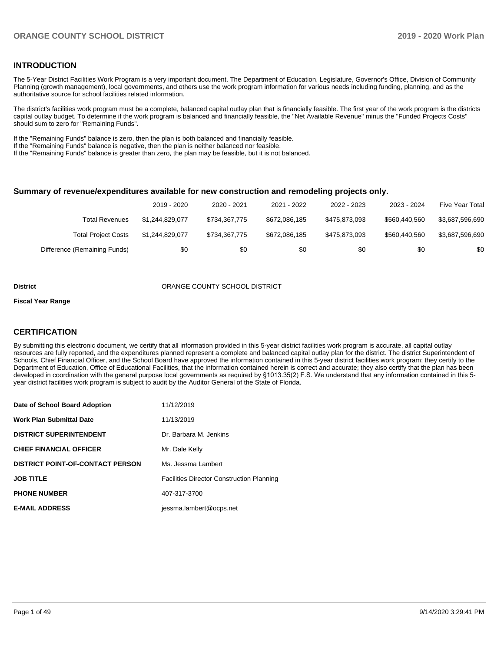## **INTRODUCTION**

The 5-Year District Facilities Work Program is a very important document. The Department of Education, Legislature, Governor's Office, Division of Community Planning (growth management), local governments, and others use the work program information for various needs including funding, planning, and as the authoritative source for school facilities related information.

The district's facilities work program must be a complete, balanced capital outlay plan that is financially feasible. The first year of the work program is the districts capital outlay budget. To determine if the work program is balanced and financially feasible, the "Net Available Revenue" minus the "Funded Projects Costs" should sum to zero for "Remaining Funds".

If the "Remaining Funds" balance is zero, then the plan is both balanced and financially feasible.

If the "Remaining Funds" balance is negative, then the plan is neither balanced nor feasible.

If the "Remaining Funds" balance is greater than zero, the plan may be feasible, but it is not balanced.

#### **Summary of revenue/expenditures available for new construction and remodeling projects only.**

|                              | 2019 - 2020     | 2020 - 2021   | 2021 - 2022   | 2022 - 2023   | 2023 - 2024   | Five Year Total |
|------------------------------|-----------------|---------------|---------------|---------------|---------------|-----------------|
| Total Revenues               | \$1.244.829.077 | \$734.367.775 | \$672.086.185 | \$475.873.093 | \$560,440.560 | \$3,687,596,690 |
| <b>Total Project Costs</b>   | \$1.244.829.077 | \$734.367.775 | \$672.086.185 | \$475.873.093 | \$560,440.560 | \$3.687.596.690 |
| Difference (Remaining Funds) | \$0             | \$0           | \$0           | \$0           | \$0           | \$0             |

#### **District COUNTY SCHOOL DISTRICT**

#### **Fiscal Year Range**

## **CERTIFICATION**

By submitting this electronic document, we certify that all information provided in this 5-year district facilities work program is accurate, all capital outlay resources are fully reported, and the expenditures planned represent a complete and balanced capital outlay plan for the district. The district Superintendent of Schools, Chief Financial Officer, and the School Board have approved the information contained in this 5-year district facilities work program; they certify to the Department of Education, Office of Educational Facilities, that the information contained herein is correct and accurate; they also certify that the plan has been developed in coordination with the general purpose local governments as required by §1013.35(2) F.S. We understand that any information contained in this 5 year district facilities work program is subject to audit by the Auditor General of the State of Florida.

| Date of School Board Adoption           | 11/12/2019                                       |
|-----------------------------------------|--------------------------------------------------|
| Work Plan Submittal Date                | 11/13/2019                                       |
| <b>DISTRICT SUPERINTENDENT</b>          | Dr. Barbara M. Jenkins                           |
| <b>CHIEF FINANCIAL OFFICER</b>          | Mr. Dale Kelly                                   |
| <b>DISTRICT POINT-OF-CONTACT PERSON</b> | Ms. Jessma Lambert                               |
| JOB TITLE                               | <b>Facilities Director Construction Planning</b> |
| <b>PHONE NUMBER</b>                     | 407-317-3700                                     |
| <b>E-MAIL ADDRESS</b>                   | jessma.lambert@ocps.net                          |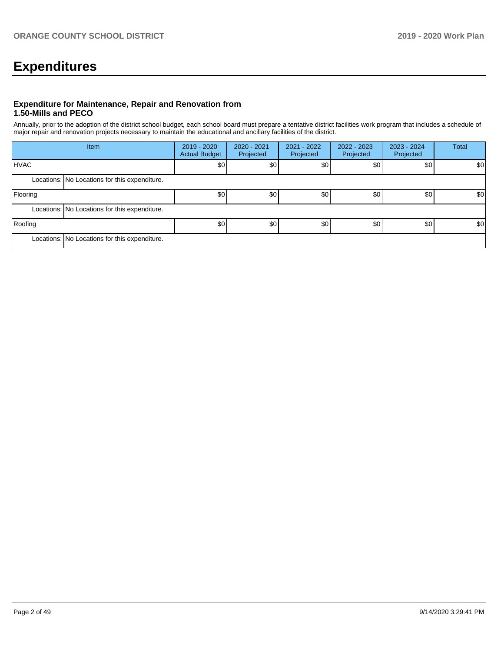# **Expenditures**

## **Expenditure for Maintenance, Repair and Renovation from 1.50-Mills and PECO**

Annually, prior to the adoption of the district school budget, each school board must prepare a tentative district facilities work program that includes a schedule of major repair and renovation projects necessary to maintain the educational and ancillary facilities of the district.

|             | Item                                          | $2019 - 2020$<br><b>Actual Budget</b> | 2020 - 2021<br>Projected | $2021 - 2022$<br>Projected | 2022 - 2023<br>Projected | 2023 - 2024<br>Projected | Total |
|-------------|-----------------------------------------------|---------------------------------------|--------------------------|----------------------------|--------------------------|--------------------------|-------|
| <b>HVAC</b> |                                               | \$0                                   | \$0                      | \$0                        | \$0                      | \$0                      | \$0   |
|             | Locations: No Locations for this expenditure. |                                       |                          |                            |                          |                          |       |
| Flooring    |                                               | \$0                                   | \$0                      | \$0                        | \$0                      | \$0                      | \$0   |
|             | Locations: No Locations for this expenditure. |                                       |                          |                            |                          |                          |       |
| Roofing     |                                               | \$0 <sub>1</sub>                      | \$0                      | \$0                        | \$0                      | \$0                      | \$0   |
|             | Locations: No Locations for this expenditure. |                                       |                          |                            |                          |                          |       |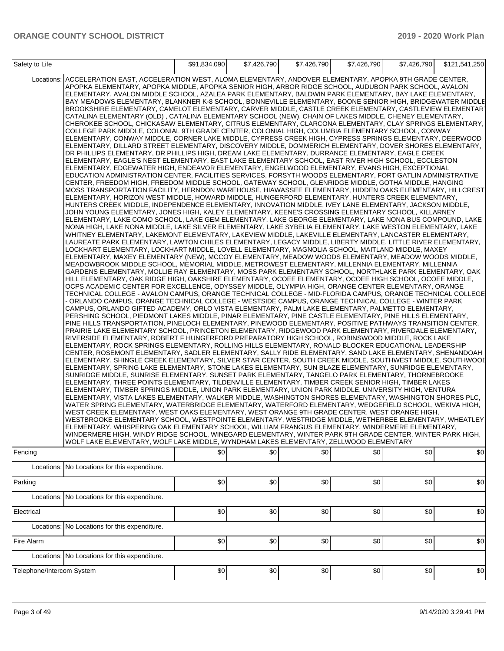| Safety to Life            |                                                                                                                                                                                                                                                                                                                                                                                                                                                                                                                                                                                                                                                                                                                                                                                                                                                                                                                                                                                                                                                                                                                                                                                                                                                                                                                                                                                                                                                                                                                                                                                                                                                                                                                                                                                                                                                                                                                                                                                                                                                                                                                                                                                                                                                                                                                                                                                                                                                                                                                                                                                                                                                                                                                                                                                                                                                                                                                                                                                                                                                                                                                                                                                                                                                                                                                                                                                                                                                                                                                                                                                                                                                                                                                                                                                                                                                                                                                                                                                                                                                                                                                                                                                                                                                                                                                                                                                                                                                                                                                                                                                                                                                                                                                                                                                                                                                                                                                                                                                                                                                                                                                                                                                                                                                                                                                                                                                                                                                        | \$91,834,090 | \$7,426,790 | \$7,426,790 | \$7,426,790 | \$7,426,790 | \$121,541,250 |
|---------------------------|--------------------------------------------------------------------------------------------------------------------------------------------------------------------------------------------------------------------------------------------------------------------------------------------------------------------------------------------------------------------------------------------------------------------------------------------------------------------------------------------------------------------------------------------------------------------------------------------------------------------------------------------------------------------------------------------------------------------------------------------------------------------------------------------------------------------------------------------------------------------------------------------------------------------------------------------------------------------------------------------------------------------------------------------------------------------------------------------------------------------------------------------------------------------------------------------------------------------------------------------------------------------------------------------------------------------------------------------------------------------------------------------------------------------------------------------------------------------------------------------------------------------------------------------------------------------------------------------------------------------------------------------------------------------------------------------------------------------------------------------------------------------------------------------------------------------------------------------------------------------------------------------------------------------------------------------------------------------------------------------------------------------------------------------------------------------------------------------------------------------------------------------------------------------------------------------------------------------------------------------------------------------------------------------------------------------------------------------------------------------------------------------------------------------------------------------------------------------------------------------------------------------------------------------------------------------------------------------------------------------------------------------------------------------------------------------------------------------------------------------------------------------------------------------------------------------------------------------------------------------------------------------------------------------------------------------------------------------------------------------------------------------------------------------------------------------------------------------------------------------------------------------------------------------------------------------------------------------------------------------------------------------------------------------------------------------------------------------------------------------------------------------------------------------------------------------------------------------------------------------------------------------------------------------------------------------------------------------------------------------------------------------------------------------------------------------------------------------------------------------------------------------------------------------------------------------------------------------------------------------------------------------------------------------------------------------------------------------------------------------------------------------------------------------------------------------------------------------------------------------------------------------------------------------------------------------------------------------------------------------------------------------------------------------------------------------------------------------------------------------------------------------------------------------------------------------------------------------------------------------------------------------------------------------------------------------------------------------------------------------------------------------------------------------------------------------------------------------------------------------------------------------------------------------------------------------------------------------------------------------------------------------------------------------------------------------------------------------------------------------------------------------------------------------------------------------------------------------------------------------------------------------------------------------------------------------------------------------------------------------------------------------------------------------------------------------------------------------------------------------------------------------------------------------------------------------------------|--------------|-------------|-------------|-------------|-------------|---------------|
| Fencing                   | Locations: ACCELERATION EAST, ACCELERATION WEST, ALOMA ELEMENTARY, ANDOVER ELEMENTARY, APOPKA 9TH GRADE CENTER,<br>APOPKA ELEMENTARY, APOPKA MIDDLE, APOPKA SENIOR HIGH, ARBOR RIDGE SCHOOL, AUDUBON PARK SCHOOL, AVALON<br>ELEMENTARY, AVALON MIDDLE SCHOOL, AZALEA PARK ELEMENTARY, BALDWIN PARK ELEMENTARY, BAY LAKE ELEMENTARY,<br>BAY MEADOWS ELEMENTARY, BLANKNER K-8 SCHOOL, BONNEVILLE ELEMENTARY, BOONE SENIOR HIGH, BRIDGEWATER MIDDLE<br>BROOKSHIRE ELEMENTARY, CAMELOT ELEMENTARY, CARVER MIDDLE, CASTLE CREEK ELEMENTARY, CASTLEVIEW ELEMENTAR'<br>CATALINA ELEMENTARY (OLD), CATALINA ELEMENTARY SCHOOL (NEW), CHAIN OF LAKES MIDDLE, CHENEY ELEMENTARY,<br>CHEROKEE SCHOOL, CHICKASAW ELEMENTARY, CITRUS ELEMENTARY, CLARCONA ELEMENTARY, CLAY SPRINGS ELEMENTARY,<br>COLLEGE PARK MIDDLE, COLONIAL 9TH GRADE CENTER, COLONIAL HIGH, COLUMBIA ELEMENTARY SCHOOL, CONWAY<br>ELEMENTARY, CONWAY MIDDLE, CORNER LAKE MIDDLE, CYPRESS CREEK HIGH, CYPRESS SPRINGS ELEMENTARY, DEERWOOD<br>ELEMENTARY, DILLARD STREET ELEMENTARY, DISCOVERY MIDDLE, DOMMERICH ELEMENTARY, DOVER SHORES ELEMENTARY,<br>DR PHILLIPS ELEMENTARY, DR PHILLIPS HIGH, DREAM LAKE ELEMENTARY, DURRANCE ELEMENTARY, EAGLE CREEK<br>ELEMENTARY, EAGLE'S NEST ELEMENTARY, EAST LAKE ELEMENTARY SCHOOL, EAST RIVER HIGH SCHOOL, ECCLESTON<br>ELEMENTARY, EDGEWATER HIGH, ENDEAVOR ELEMENTARY, ENGELWOOD ELEMENTARY, EVANS HIGH, EXCEPTIONAL<br>EDUCATION ADMINISTRATION CENTER, FACILITIES SERVICES, FORSYTH WOODS ELEMENTARY, FORT GATLIN ADMINISTRATIVE<br>CENTER, FREEDOM HIGH, FREEDOM MIDDLE SCHOOL, GATEWAY SCHOOL, GLENRIDGE MIDDLE, GOTHA MIDDLE, HANGING<br>MOSS TRANSPORTATION FACILITY, HERNDON WAREHOUSE, HIAWASSEE ELEMENTARY, HIDDEN OAKS ELEMENTARY, HILLCREST<br>ELEMENTARY, HORIZON WEST MIDDLE, HOWARD MIDDLE, HUNGERFORD ELEMENTARY, HUNTERS CREEK ELEMENTARY,<br>HUNTERS CREEK MIDDLE, INDEPENDENCE ELEMENTARY, INNOVATION MIDDLE, IVEY LANE ELEMENTARY, JACKSON MIDDLE,<br>JOHN YOUNG ELEMENTARY, JONES HIGH, KALEY ELEMENTARY, KEENE'S CROSSING ELEMENTARY SCHOOL, KILLARNEY<br>ELEMENTARY, LAKE COMO SCHOOL, LAKE GEM ELEMENTARY, LAKE GEORGE ELEMENTARY, LAKE NONA BUS COMPOUND, LAKE<br>NONA HIGH, LAKE NONA MIDDLE, LAKE SILVER ELEMENTARY, LAKE SYBELIA ELEMENTARY, LAKE WESTON ELEMENTARY, LAKE<br>WHITNEY ELEMENTARY, LAKEMONT ELEMENTARY, LAKEVIEW MIDDLE, LAKEVILLE ELEMENTARY, LANCASTER ELEMENTARY,<br>LAUREATE PARK ELEMENTARY, LAWTON CHILES ELEMENTARY, LEGACY MIDDLE, LIBERTY MIDDLE, LITTLE RIVER ELEMENTARY,<br>LOCKHART ELEMENTARY, LOCKHART MIDDLE, LOVELL ELEMENTARY, MAGNOLIA SCHOOL, MAITLAND MIDDLE, MAXEY<br>ELEMENTARY, MAXEY ELEMENTARY (NEW), MCCOY ELEMENTARY, MEADOW WOODS ELEMENTARY, MEADOW WOODS MIDDLE,<br>MEADOWBROOK MIDDLE SCHOOL, MEMORIAL MIDDLE, METROWEST ELEMENTARY, MILLENNIA ELEMENTARY, MILLENNIA<br>GARDENS ELEMENTARY, MOLLIE RAY ELEMENTARY, MOSS PARK ELEMENTARY SCHOOL, NORTHLAKE PARK ELEMENTARY, OAK<br>HILL ELEMENTARY, OAK RIDGE HIGH, OAKSHIRE ELEMENTARY, OCOEE ELEMENTARY, OCOEE HIGH SCHOOL, OCOEE MIDDLE,<br>OCPS ACADEMIC CENTER FOR EXCELLENCE, ODYSSEY MIDDLE, OLYMPIA HIGH, ORANGE CENTER ELEMENTARY, ORANGE<br>TECHNICAL COLLEGE - AVALON CAMPUS, ORANGE TECHNICAL COLLEGE - MID-FLORIDA CAMPUS, ORANGE TECHNICAL COLLEGE<br>ORLANDO CAMPUS, ORANGE TECHNICAL COLLEGE - WESTSIDE CAMPUS, ORANGE TECHNICAL COLLEGE - WINTER PARK<br>CAMPUS, ORLANDO GIFTED ACADEMY, ORLO VISTA ELEMENTARY, PALM LAKE ELEMENTARY, PALMETTO ELEMENTARY,<br>PERSHING SCHOOL, PIEDMONT LAKES MIDDLE, PINAR ELEMENTARY, PINE CASTLE ELEMENTARY, PINE HILLS ELEMENTARY,<br>PINE HILLS TRANSPORTATION, PINELOCH ELEMENTARY, PINEWOOD ELEMENTARY, POSITIVE PATHWAYS TRANSITION CENTER,<br>PRAIRIE LAKE ELEMENTARY SCHOOL, PRINCETON ELEMENTARY, RIDGEWOOD PARK ELEMENTARY, RIVERDALE ELEMENTARY,<br>RIVERSIDE ELEMENTARY, ROBERT F HUNGERFORD PREPARATORY HIGH SCHOOL, ROBINSWOOD MIDDLE, ROCK LAKE<br>ELEMENTARY, ROCK SPRINGS ELEMENTARY, ROLLING HILLS ELEMENTARY, RONALD BLOCKER EDUCATIONAL LEADERSHIP<br>CENTER, ROSEMONT ELEMENTARY, SADLER ELEMENTARY, SALLY RIDE ELEMENTARY, SAND LAKE ELEMENTARY, SHENANDOAH<br>ELEMENTARY, SHINGLE CREEK ELEMENTARY, SILVER STAR CENTER, SOUTH CREEK MIDDLE, SOUTHWEST MIDDLE, SOUTHWOOI<br>ELEMENTARY, SPRING LAKE ELEMENTARY, STONE LAKES ELEMENTARY, SUN BLAZE ELEMENTARY, SUNRIDGE ELEMENTARY,<br>SUNRIDGE MIDDLE, SUNRISE ELEMENTARY, SUNSET PARK ELEMENTARY, TANGELO PARK ELEMENTARY, THORNEBROOKE<br>ELEMENTARY, THREE POINTS ELEMENTARY, TILDENVILLE ELEMENTARY, TIMBER CREEK SENIOR HIGH, TIMBER LAKES<br>ELEMENTARY, TIMBER SPRINGS MIDDLE, UNION PARK ELEMENTARY, UNION PARK MIDDLE, UNIVERSITY HIGH, VENTURA<br>ELEMENTARY, VISTA LAKES ELEMENTARY, WALKER MIDDLE, WASHINGTON SHORES ELEMENTARY, WASHINGTON SHORES PLC,<br>WATER SPRING ELEMENTARY, WATERBRIDGE ELEMENTARY, WATERFORD ELEMENTARY, WEDGEFIELD SCHOOL, WEKIVA HIGH,<br>WEST CREEK ELEMENTARY, WEST OAKS ELEMENTARY, WEST ORANGE 9TH GRADE CENTER, WEST ORANGE HIGH,<br>WESTBROOKE ELEMENTARY SCHOOL, WESTPOINTE ELEMENTARY, WESTRIDGE MIDDLE, WETHERBEE ELEMENTARY, WHEATLEY<br>ELEMENTARY, WHISPERING OAK ELEMENTARY SCHOOL, WILLIAM FRANGUS ELEMENTARY, WINDERMERE ELEMENTARY,<br>WINDERMERE HIGH, WINDY RIDGE SCHOOL, WINEGARD ELEMENTARY, WINTER PARK 9TH GRADE CENTER, WINTER PARK HIGH,<br>WOLF LAKE ELEMENTARY, WOLF LAKE MIDDLE, WYNDHAM LAKES ELEMENTARY, ZELLWOOD ELEMENTARY | \$0          | \$0         | \$0         | \$0         | \$0         | \$0           |
|                           | Locations: No Locations for this expenditure.                                                                                                                                                                                                                                                                                                                                                                                                                                                                                                                                                                                                                                                                                                                                                                                                                                                                                                                                                                                                                                                                                                                                                                                                                                                                                                                                                                                                                                                                                                                                                                                                                                                                                                                                                                                                                                                                                                                                                                                                                                                                                                                                                                                                                                                                                                                                                                                                                                                                                                                                                                                                                                                                                                                                                                                                                                                                                                                                                                                                                                                                                                                                                                                                                                                                                                                                                                                                                                                                                                                                                                                                                                                                                                                                                                                                                                                                                                                                                                                                                                                                                                                                                                                                                                                                                                                                                                                                                                                                                                                                                                                                                                                                                                                                                                                                                                                                                                                                                                                                                                                                                                                                                                                                                                                                                                                                                                                                          |              |             |             |             |             |               |
| Parking                   |                                                                                                                                                                                                                                                                                                                                                                                                                                                                                                                                                                                                                                                                                                                                                                                                                                                                                                                                                                                                                                                                                                                                                                                                                                                                                                                                                                                                                                                                                                                                                                                                                                                                                                                                                                                                                                                                                                                                                                                                                                                                                                                                                                                                                                                                                                                                                                                                                                                                                                                                                                                                                                                                                                                                                                                                                                                                                                                                                                                                                                                                                                                                                                                                                                                                                                                                                                                                                                                                                                                                                                                                                                                                                                                                                                                                                                                                                                                                                                                                                                                                                                                                                                                                                                                                                                                                                                                                                                                                                                                                                                                                                                                                                                                                                                                                                                                                                                                                                                                                                                                                                                                                                                                                                                                                                                                                                                                                                                                        | \$0          | \$0         | \$0         | \$0         | \$0         | \$0           |
|                           | Locations: No Locations for this expenditure.                                                                                                                                                                                                                                                                                                                                                                                                                                                                                                                                                                                                                                                                                                                                                                                                                                                                                                                                                                                                                                                                                                                                                                                                                                                                                                                                                                                                                                                                                                                                                                                                                                                                                                                                                                                                                                                                                                                                                                                                                                                                                                                                                                                                                                                                                                                                                                                                                                                                                                                                                                                                                                                                                                                                                                                                                                                                                                                                                                                                                                                                                                                                                                                                                                                                                                                                                                                                                                                                                                                                                                                                                                                                                                                                                                                                                                                                                                                                                                                                                                                                                                                                                                                                                                                                                                                                                                                                                                                                                                                                                                                                                                                                                                                                                                                                                                                                                                                                                                                                                                                                                                                                                                                                                                                                                                                                                                                                          |              |             |             |             |             |               |
| Electrical                |                                                                                                                                                                                                                                                                                                                                                                                                                                                                                                                                                                                                                                                                                                                                                                                                                                                                                                                                                                                                                                                                                                                                                                                                                                                                                                                                                                                                                                                                                                                                                                                                                                                                                                                                                                                                                                                                                                                                                                                                                                                                                                                                                                                                                                                                                                                                                                                                                                                                                                                                                                                                                                                                                                                                                                                                                                                                                                                                                                                                                                                                                                                                                                                                                                                                                                                                                                                                                                                                                                                                                                                                                                                                                                                                                                                                                                                                                                                                                                                                                                                                                                                                                                                                                                                                                                                                                                                                                                                                                                                                                                                                                                                                                                                                                                                                                                                                                                                                                                                                                                                                                                                                                                                                                                                                                                                                                                                                                                                        | \$0          | \$0         | \$0         | \$0         | \$0         | \$0           |
| Locations:                | No Locations for this expenditure.                                                                                                                                                                                                                                                                                                                                                                                                                                                                                                                                                                                                                                                                                                                                                                                                                                                                                                                                                                                                                                                                                                                                                                                                                                                                                                                                                                                                                                                                                                                                                                                                                                                                                                                                                                                                                                                                                                                                                                                                                                                                                                                                                                                                                                                                                                                                                                                                                                                                                                                                                                                                                                                                                                                                                                                                                                                                                                                                                                                                                                                                                                                                                                                                                                                                                                                                                                                                                                                                                                                                                                                                                                                                                                                                                                                                                                                                                                                                                                                                                                                                                                                                                                                                                                                                                                                                                                                                                                                                                                                                                                                                                                                                                                                                                                                                                                                                                                                                                                                                                                                                                                                                                                                                                                                                                                                                                                                                                     |              |             |             |             |             |               |
| Fire Alarm                |                                                                                                                                                                                                                                                                                                                                                                                                                                                                                                                                                                                                                                                                                                                                                                                                                                                                                                                                                                                                                                                                                                                                                                                                                                                                                                                                                                                                                                                                                                                                                                                                                                                                                                                                                                                                                                                                                                                                                                                                                                                                                                                                                                                                                                                                                                                                                                                                                                                                                                                                                                                                                                                                                                                                                                                                                                                                                                                                                                                                                                                                                                                                                                                                                                                                                                                                                                                                                                                                                                                                                                                                                                                                                                                                                                                                                                                                                                                                                                                                                                                                                                                                                                                                                                                                                                                                                                                                                                                                                                                                                                                                                                                                                                                                                                                                                                                                                                                                                                                                                                                                                                                                                                                                                                                                                                                                                                                                                                                        | \$0          | \$0         | \$0         | \$0         | \$0         | \$0           |
|                           | Locations: No Locations for this expenditure.                                                                                                                                                                                                                                                                                                                                                                                                                                                                                                                                                                                                                                                                                                                                                                                                                                                                                                                                                                                                                                                                                                                                                                                                                                                                                                                                                                                                                                                                                                                                                                                                                                                                                                                                                                                                                                                                                                                                                                                                                                                                                                                                                                                                                                                                                                                                                                                                                                                                                                                                                                                                                                                                                                                                                                                                                                                                                                                                                                                                                                                                                                                                                                                                                                                                                                                                                                                                                                                                                                                                                                                                                                                                                                                                                                                                                                                                                                                                                                                                                                                                                                                                                                                                                                                                                                                                                                                                                                                                                                                                                                                                                                                                                                                                                                                                                                                                                                                                                                                                                                                                                                                                                                                                                                                                                                                                                                                                          |              |             |             |             |             |               |
| Telephone/Intercom System |                                                                                                                                                                                                                                                                                                                                                                                                                                                                                                                                                                                                                                                                                                                                                                                                                                                                                                                                                                                                                                                                                                                                                                                                                                                                                                                                                                                                                                                                                                                                                                                                                                                                                                                                                                                                                                                                                                                                                                                                                                                                                                                                                                                                                                                                                                                                                                                                                                                                                                                                                                                                                                                                                                                                                                                                                                                                                                                                                                                                                                                                                                                                                                                                                                                                                                                                                                                                                                                                                                                                                                                                                                                                                                                                                                                                                                                                                                                                                                                                                                                                                                                                                                                                                                                                                                                                                                                                                                                                                                                                                                                                                                                                                                                                                                                                                                                                                                                                                                                                                                                                                                                                                                                                                                                                                                                                                                                                                                                        | \$0          | \$0         | \$0         | \$0         | \$0         | \$0           |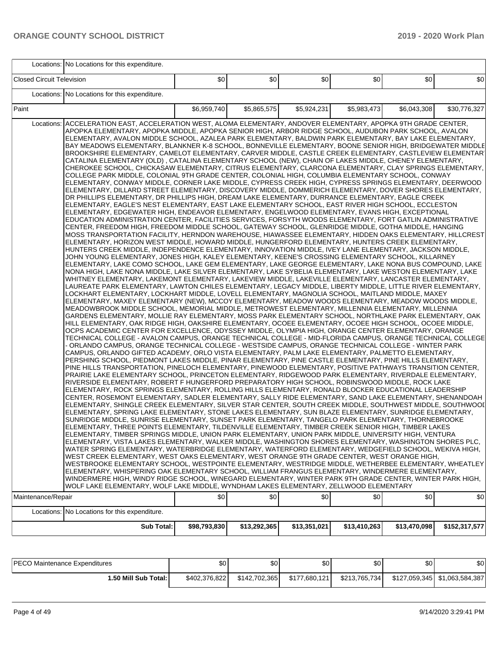|                                  | Locations: No Locations for this expenditure.                                                                                                                                                                                                                                                                                                                                                                                                                                                                                                                                                                                                                                                                                                                                                                                                                                                                                                                                                                                                                                                                                                                                                                                                                                                                                                                                                                                                                                                                                                                                                                                                                                                                                                                                                                                                                                                                                                                                                                                                                                                                                                                                                                                                                                                                                                                                                                                                                                                                                                                                                                                                                                                                                                                                                                                                                                                                                                                                                                                                                                                                                                                                                                                                                                                                                                                                                                                                                                                                                                                                                                                                                                                                                                                                                                                                                                                                                                                                                                                                                                                                                                                                                                                                                                                                                                                                                                                                                                                                                                                                                                                                                                                                                                                                                                                                                                                                                                                                                                                                                                                                                                                                                                                                                                                                                                                                                                                                 |              |              |              |              |              |               |
|----------------------------------|-----------------------------------------------------------------------------------------------------------------------------------------------------------------------------------------------------------------------------------------------------------------------------------------------------------------------------------------------------------------------------------------------------------------------------------------------------------------------------------------------------------------------------------------------------------------------------------------------------------------------------------------------------------------------------------------------------------------------------------------------------------------------------------------------------------------------------------------------------------------------------------------------------------------------------------------------------------------------------------------------------------------------------------------------------------------------------------------------------------------------------------------------------------------------------------------------------------------------------------------------------------------------------------------------------------------------------------------------------------------------------------------------------------------------------------------------------------------------------------------------------------------------------------------------------------------------------------------------------------------------------------------------------------------------------------------------------------------------------------------------------------------------------------------------------------------------------------------------------------------------------------------------------------------------------------------------------------------------------------------------------------------------------------------------------------------------------------------------------------------------------------------------------------------------------------------------------------------------------------------------------------------------------------------------------------------------------------------------------------------------------------------------------------------------------------------------------------------------------------------------------------------------------------------------------------------------------------------------------------------------------------------------------------------------------------------------------------------------------------------------------------------------------------------------------------------------------------------------------------------------------------------------------------------------------------------------------------------------------------------------------------------------------------------------------------------------------------------------------------------------------------------------------------------------------------------------------------------------------------------------------------------------------------------------------------------------------------------------------------------------------------------------------------------------------------------------------------------------------------------------------------------------------------------------------------------------------------------------------------------------------------------------------------------------------------------------------------------------------------------------------------------------------------------------------------------------------------------------------------------------------------------------------------------------------------------------------------------------------------------------------------------------------------------------------------------------------------------------------------------------------------------------------------------------------------------------------------------------------------------------------------------------------------------------------------------------------------------------------------------------------------------------------------------------------------------------------------------------------------------------------------------------------------------------------------------------------------------------------------------------------------------------------------------------------------------------------------------------------------------------------------------------------------------------------------------------------------------------------------------------------------------------------------------------------------------------------------------------------------------------------------------------------------------------------------------------------------------------------------------------------------------------------------------------------------------------------------------------------------------------------------------------------------------------------------------------------------------------------------------------------------------------------------------------------------------------|--------------|--------------|--------------|--------------|--------------|---------------|
| <b>Closed Circuit Television</b> |                                                                                                                                                                                                                                                                                                                                                                                                                                                                                                                                                                                                                                                                                                                                                                                                                                                                                                                                                                                                                                                                                                                                                                                                                                                                                                                                                                                                                                                                                                                                                                                                                                                                                                                                                                                                                                                                                                                                                                                                                                                                                                                                                                                                                                                                                                                                                                                                                                                                                                                                                                                                                                                                                                                                                                                                                                                                                                                                                                                                                                                                                                                                                                                                                                                                                                                                                                                                                                                                                                                                                                                                                                                                                                                                                                                                                                                                                                                                                                                                                                                                                                                                                                                                                                                                                                                                                                                                                                                                                                                                                                                                                                                                                                                                                                                                                                                                                                                                                                                                                                                                                                                                                                                                                                                                                                                                                                                                                                               | \$0          | \$0          | \$0          | \$0          | \$0          | \$0           |
|                                  | Locations: No Locations for this expenditure.                                                                                                                                                                                                                                                                                                                                                                                                                                                                                                                                                                                                                                                                                                                                                                                                                                                                                                                                                                                                                                                                                                                                                                                                                                                                                                                                                                                                                                                                                                                                                                                                                                                                                                                                                                                                                                                                                                                                                                                                                                                                                                                                                                                                                                                                                                                                                                                                                                                                                                                                                                                                                                                                                                                                                                                                                                                                                                                                                                                                                                                                                                                                                                                                                                                                                                                                                                                                                                                                                                                                                                                                                                                                                                                                                                                                                                                                                                                                                                                                                                                                                                                                                                                                                                                                                                                                                                                                                                                                                                                                                                                                                                                                                                                                                                                                                                                                                                                                                                                                                                                                                                                                                                                                                                                                                                                                                                                                 |              |              |              |              |              |               |
| Paint                            |                                                                                                                                                                                                                                                                                                                                                                                                                                                                                                                                                                                                                                                                                                                                                                                                                                                                                                                                                                                                                                                                                                                                                                                                                                                                                                                                                                                                                                                                                                                                                                                                                                                                                                                                                                                                                                                                                                                                                                                                                                                                                                                                                                                                                                                                                                                                                                                                                                                                                                                                                                                                                                                                                                                                                                                                                                                                                                                                                                                                                                                                                                                                                                                                                                                                                                                                                                                                                                                                                                                                                                                                                                                                                                                                                                                                                                                                                                                                                                                                                                                                                                                                                                                                                                                                                                                                                                                                                                                                                                                                                                                                                                                                                                                                                                                                                                                                                                                                                                                                                                                                                                                                                                                                                                                                                                                                                                                                                                               | \$6,959,740  | \$5,865,575  | \$5,924,231  | \$5,983,473  | \$6,043,308  | \$30,776,327  |
| Locations:<br>Maintenance/Repair | ACCELERATION EAST, ACCELERATION WEST, ALOMA ELEMENTARY, ANDOVER ELEMENTARY, APOPKA 9TH GRADE CENTER,<br>APOPKA ELEMENTARY, APOPKA MIDDLE, APOPKA SENIOR HIGH, ARBOR RIDGE SCHOOL, AUDUBON PARK SCHOOL, AVALON<br>ELEMENTARY, AVALON MIDDLE SCHOOL, AZALEA PARK ELEMENTARY, BALDWIN PARK ELEMENTARY, BAY LAKE ELEMENTARY,<br>BAY MEADOWS ELEMENTARY, BLANKNER K-8 SCHOOL, BONNEVILLE ELEMENTARY, BOONE SENIOR HIGH, BRIDGEWATER MIDDLE<br>BROOKSHIRE ELEMENTARY, CAMELOT ELEMENTARY, CARVER MIDDLE, CASTLE CREEK ELEMENTARY, CASTLEVIEW ELEMENTAR'<br>CATALINA ELEMENTARY (OLD), CATALINA ELEMENTARY SCHOOL (NEW), CHAIN OF LAKES MIDDLE, CHENEY ELEMENTARY,<br>CHEROKEE SCHOOL, CHICKASAW ELEMENTARY, CITRUS ELEMENTARY, CLARCONA ELEMENTARY, CLAY SPRINGS ELEMENTARY,<br>COLLEGE PARK MIDDLE, COLONIAL 9TH GRADE CENTER, COLONIAL HIGH, COLUMBIA ELEMENTARY SCHOOL, CONWAY<br>ELEMENTARY, CONWAY MIDDLE, CORNER LAKE MIDDLE, CYPRESS CREEK HIGH, CYPRESS SPRINGS ELEMENTARY, DEERWOOD<br>ELEMENTARY, DILLARD STREET ELEMENTARY, DISCOVERY MIDDLE, DOMMERICH ELEMENTARY, DOVER SHORES ELEMENTARY,<br>DR PHILLIPS ELEMENTARY, DR PHILLIPS HIGH, DREAM LAKE ELEMENTARY, DURRANCE ELEMENTARY, EAGLE CREEK<br>ELEMENTARY, EAGLE'S NEST ELEMENTARY, EAST LAKE ELEMENTARY SCHOOL, EAST RIVER HIGH SCHOOL, ECCLESTON<br>ELEMENTARY, EDGEWATER HIGH, ENDEAVOR ELEMENTARY, ENGELWOOD ELEMENTARY, EVANS HIGH, EXCEPTIONAL<br>EDUCATION ADMINISTRATION CENTER, FACILITIES SERVICES, FORSYTH WOODS ELEMENTARY, FORT GATLIN ADMINISTRATIVE<br>CENTER, FREEDOM HIGH, FREEDOM MIDDLE SCHOOL, GATEWAY SCHOOL, GLENRIDGE MIDDLE, GOTHA MIDDLE, HANGING<br>MOSS TRANSPORTATION FACILITY, HERNDON WAREHOUSE, HIAWASSEE ELEMENTARY, HIDDEN OAKS ELEMENTARY, HILLCREST<br>ELEMENTARY, HORIZON WEST MIDDLE, HOWARD MIDDLE, HUNGERFORD ELEMENTARY, HUNTERS CREEK ELEMENTARY,<br>HUNTERS CREEK MIDDLE, INDEPENDENCE ELEMENTARY, INNOVATION MIDDLE, IVEY LANE ELEMENTARY, JACKSON MIDDLE,<br>JOHN YOUNG ELEMENTARY, JONES HIGH, KALEY ELEMENTARY, KEENE'S CROSSING ELEMENTARY SCHOOL, KILLARNEY<br>ELEMENTARY, LAKE COMO SCHOOL, LAKE GEM ELEMENTARY, LAKE GEORGE ELEMENTARY, LAKE NONA BUS COMPOUND, LAKE<br>NONA HIGH, LAKE NONA MIDDLE, LAKE SILVER ELEMENTARY, LAKE SYBELIA ELEMENTARY, LAKE WESTON ELEMENTARY, LAKE<br>WHITNEY ELEMENTARY, LAKEMONT ELEMENTARY, LAKEVIEW MIDDLE, LAKEVILLE ELEMENTARY, LANCASTER ELEMENTARY,<br>LAUREATE PARK ELEMENTARY, LAWTON CHILES ELEMENTARY, LEGACY MIDDLE, LIBERTY MIDDLE, LITTLE RIVER ELEMENTARY,<br>LOCKHART ELEMENTARY, LOCKHART MIDDLE, LOVELL ELEMENTARY, MAGNOLIA SCHOOL, MAITLAND MIDDLE, MAXEY<br>ELEMENTARY, MAXEY ELEMENTARY (NEW), MCCOY ELEMENTARY, MEADOW WOODS ELEMENTARY, MEADOW WOODS MIDDLE,<br>MEADOWBROOK MIDDLE SCHOOL, MEMORIAL MIDDLE, METROWEST ELEMENTARY, MILLENNIA ELEMENTARY, MILLENNIA<br>GARDENS ELEMENTARY, MOLLIE RAY ELEMENTARY, MOSS PARK ELEMENTARY SCHOOL, NORTHLAKE PARK ELEMENTARY, OAK<br>HILL ELEMENTARY, OAK RIDGE HIGH, OAKSHIRE ELEMENTARY, OCOEE ELEMENTARY, OCOEE HIGH SCHOOL, OCOEE MIDDLE,<br>OCPS ACADEMIC CENTER FOR EXCELLENCE, ODYSSEY MIDDLE, OLYMPIA HIGH, ORANGE CENTER ELEMENTARY, ORANGE<br>TECHNICAL COLLEGE - AVALON CAMPUS, ORANGE TECHNICAL COLLEGE - MID-FLORIDA CAMPUS, ORANGE TECHNICAL COLLEGE<br>- ORLANDO CAMPUS, ORANGE TECHNICAL COLLEGE - WESTSIDE CAMPUS, ORANGE TECHNICAL COLLEGE - WINTER PARK<br>CAMPUS, ORLANDO GIFTED ACADEMY, ORLO VISTA ELEMENTARY, PALM LAKE ELEMENTARY, PALMETTO ELEMENTARY,<br>PERSHING SCHOOL, PIEDMONT LAKES MIDDLE, PINAR ELEMENTARY, PINE CASTLE ELEMENTARY, PINE HILLS ELEMENTARY,<br>PINE HILLS TRANSPORTATION, PINELOCH ELEMENTARY, PINEWOOD ELEMENTARY, POSITIVE PATHWAYS TRANSITION CENTER,<br>PRAIRIE LAKE ELEMENTARY SCHOOL, PRINCETON ELEMENTARY, RIDGEWOOD PARK ELEMENTARY, RIVERDALE ELEMENTARY,<br>RIVERSIDE ELEMENTARY, ROBERT F HUNGERFORD PREPARATORY HIGH SCHOOL, ROBINSWOOD MIDDLE, ROCK LAKE<br>ELEMENTARY, ROCK SPRINGS ELEMENTARY, ROLLING HILLS ELEMENTARY, RONALD BLOCKER EDUCATIONAL LEADERSHIP<br>CENTER, ROSEMONT ELEMENTARY, SADLER ELEMENTARY, SALLY RIDE ELEMENTARY, SAND LAKE ELEMENTARY, SHENANDOAH<br>ELEMENTARY, SHINGLE CREEK ELEMENTARY, SILVER STAR CENTER, SOUTH CREEK MIDDLE, SOUTHWEST MIDDLE, SOUTHWOOI<br>ELEMENTARY, SPRING LAKE ELEMENTARY, STONE LAKES ELEMENTARY, SUN BLAZE ELEMENTARY, SUNRIDGE ELEMENTARY,<br>SUNRIDGE MIDDLE, SUNRISE ELEMENTARY, SUNSET PARK ELEMENTARY, TANGELO PARK ELEMENTARY, THORNEBROOKE<br>ELEMENTARY, THREE POINTS ELEMENTARY, TILDENVILLE ELEMENTARY, TIMBER CREEK SENIOR HIGH, TIMBER LAKES<br>ELEMENTARY, TIMBER SPRINGS MIDDLE, UNION PARK ELEMENTARY, UNION PARK MIDDLE, UNIVERSITY HIGH, VENTURA<br>ELEMENTARY, VISTA LAKES ELEMENTARY, WALKER MIDDLE, WASHINGTON SHORES ELEMENTARY, WASHINGTON SHORES PLC,<br>WATER SPRING ELEMENTARY, WATERBRIDGE ELEMENTARY, WATERFORD ELEMENTARY, WEDGEFIELD SCHOOL, WEKIVA HIGH,<br>WEST CREEK ELEMENTARY, WEST OAKS ELEMENTARY, WEST ORANGE 9TH GRADE CENTER, WEST ORANGE HIGH,<br>WESTBROOKE ELEMENTARY SCHOOL, WESTPOINTE ELEMENTARY, WESTRIDGE MIDDLE, WETHERBEE ELEMENTARY, WHEATLEY<br>ELEMENTARY, WHISPERING OAK ELEMENTARY SCHOOL, WILLIAM FRANGUS ELEMENTARY, WINDERMERE ELEMENTARY,<br>WINDERMERE HIGH, WINDY RIDGE SCHOOL, WINEGARD ELEMENTARY, WINTER PARK 9TH GRADE CENTER, WINTER PARK HIGH,<br>WOLF LAKE ELEMENTARY, WOLF LAKE MIDDLE, WYNDHAM LAKES ELEMENTARY, ZELLWOOD ELEMENTARY | \$0          | \$0          | \$0          | \$0          | \$0          | \$0           |
|                                  | Locations: No Locations for this expenditure.                                                                                                                                                                                                                                                                                                                                                                                                                                                                                                                                                                                                                                                                                                                                                                                                                                                                                                                                                                                                                                                                                                                                                                                                                                                                                                                                                                                                                                                                                                                                                                                                                                                                                                                                                                                                                                                                                                                                                                                                                                                                                                                                                                                                                                                                                                                                                                                                                                                                                                                                                                                                                                                                                                                                                                                                                                                                                                                                                                                                                                                                                                                                                                                                                                                                                                                                                                                                                                                                                                                                                                                                                                                                                                                                                                                                                                                                                                                                                                                                                                                                                                                                                                                                                                                                                                                                                                                                                                                                                                                                                                                                                                                                                                                                                                                                                                                                                                                                                                                                                                                                                                                                                                                                                                                                                                                                                                                                 |              |              |              |              |              |               |
|                                  | Sub Total:                                                                                                                                                                                                                                                                                                                                                                                                                                                                                                                                                                                                                                                                                                                                                                                                                                                                                                                                                                                                                                                                                                                                                                                                                                                                                                                                                                                                                                                                                                                                                                                                                                                                                                                                                                                                                                                                                                                                                                                                                                                                                                                                                                                                                                                                                                                                                                                                                                                                                                                                                                                                                                                                                                                                                                                                                                                                                                                                                                                                                                                                                                                                                                                                                                                                                                                                                                                                                                                                                                                                                                                                                                                                                                                                                                                                                                                                                                                                                                                                                                                                                                                                                                                                                                                                                                                                                                                                                                                                                                                                                                                                                                                                                                                                                                                                                                                                                                                                                                                                                                                                                                                                                                                                                                                                                                                                                                                                                                    | \$98,793,830 | \$13,292,365 | \$13,351,021 | \$13,410,263 | \$13,470,098 | \$152,317,577 |

| <b>PECO Maintenance Expenditures</b> | ا \$0         | \$0           | <b>\$01</b>   | \$0           | \$0 <sub>1</sub> | \$0                             |
|--------------------------------------|---------------|---------------|---------------|---------------|------------------|---------------------------------|
| 1.50 Mill Sub Total: I               | \$402.376.822 | \$142.702.365 | \$177,680,121 | \$213.765.734 |                  | \$127,059,345   \$1,063,584,387 |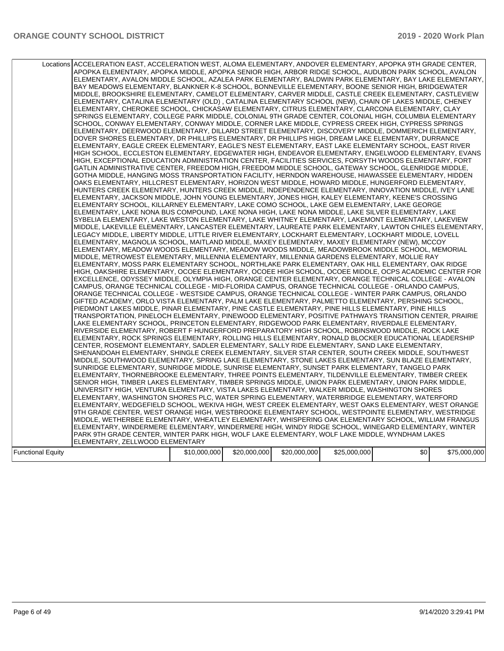|                          | Locations ACCELERATION EAST, ACCELERATION WEST, ALOMA ELEMENTARY, ANDOVER ELEMENTARY, APOPKA 9TH GRADE CENTER,<br>APOPKA ELEMENTARY, APOPKA MIDDLE, APOPKA SENIOR HIGH, ARBOR RIDGE SCHOOL, AUDUBON PARK SCHOOL, AVALON<br>ELEMENTARY, AVALON MIDDLE SCHOOL, AZALEA PARK ELEMENTARY, BALDWIN PARK ELEMENTARY, BAY LAKE ELEMENTARY,<br>BAY MEADOWS ELEMENTARY, BLANKNER K-8 SCHOOL, BONNEVILLE ELEMENTARY, BOONE SENIOR HIGH, BRIDGEWATER<br>MIDDLE, BROOKSHIRE ELEMENTARY, CAMELOT ELEMENTARY, CARVER MIDDLE, CASTLE CREEK ELEMENTARY, CASTLEVIEW<br>ELEMENTARY, CATALINA ELEMENTARY (OLD), CATALINA ELEMENTARY SCHOOL (NEW), CHAIN OF LAKES MIDDLE, CHENEY<br>ELEMENTARY, CHEROKEE SCHOOL, CHICKASAW ELEMENTARY, CITRUS ELEMENTARY, CLARCONA ELEMENTARY, CLAY<br>SPRINGS ELEMENTARY, COLLEGE PARK MIDDLE, COLONIAL 9TH GRADE CENTER, COLONIAL HIGH, COLUMBIA ELEMENTARY<br>SCHOOL, CONWAY ELEMENTARY, CONWAY MIDDLE, CORNER LAKE MIDDLE, CYPRESS CREEK HIGH, CYPRESS SPRINGS<br>ELEMENTARY, DEERWOOD ELEMENTARY, DILLARD STREET ELEMENTARY, DISCOVERY MIDDLE, DOMMERICH ELEMENTARY,<br>DOVER SHORES ELEMENTARY, DR PHILLIPS ELEMENTARY, DR PHILLIPS HIGH, DREAM LAKE ELEMENTARY, DURRANCE<br>ELEMENTARY, EAGLE CREEK ELEMENTARY, EAGLE'S NEST ELEMENTARY, EAST LAKE ELEMENTARY SCHOOL, EAST RIVER<br>HIGH SCHOOL, ECCLESTON ELEMENTARY, EDGEWATER HIGH, ENDEAVOR ELEMENTARY, ENGELWOOD ELEMENTARY, EVANS<br>HIGH, EXCEPTIONAL EDUCATION ADMINISTRATION CENTER, FACILITIES SERVICES, FORSYTH WOODS ELEMENTARY, FORT<br>GATLIN ADMINISTRATIVE CENTER. FREEDOM HIGH. FREEDOM MIDDLE SCHOOL. GATEWAY SCHOOL. GLENRIDGE MIDDLE.<br>GOTHA MIDDLE, HANGING MOSS TRANSPORTATION FACILITY, HERNDON WAREHOUSE, HIAWASSEE ELEMENTARY, HIDDEN<br>OAKS ELEMENTARY. HILLCREST ELEMENTARY. HORIZON WEST MIDDLE. HOWARD MIDDLE. HUNGERFORD ELEMENTARY.<br>HUNTERS CREEK ELEMENTARY, HUNTERS CREEK MIDDLE, INDEPENDENCE ELEMENTARY, INNOVATION MIDDLE, IVEY LANE<br>ELEMENTARY, JACKSON MIDDLE, JOHN YOUNG ELEMENTARY, JONES HIGH, KALEY ELEMENTARY, KEENE'S CROSSING<br>ELEMENTARY SCHOOL, KILLARNEY ELEMENTARY, LAKE COMO SCHOOL, LAKE GEM ELEMENTARY, LAKE GEORGE<br>ELEMENTARY, LAKE NONA BUS COMPOUND, LAKE NONA HIGH, LAKE NONA MIDDLE, LAKE SILVER ELEMENTARY, LAKE<br>SYBELIA ELEMENTARY, LAKE WESTON ELEMENTARY, LAKE WHITNEY ELEMENTARY, LAKEMONT ELEMENTARY, LAKEVIEW<br>MIDDLE, LAKEVILLE ELEMENTARY, LANCASTER ELEMENTARY, LAUREATE PARK ELEMENTARY, LAWTON CHILES ELEMENTARY,<br>LEGACY MIDDLE, LIBERTY MIDDLE, LITTLE RIVER ELEMENTARY, LOCKHART ELEMENTARY, LOCKHART MIDDLE, LOVELL<br>ELEMENTARY, MAGNOLIA SCHOOL, MAITLAND MIDDLE, MAXEY ELEMENTARY, MAXEY ELEMENTARY (NEW), MCCOY<br>ELEMENTARY, MEADOW WOODS ELEMENTARY, MEADOW WOODS MIDDLE, MEADOWBROOK MIDDLE SCHOOL, MEMORIAL<br>MIDDLE, METROWEST ELEMENTARY, MILLENNIA ELEMENTARY, MILLENNIA GARDENS ELEMENTARY, MOLLIE RAY<br>ELEMENTARY, MOSS PARK ELEMENTARY SCHOOL, NORTHLAKE PARK ELEMENTARY, OAK HILL ELEMENTARY, OAK RIDGE<br>HIGH, OAKSHIRE ELEMENTARY, OCOEE ELEMENTARY, OCOEE HIGH SCHOOL, OCOEE MIDDLE, OCPS ACADEMIC CENTER FOR<br>EXCELLENCE, ODYSSEY MIDDLE, OLYMPIA HIGH, ORANGE CENTER ELEMENTARY, ORANGE TECHNICAL COLLEGE - AVALON<br>CAMPUS, ORANGE TECHNICAL COLLEGE - MID-FLORIDA CAMPUS, ORANGE TECHNICAL COLLEGE - ORLANDO CAMPUS,<br>ORANGE TECHNICAL COLLEGE - WESTSIDE CAMPUS, ORANGE TECHNICAL COLLEGE - WINTER PARK CAMPUS, ORLANDO<br>GIFTED ACADEMY, ORLO VISTA ELEMENTARY, PALM LAKE ELEMENTARY, PALMETTO ELEMENTARY, PERSHING SCHOOL,<br>PIEDMONT LAKES MIDDLE, PINAR ELEMENTARY, PINE CASTLE ELEMENTARY, PINE HILLS ELEMENTARY, PINE HILLS<br>TRANSPORTATION, PINELOCH ELEMENTARY, PINEWOOD ELEMENTARY, POSITIVE PATHWAYS TRANSITION CENTER, PRAIRIE<br>LAKE ELEMENTARY SCHOOL, PRINCETON ELEMENTARY, RIDGEWOOD PARK ELEMENTARY, RIVERDALE ELEMENTARY,<br>RIVERSIDE ELEMENTARY, ROBERT F HUNGERFORD PREPARATORY HIGH SCHOOL, ROBINSWOOD MIDDLE, ROCK LAKE<br>ELEMENTARY, ROCK SPRINGS ELEMENTARY, ROLLING HILLS ELEMENTARY, RONALD BLOCKER EDUCATIONAL LEADERSHIP<br>CENTER, ROSEMONT ELEMENTARY, SADLER ELEMENTARY, SALLY RIDE ELEMENTARY, SAND LAKE ELEMENTARY,<br>SHENANDOAH ELEMENTARY, SHINGLE CREEK ELEMENTARY, SILVER STAR CENTER, SOUTH CREEK MIDDLE, SOUTHWEST<br>MIDDLE, SOUTHWOOD ELEMENTARY, SPRING LAKE ELEMENTARY, STONE LAKES ELEMENTARY, SUN BLAZE ELEMENTARY,<br>SUNRIDGE ELEMENTARY, SUNRIDGE MIDDLE, SUNRISE ELEMENTARY, SUNSET PARK ELEMENTARY, TANGELO PARK<br>ELEMENTARY, THORNEBROOKE ELEMENTARY, THREE POINTS ELEMENTARY, TILDENVILLE ELEMENTARY, TIMBER CREEK<br>SENIOR HIGH, TIMBER LAKES ELEMENTARY, TIMBER SPRINGS MIDDLE, UNION PARK ELEMENTARY, UNION PARK MIDDLE,<br>UNIVERSITY HIGH, VENTURA ELEMENTARY, VISTA LAKES ELEMENTARY, WALKER MIDDLE, WASHINGTON SHORES<br>ELEMENTARY, WASHINGTON SHORES PLC, WATER SPRING ELEMENTARY, WATERBRIDGE ELEMENTARY, WATERFORD<br>ELEMENTARY, WEDGEFIELD SCHOOL, WEKIVA HIGH, WEST CREEK ELEMENTARY, WEST OAKS ELEMENTARY, WEST ORANGE<br>9TH GRADE CENTER, WEST ORANGE HIGH, WESTBROOKE ELEMENTARY SCHOOL, WESTPOINTE ELEMENTARY, WESTRIDGE<br>MIDDLE, WETHERBEE ELEMENTARY, WHEATLEY ELEMENTARY, WHISPERING OAK ELEMENTARY SCHOOL, WILLIAM FRANGUS<br>ELEMENTARY, WINDERMERE ELEMENTARY, WINDERMERE HIGH, WINDY RIDGE SCHOOL, WINEGARD ELEMENTARY, WINTER<br>PARK 9TH GRADE CENTER, WINTER PARK HIGH, WOLF LAKE ELEMENTARY, WOLF LAKE MIDDLE, WYNDHAM LAKES<br>ELEMENTARY, ZELLWOOD ELEMENTARY |              |              |              |              |     |              |
|--------------------------|-----------------------------------------------------------------------------------------------------------------------------------------------------------------------------------------------------------------------------------------------------------------------------------------------------------------------------------------------------------------------------------------------------------------------------------------------------------------------------------------------------------------------------------------------------------------------------------------------------------------------------------------------------------------------------------------------------------------------------------------------------------------------------------------------------------------------------------------------------------------------------------------------------------------------------------------------------------------------------------------------------------------------------------------------------------------------------------------------------------------------------------------------------------------------------------------------------------------------------------------------------------------------------------------------------------------------------------------------------------------------------------------------------------------------------------------------------------------------------------------------------------------------------------------------------------------------------------------------------------------------------------------------------------------------------------------------------------------------------------------------------------------------------------------------------------------------------------------------------------------------------------------------------------------------------------------------------------------------------------------------------------------------------------------------------------------------------------------------------------------------------------------------------------------------------------------------------------------------------------------------------------------------------------------------------------------------------------------------------------------------------------------------------------------------------------------------------------------------------------------------------------------------------------------------------------------------------------------------------------------------------------------------------------------------------------------------------------------------------------------------------------------------------------------------------------------------------------------------------------------------------------------------------------------------------------------------------------------------------------------------------------------------------------------------------------------------------------------------------------------------------------------------------------------------------------------------------------------------------------------------------------------------------------------------------------------------------------------------------------------------------------------------------------------------------------------------------------------------------------------------------------------------------------------------------------------------------------------------------------------------------------------------------------------------------------------------------------------------------------------------------------------------------------------------------------------------------------------------------------------------------------------------------------------------------------------------------------------------------------------------------------------------------------------------------------------------------------------------------------------------------------------------------------------------------------------------------------------------------------------------------------------------------------------------------------------------------------------------------------------------------------------------------------------------------------------------------------------------------------------------------------------------------------------------------------------------------------------------------------------------------------------------------------------------------------------------------------------------------------------------------------------------------------------------------------------------------------------------------------------------------------------------------------------------------------------------------------------------------------------------------------------------------------------------------------------------------------------------------------------------------------------------------------------------------------------------------------------------------------------------------------------------------------------------------------------------------------------------------------------------------------------------------------------------------------------------------------------|--------------|--------------|--------------|--------------|-----|--------------|
|                          |                                                                                                                                                                                                                                                                                                                                                                                                                                                                                                                                                                                                                                                                                                                                                                                                                                                                                                                                                                                                                                                                                                                                                                                                                                                                                                                                                                                                                                                                                                                                                                                                                                                                                                                                                                                                                                                                                                                                                                                                                                                                                                                                                                                                                                                                                                                                                                                                                                                                                                                                                                                                                                                                                                                                                                                                                                                                                                                                                                                                                                                                                                                                                                                                                                                                                                                                                                                                                                                                                                                                                                                                                                                                                                                                                                                                                                                                                                                                                                                                                                                                                                                                                                                                                                                                                                                                                                                                                                                                                                                                                                                                                                                                                                                                                                                                                                                                                                                                                                                                                                                                                                                                                                                                                                                                                                                                                                                                                                                                 |              |              |              |              |     |              |
| <b>Functional Equity</b> |                                                                                                                                                                                                                                                                                                                                                                                                                                                                                                                                                                                                                                                                                                                                                                                                                                                                                                                                                                                                                                                                                                                                                                                                                                                                                                                                                                                                                                                                                                                                                                                                                                                                                                                                                                                                                                                                                                                                                                                                                                                                                                                                                                                                                                                                                                                                                                                                                                                                                                                                                                                                                                                                                                                                                                                                                                                                                                                                                                                                                                                                                                                                                                                                                                                                                                                                                                                                                                                                                                                                                                                                                                                                                                                                                                                                                                                                                                                                                                                                                                                                                                                                                                                                                                                                                                                                                                                                                                                                                                                                                                                                                                                                                                                                                                                                                                                                                                                                                                                                                                                                                                                                                                                                                                                                                                                                                                                                                                                                 | \$10,000,000 | \$20,000,000 | \$20,000,000 | \$25,000,000 | \$0 | \$75,000,000 |
|                          |                                                                                                                                                                                                                                                                                                                                                                                                                                                                                                                                                                                                                                                                                                                                                                                                                                                                                                                                                                                                                                                                                                                                                                                                                                                                                                                                                                                                                                                                                                                                                                                                                                                                                                                                                                                                                                                                                                                                                                                                                                                                                                                                                                                                                                                                                                                                                                                                                                                                                                                                                                                                                                                                                                                                                                                                                                                                                                                                                                                                                                                                                                                                                                                                                                                                                                                                                                                                                                                                                                                                                                                                                                                                                                                                                                                                                                                                                                                                                                                                                                                                                                                                                                                                                                                                                                                                                                                                                                                                                                                                                                                                                                                                                                                                                                                                                                                                                                                                                                                                                                                                                                                                                                                                                                                                                                                                                                                                                                                                 |              |              |              |              |     |              |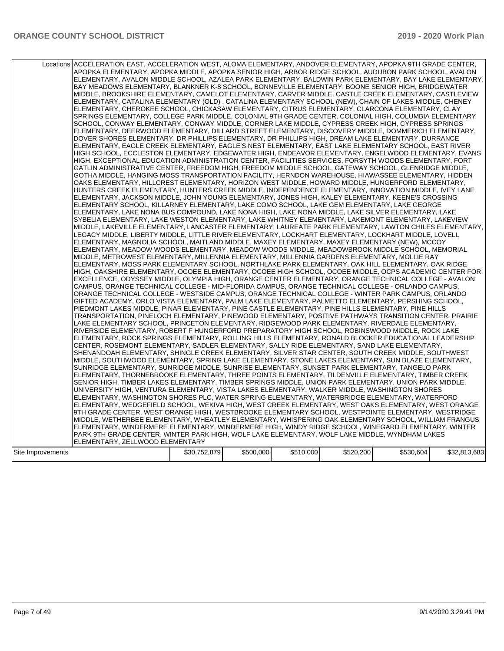|                   | Locations ACCELERATION EAST, ACCELERATION WEST, ALOMA ELEMENTARY, ANDOVER ELEMENTARY, APOPKA 9TH GRADE CENTER,<br>APOPKA ELEMENTARY, APOPKA MIDDLE, APOPKA SENIOR HIGH, ARBOR RIDGE SCHOOL, AUDUBON PARK SCHOOL, AVALON<br>ELEMENTARY, AVALON MIDDLE SCHOOL, AZALEA PARK ELEMENTARY, BALDWIN PARK ELEMENTARY, BAY LAKE ELEMENTARY,<br>BAY MEADOWS ELEMENTARY, BLANKNER K-8 SCHOOL, BONNEVILLE ELEMENTARY, BOONE SENIOR HIGH, BRIDGEWATER<br>MIDDLE, BROOKSHIRE ELEMENTARY, CAMELOT ELEMENTARY, CARVER MIDDLE, CASTLE CREEK ELEMENTARY, CASTLEVIEW<br>ELEMENTARY, CATALINA ELEMENTARY (OLD), CATALINA ELEMENTARY SCHOOL (NEW), CHAIN OF LAKES MIDDLE, CHENEY<br>ELEMENTARY, CHEROKEE SCHOOL, CHICKASAW ELEMENTARY, CITRUS ELEMENTARY, CLARCONA ELEMENTARY, CLAY<br>SPRINGS ELEMENTARY, COLLEGE PARK MIDDLE, COLONIAL 9TH GRADE CENTER, COLONIAL HIGH, COLUMBIA ELEMENTARY<br>SCHOOL, CONWAY ELEMENTARY, CONWAY MIDDLE, CORNER LAKE MIDDLE, CYPRESS CREEK HIGH, CYPRESS SPRINGS<br>ELEMENTARY, DEERWOOD ELEMENTARY, DILLARD STREET ELEMENTARY, DISCOVERY MIDDLE, DOMMERICH ELEMENTARY,<br>DOVER SHORES ELEMENTARY, DR PHILLIPS ELEMENTARY, DR PHILLIPS HIGH, DREAM LAKE ELEMENTARY, DURRANCE<br>ELEMENTARY, EAGLE CREEK ELEMENTARY, EAGLE'S NEST ELEMENTARY, EAST LAKE ELEMENTARY SCHOOL, EAST RIVER<br>HIGH SCHOOL, ECCLESTON ELEMENTARY, EDGEWATER HIGH, ENDEAVOR ELEMENTARY, ENGELWOOD ELEMENTARY, EVANS<br>HIGH, EXCEPTIONAL EDUCATION ADMINISTRATION CENTER, FACILITIES SERVICES, FORSYTH WOODS ELEMENTARY, FORT<br>GATLIN ADMINISTRATIVE CENTER, FREEDOM HIGH, FREEDOM MIDDLE SCHOOL, GATEWAY SCHOOL, GLENRIDGE MIDDLE,<br>GOTHA MIDDLE, HANGING MOSS TRANSPORTATION FACILITY, HERNDON WAREHOUSE, HIAWASSEE ELEMENTARY, HIDDEN<br>OAKS ELEMENTARY. HILLCREST ELEMENTARY. HORIZON WEST MIDDLE. HOWARD MIDDLE. HUNGERFORD ELEMENTARY.<br>HUNTERS CREEK ELEMENTARY, HUNTERS CREEK MIDDLE, INDEPENDENCE ELEMENTARY, INNOVATION MIDDLE, IVEY LANE<br>ELEMENTARY, JACKSON MIDDLE, JOHN YOUNG ELEMENTARY, JONES HIGH, KALEY ELEMENTARY, KEENE'S CROSSING<br>ELEMENTARY SCHOOL, KILLARNEY ELEMENTARY, LAKE COMO SCHOOL, LAKE GEM ELEMENTARY, LAKE GEORGE<br>ELEMENTARY, LAKE NONA BUS COMPOUND, LAKE NONA HIGH, LAKE NONA MIDDLE, LAKE SILVER ELEMENTARY, LAKE<br>SYBELIA ELEMENTARY, LAKE WESTON ELEMENTARY, LAKE WHITNEY ELEMENTARY, LAKEMONT ELEMENTARY, LAKEVIEW<br>MIDDLE, LAKEVILLE ELEMENTARY, LANCASTER ELEMENTARY, LAUREATE PARK ELEMENTARY, LAWTON CHILES ELEMENTARY,<br>LEGACY MIDDLE, LIBERTY MIDDLE, LITTLE RIVER ELEMENTARY, LOCKHART ELEMENTARY, LOCKHART MIDDLE, LOVELL<br>ELEMENTARY, MAGNOLIA SCHOOL, MAITLAND MIDDLE, MAXEY ELEMENTARY, MAXEY ELEMENTARY (NEW), MCCOY<br>ELEMENTARY, MEADOW WOODS ELEMENTARY, MEADOW WOODS MIDDLE, MEADOWBROOK MIDDLE SCHOOL, MEMORIAL<br>MIDDLE, METROWEST ELEMENTARY, MILLENNIA ELEMENTARY, MILLENNIA GARDENS ELEMENTARY, MOLLIE RAY<br>ELEMENTARY, MOSS PARK ELEMENTARY SCHOOL, NORTHLAKE PARK ELEMENTARY, OAK HILL ELEMENTARY, OAK RIDGE<br>HIGH, OAKSHIRE ELEMENTARY, OCOEE ELEMENTARY, OCOEE HIGH SCHOOL, OCOEE MIDDLE, OCPS ACADEMIC CENTER FOR<br>EXCELLENCE, ODYSSEY MIDDLE, OLYMPIA HIGH, ORANGE CENTER ELEMENTARY, ORANGE TECHNICAL COLLEGE - AVALON<br>CAMPUS, ORANGE TECHNICAL COLLEGE - MID-FLORIDA CAMPUS, ORANGE TECHNICAL COLLEGE - ORLANDO CAMPUS,<br>ORANGE TECHNICAL COLLEGE - WESTSIDE CAMPUS, ORANGE TECHNICAL COLLEGE - WINTER PARK CAMPUS, ORLANDO<br>GIFTED ACADEMY, ORLO VISTA ELEMENTARY, PALM LAKE ELEMENTARY, PALMETTO ELEMENTARY, PERSHING SCHOOL,<br>PIEDMONT LAKES MIDDLE, PINAR ELEMENTARY, PINE CASTLE ELEMENTARY, PINE HILLS ELEMENTARY, PINE HILLS<br>TRANSPORTATION, PINELOCH ELEMENTARY, PINEWOOD ELEMENTARY, POSITIVE PATHWAYS TRANSITION CENTER, PRAIRIE<br>LAKE ELEMENTARY SCHOOL, PRINCETON ELEMENTARY, RIDGEWOOD PARK ELEMENTARY, RIVERDALE ELEMENTARY,<br>RIVERSIDE ELEMENTARY, ROBERT F HUNGERFORD PREPARATORY HIGH SCHOOL, ROBINSWOOD MIDDLE, ROCK LAKE<br>ELEMENTARY, ROCK SPRINGS ELEMENTARY, ROLLING HILLS ELEMENTARY, RONALD BLOCKER EDUCATIONAL LEADERSHIP<br>CENTER, ROSEMONT ELEMENTARY, SADLER ELEMENTARY, SALLY RIDE ELEMENTARY, SAND LAKE ELEMENTARY,<br>SHENANDOAH ELEMENTARY, SHINGLE CREEK ELEMENTARY, SILVER STAR CENTER, SOUTH CREEK MIDDLE, SOUTHWEST<br>MIDDLE, SOUTHWOOD ELEMENTARY, SPRING LAKE ELEMENTARY, STONE LAKES ELEMENTARY, SUN BLAZE ELEMENTARY,<br>SUNRIDGE ELEMENTARY, SUNRIDGE MIDDLE, SUNRISE ELEMENTARY, SUNSET PARK ELEMENTARY, TANGELO PARK<br>ELEMENTARY, THORNEBROOKE ELEMENTARY, THREE POINTS ELEMENTARY, TILDENVILLE ELEMENTARY, TIMBER CREEK<br>SENIOR HIGH, TIMBER LAKES ELEMENTARY, TIMBER SPRINGS MIDDLE, UNION PARK ELEMENTARY, UNION PARK MIDDLE,<br>UNIVERSITY HIGH, VENTURA ELEMENTARY, VISTA LAKES ELEMENTARY, WALKER MIDDLE, WASHINGTON SHORES<br>ELEMENTARY, WASHINGTON SHORES PLC, WATER SPRING ELEMENTARY, WATERBRIDGE ELEMENTARY, WATERFORD<br>ELEMENTARY, WEDGEFIELD SCHOOL, WEKIVA HIGH, WEST CREEK ELEMENTARY, WEST OAKS ELEMENTARY, WEST ORANGE<br>9TH GRADE CENTER, WEST ORANGE HIGH, WESTBROOKE ELEMENTARY SCHOOL, WESTPOINTE ELEMENTARY, WESTRIDGE<br>MIDDLE, WETHERBEE ELEMENTARY, WHEATLEY ELEMENTARY, WHISPERING OAK ELEMENTARY SCHOOL, WILLIAM FRANGUS<br>ELEMENTARY, WINDERMERE ELEMENTARY, WINDERMERE HIGH, WINDY RIDGE SCHOOL, WINEGARD ELEMENTARY, WINTER<br>PARK 9TH GRADE CENTER, WINTER PARK HIGH, WOLF LAKE ELEMENTARY, WOLF LAKE MIDDLE, WYNDHAM LAKES<br>ELEMENTARY, ZELLWOOD ELEMENTARY |              |           |           |           |           |              |
|-------------------|-----------------------------------------------------------------------------------------------------------------------------------------------------------------------------------------------------------------------------------------------------------------------------------------------------------------------------------------------------------------------------------------------------------------------------------------------------------------------------------------------------------------------------------------------------------------------------------------------------------------------------------------------------------------------------------------------------------------------------------------------------------------------------------------------------------------------------------------------------------------------------------------------------------------------------------------------------------------------------------------------------------------------------------------------------------------------------------------------------------------------------------------------------------------------------------------------------------------------------------------------------------------------------------------------------------------------------------------------------------------------------------------------------------------------------------------------------------------------------------------------------------------------------------------------------------------------------------------------------------------------------------------------------------------------------------------------------------------------------------------------------------------------------------------------------------------------------------------------------------------------------------------------------------------------------------------------------------------------------------------------------------------------------------------------------------------------------------------------------------------------------------------------------------------------------------------------------------------------------------------------------------------------------------------------------------------------------------------------------------------------------------------------------------------------------------------------------------------------------------------------------------------------------------------------------------------------------------------------------------------------------------------------------------------------------------------------------------------------------------------------------------------------------------------------------------------------------------------------------------------------------------------------------------------------------------------------------------------------------------------------------------------------------------------------------------------------------------------------------------------------------------------------------------------------------------------------------------------------------------------------------------------------------------------------------------------------------------------------------------------------------------------------------------------------------------------------------------------------------------------------------------------------------------------------------------------------------------------------------------------------------------------------------------------------------------------------------------------------------------------------------------------------------------------------------------------------------------------------------------------------------------------------------------------------------------------------------------------------------------------------------------------------------------------------------------------------------------------------------------------------------------------------------------------------------------------------------------------------------------------------------------------------------------------------------------------------------------------------------------------------------------------------------------------------------------------------------------------------------------------------------------------------------------------------------------------------------------------------------------------------------------------------------------------------------------------------------------------------------------------------------------------------------------------------------------------------------------------------------------------------------------------------------------------------------------------------------------------------------------------------------------------------------------------------------------------------------------------------------------------------------------------------------------------------------------------------------------------------------------------------------------------------------------------------------------------------------------------------------------------------------------------------------------------------------------------------------------------|--------------|-----------|-----------|-----------|-----------|--------------|
|                   |                                                                                                                                                                                                                                                                                                                                                                                                                                                                                                                                                                                                                                                                                                                                                                                                                                                                                                                                                                                                                                                                                                                                                                                                                                                                                                                                                                                                                                                                                                                                                                                                                                                                                                                                                                                                                                                                                                                                                                                                                                                                                                                                                                                                                                                                                                                                                                                                                                                                                                                                                                                                                                                                                                                                                                                                                                                                                                                                                                                                                                                                                                                                                                                                                                                                                                                                                                                                                                                                                                                                                                                                                                                                                                                                                                                                                                                                                                                                                                                                                                                                                                                                                                                                                                                                                                                                                                                                                                                                                                                                                                                                                                                                                                                                                                                                                                                                                                                                                                                                                                                                                                                                                                                                                                                                                                                                                                                                                                                                 |              |           |           |           |           |              |
| Site Improvements |                                                                                                                                                                                                                                                                                                                                                                                                                                                                                                                                                                                                                                                                                                                                                                                                                                                                                                                                                                                                                                                                                                                                                                                                                                                                                                                                                                                                                                                                                                                                                                                                                                                                                                                                                                                                                                                                                                                                                                                                                                                                                                                                                                                                                                                                                                                                                                                                                                                                                                                                                                                                                                                                                                                                                                                                                                                                                                                                                                                                                                                                                                                                                                                                                                                                                                                                                                                                                                                                                                                                                                                                                                                                                                                                                                                                                                                                                                                                                                                                                                                                                                                                                                                                                                                                                                                                                                                                                                                                                                                                                                                                                                                                                                                                                                                                                                                                                                                                                                                                                                                                                                                                                                                                                                                                                                                                                                                                                                                                 | \$30,752,879 | \$500,000 | \$510,000 | \$520,200 | \$530,604 | \$32,813,683 |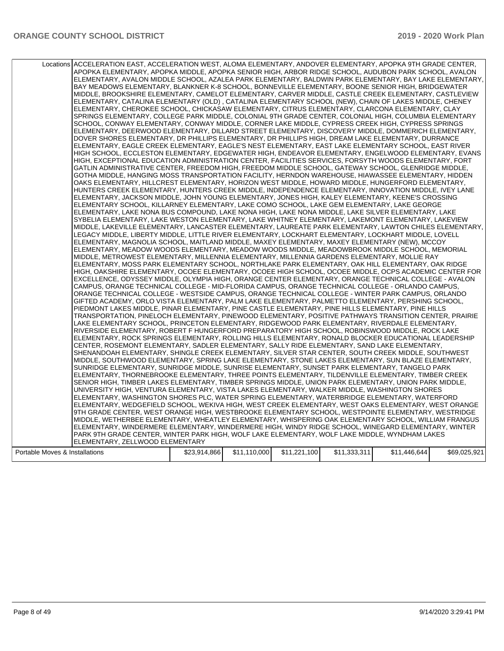|                                | Locations ACCELERATION EAST, ACCELERATION WEST, ALOMA ELEMENTARY, ANDOVER ELEMENTARY, APOPKA 9TH GRADE CENTER,<br>APOPKA ELEMENTARY, APOPKA MIDDLE, APOPKA SENIOR HIGH, ARBOR RIDGE SCHOOL, AUDUBON PARK SCHOOL, AVALON<br>ELEMENTARY, AVALON MIDDLE SCHOOL, AZALEA PARK ELEMENTARY, BALDWIN PARK ELEMENTARY, BAY LAKE ELEMENTARY,<br>BAY MEADOWS ELEMENTARY, BLANKNER K-8 SCHOOL, BONNEVILLE ELEMENTARY, BOONE SENIOR HIGH, BRIDGEWATER<br>MIDDLE, BROOKSHIRE ELEMENTARY, CAMELOT ELEMENTARY, CARVER MIDDLE, CASTLE CREEK ELEMENTARY, CASTLEVIEW<br>ELEMENTARY, CATALINA ELEMENTARY (OLD), CATALINA ELEMENTARY SCHOOL (NEW), CHAIN OF LAKES MIDDLE, CHENEY<br>ELEMENTARY, CHEROKEE SCHOOL, CHICKASAW ELEMENTARY, CITRUS ELEMENTARY, CLARCONA ELEMENTARY, CLAY<br>SPRINGS ELEMENTARY, COLLEGE PARK MIDDLE, COLONIAL 9TH GRADE CENTER, COLONIAL HIGH, COLUMBIA ELEMENTARY<br>SCHOOL, CONWAY ELEMENTARY, CONWAY MIDDLE, CORNER LAKE MIDDLE, CYPRESS CREEK HIGH, CYPRESS SPRINGS<br>ELEMENTARY, DEERWOOD ELEMENTARY, DILLARD STREET ELEMENTARY, DISCOVERY MIDDLE, DOMMERICH ELEMENTARY,<br>DOVER SHORES ELEMENTARY, DR PHILLIPS ELEMENTARY, DR PHILLIPS HIGH, DREAM LAKE ELEMENTARY, DURRANCE<br>ELEMENTARY, EAGLE CREEK ELEMENTARY, EAGLE'S NEST ELEMENTARY, EAST LAKE ELEMENTARY SCHOOL, EAST RIVER<br>HIGH SCHOOL, ECCLESTON ELEMENTARY, EDGEWATER HIGH, ENDEAVOR ELEMENTARY, ENGELWOOD ELEMENTARY, EVANS<br>HIGH, EXCEPTIONAL EDUCATION ADMINISTRATION CENTER, FACILITIES SERVICES, FORSYTH WOODS ELEMENTARY, FORT<br>GATLIN ADMINISTRATIVE CENTER, FREEDOM HIGH, FREEDOM MIDDLE SCHOOL, GATEWAY SCHOOL, GLENRIDGE MIDDLE,<br>GOTHA MIDDLE, HANGING MOSS TRANSPORTATION FACILITY, HERNDON WAREHOUSE, HIAWASSEE ELEMENTARY, HIDDEN<br>OAKS ELEMENTARY, HILLCREST ELEMENTARY, HORIZON WEST MIDDLE, HOWARD MIDDLE, HUNGERFORD ELEMENTARY,<br>HUNTERS CREEK ELEMENTARY, HUNTERS CREEK MIDDLE, INDEPENDENCE ELEMENTARY, INNOVATION MIDDLE, IVEY LANE<br>ELEMENTARY, JACKSON MIDDLE, JOHN YOUNG ELEMENTARY, JONES HIGH, KALEY ELEMENTARY, KEENE'S CROSSING<br>ELEMENTARY SCHOOL, KILLARNEY ELEMENTARY, LAKE COMO SCHOOL, LAKE GEM ELEMENTARY, LAKE GEORGE<br>ELEMENTARY, LAKE NONA BUS COMPOUND, LAKE NONA HIGH, LAKE NONA MIDDLE, LAKE SILVER ELEMENTARY, LAKE<br>SYBELIA ELEMENTARY, LAKE WESTON ELEMENTARY, LAKE WHITNEY ELEMENTARY, LAKEMONT ELEMENTARY, LAKEVIEW<br>MIDDLE, LAKEVILLE ELEMENTARY, LANCASTER ELEMENTARY, LAUREATE PARK ELEMENTARY, LAWTON CHILES ELEMENTARY,<br>LEGACY MIDDLE, LIBERTY MIDDLE, LITTLE RIVER ELEMENTARY, LOCKHART ELEMENTARY, LOCKHART MIDDLE, LOVELL<br>ELEMENTARY, MAGNOLIA SCHOOL, MAITLAND MIDDLE, MAXEY ELEMENTARY, MAXEY ELEMENTARY (NEW), MCCOY<br>ELEMENTARY, MEADOW WOODS ELEMENTARY, MEADOW WOODS MIDDLE, MEADOWBROOK MIDDLE SCHOOL, MEMORIAL<br>MIDDLE, METROWEST ELEMENTARY, MILLENNIA ELEMENTARY, MILLENNIA GARDENS ELEMENTARY, MOLLIE RAY<br>ELEMENTARY, MOSS PARK ELEMENTARY SCHOOL, NORTHLAKE PARK ELEMENTARY, OAK HILL ELEMENTARY, OAK RIDGE<br>HIGH, OAKSHIRE ELEMENTARY, OCOEE ELEMENTARY, OCOEE HIGH SCHOOL, OCOEE MIDDLE, OCPS ACADEMIC CENTER FOR<br>EXCELLENCE, ODYSSEY MIDDLE, OLYMPIA HIGH, ORANGE CENTER ELEMENTARY, ORANGE TECHNICAL COLLEGE - AVALON<br>CAMPUS, ORANGE TECHNICAL COLLEGE - MID-FLORIDA CAMPUS, ORANGE TECHNICAL COLLEGE - ORLANDO CAMPUS,<br>ORANGE TECHNICAL COLLEGE - WESTSIDE CAMPUS, ORANGE TECHNICAL COLLEGE - WINTER PARK CAMPUS, ORLANDO<br>GIFTED ACADEMY, ORLO VISTA ELEMENTARY, PALM LAKE ELEMENTARY, PALMETTO ELEMENTARY, PERSHING SCHOOL,<br>PIEDMONT LAKES MIDDLE, PINAR ELEMENTARY, PINE CASTLE ELEMENTARY, PINE HILLS ELEMENTARY, PINE HILLS<br>TRANSPORTATION, PINELOCH ELEMENTARY, PINEWOOD ELEMENTARY, POSITIVE PATHWAYS TRANSITION CENTER, PRAIRIE<br>LAKE ELEMENTARY SCHOOL, PRINCETON ELEMENTARY, RIDGEWOOD PARK ELEMENTARY, RIVERDALE ELEMENTARY,<br>RIVERSIDE ELEMENTARY, ROBERT F HUNGERFORD PREPARATORY HIGH SCHOOL, ROBINSWOOD MIDDLE, ROCK LAKE<br>ELEMENTARY, ROCK SPRINGS ELEMENTARY, ROLLING HILLS ELEMENTARY, RONALD BLOCKER EDUCATIONAL LEADERSHIP<br>CENTER, ROSEMONT ELEMENTARY, SADLER ELEMENTARY, SALLY RIDE ELEMENTARY, SAND LAKE ELEMENTARY,<br>SHENANDOAH ELEMENTARY, SHINGLE CREEK ELEMENTARY, SILVER STAR CENTER, SOUTH CREEK MIDDLE, SOUTHWEST<br>MIDDLE, SOUTHWOOD ELEMENTARY, SPRING LAKE ELEMENTARY, STONE LAKES ELEMENTARY, SUN BLAZE ELEMENTARY,<br>SUNRIDGE ELEMENTARY, SUNRIDGE MIDDLE, SUNRISE ELEMENTARY, SUNSET PARK ELEMENTARY, TANGELO PARK<br>ELEMENTARY, THORNEBROOKE ELEMENTARY, THREE POINTS ELEMENTARY, TILDENVILLE ELEMENTARY, TIMBER CREEK<br>SENIOR HIGH, TIMBER LAKES ELEMENTARY, TIMBER SPRINGS MIDDLE, UNION PARK ELEMENTARY, UNION PARK MIDDLE,<br>UNIVERSITY HIGH, VENTURA ELEMENTARY, VISTA LAKES ELEMENTARY, WALKER MIDDLE, WASHINGTON SHORES<br>ELEMENTARY, WASHINGTON SHORES PLC, WATER SPRING ELEMENTARY, WATERBRIDGE ELEMENTARY, WATERFORD<br>ELEMENTARY, WEDGEFIELD SCHOOL, WEKIVA HIGH, WEST CREEK ELEMENTARY, WEST OAKS ELEMENTARY, WEST ORANGE<br>9TH GRADE CENTER, WEST ORANGE HIGH, WESTBROOKE ELEMENTARY SCHOOL, WESTPOINTE ELEMENTARY, WESTRIDGE<br>MIDDLE, WETHERBEE ELEMENTARY, WHEATLEY ELEMENTARY, WHISPERING OAK ELEMENTARY SCHOOL, WILLIAM FRANGUS<br>ELEMENTARY, WINDERMERE ELEMENTARY, WINDERMERE HIGH, WINDY RIDGE SCHOOL, WINEGARD ELEMENTARY, WINTER |              |              |              |              |              |              |
|--------------------------------|----------------------------------------------------------------------------------------------------------------------------------------------------------------------------------------------------------------------------------------------------------------------------------------------------------------------------------------------------------------------------------------------------------------------------------------------------------------------------------------------------------------------------------------------------------------------------------------------------------------------------------------------------------------------------------------------------------------------------------------------------------------------------------------------------------------------------------------------------------------------------------------------------------------------------------------------------------------------------------------------------------------------------------------------------------------------------------------------------------------------------------------------------------------------------------------------------------------------------------------------------------------------------------------------------------------------------------------------------------------------------------------------------------------------------------------------------------------------------------------------------------------------------------------------------------------------------------------------------------------------------------------------------------------------------------------------------------------------------------------------------------------------------------------------------------------------------------------------------------------------------------------------------------------------------------------------------------------------------------------------------------------------------------------------------------------------------------------------------------------------------------------------------------------------------------------------------------------------------------------------------------------------------------------------------------------------------------------------------------------------------------------------------------------------------------------------------------------------------------------------------------------------------------------------------------------------------------------------------------------------------------------------------------------------------------------------------------------------------------------------------------------------------------------------------------------------------------------------------------------------------------------------------------------------------------------------------------------------------------------------------------------------------------------------------------------------------------------------------------------------------------------------------------------------------------------------------------------------------------------------------------------------------------------------------------------------------------------------------------------------------------------------------------------------------------------------------------------------------------------------------------------------------------------------------------------------------------------------------------------------------------------------------------------------------------------------------------------------------------------------------------------------------------------------------------------------------------------------------------------------------------------------------------------------------------------------------------------------------------------------------------------------------------------------------------------------------------------------------------------------------------------------------------------------------------------------------------------------------------------------------------------------------------------------------------------------------------------------------------------------------------------------------------------------------------------------------------------------------------------------------------------------------------------------------------------------------------------------------------------------------------------------------------------------------------------------------------------------------------------------------------------------------------------------------------------------------------------------------------------------------------------------------------------------------------------------------------------------------------------------------------------------------------------------------------------------------------------------------------------------------------------------------------------------------------------------------------------------------------------------------------------------------------------------------------------------------|--------------|--------------|--------------|--------------|--------------|--------------|
|                                |                                                                                                                                                                                                                                                                                                                                                                                                                                                                                                                                                                                                                                                                                                                                                                                                                                                                                                                                                                                                                                                                                                                                                                                                                                                                                                                                                                                                                                                                                                                                                                                                                                                                                                                                                                                                                                                                                                                                                                                                                                                                                                                                                                                                                                                                                                                                                                                                                                                                                                                                                                                                                                                                                                                                                                                                                                                                                                                                                                                                                                                                                                                                                                                                                                                                                                                                                                                                                                                                                                                                                                                                                                                                                                                                                                                                                                                                                                                                                                                                                                                                                                                                                                                                                                                                                                                                                                                                                                                                                                                                                                                                                                                                                                                                                                                                                                                                                                                                                                                                                                                                                                                                                                                                                                                                                                                            |              |              |              |              |              |              |
|                                | PARK 9TH GRADE CENTER, WINTER PARK HIGH, WOLF LAKE ELEMENTARY, WOLF LAKE MIDDLE, WYNDHAM LAKES                                                                                                                                                                                                                                                                                                                                                                                                                                                                                                                                                                                                                                                                                                                                                                                                                                                                                                                                                                                                                                                                                                                                                                                                                                                                                                                                                                                                                                                                                                                                                                                                                                                                                                                                                                                                                                                                                                                                                                                                                                                                                                                                                                                                                                                                                                                                                                                                                                                                                                                                                                                                                                                                                                                                                                                                                                                                                                                                                                                                                                                                                                                                                                                                                                                                                                                                                                                                                                                                                                                                                                                                                                                                                                                                                                                                                                                                                                                                                                                                                                                                                                                                                                                                                                                                                                                                                                                                                                                                                                                                                                                                                                                                                                                                                                                                                                                                                                                                                                                                                                                                                                                                                                                                                             |              |              |              |              |              |              |
|                                | ELEMENTARY, ZELLWOOD ELEMENTARY                                                                                                                                                                                                                                                                                                                                                                                                                                                                                                                                                                                                                                                                                                                                                                                                                                                                                                                                                                                                                                                                                                                                                                                                                                                                                                                                                                                                                                                                                                                                                                                                                                                                                                                                                                                                                                                                                                                                                                                                                                                                                                                                                                                                                                                                                                                                                                                                                                                                                                                                                                                                                                                                                                                                                                                                                                                                                                                                                                                                                                                                                                                                                                                                                                                                                                                                                                                                                                                                                                                                                                                                                                                                                                                                                                                                                                                                                                                                                                                                                                                                                                                                                                                                                                                                                                                                                                                                                                                                                                                                                                                                                                                                                                                                                                                                                                                                                                                                                                                                                                                                                                                                                                                                                                                                                            |              |              |              |              |              |              |
| Portable Moves & Installations |                                                                                                                                                                                                                                                                                                                                                                                                                                                                                                                                                                                                                                                                                                                                                                                                                                                                                                                                                                                                                                                                                                                                                                                                                                                                                                                                                                                                                                                                                                                                                                                                                                                                                                                                                                                                                                                                                                                                                                                                                                                                                                                                                                                                                                                                                                                                                                                                                                                                                                                                                                                                                                                                                                                                                                                                                                                                                                                                                                                                                                                                                                                                                                                                                                                                                                                                                                                                                                                                                                                                                                                                                                                                                                                                                                                                                                                                                                                                                                                                                                                                                                                                                                                                                                                                                                                                                                                                                                                                                                                                                                                                                                                                                                                                                                                                                                                                                                                                                                                                                                                                                                                                                                                                                                                                                                                            | \$23,914,866 | \$11,110,000 | \$11,221,100 | \$11,333,311 | \$11,446,644 | \$69,025,921 |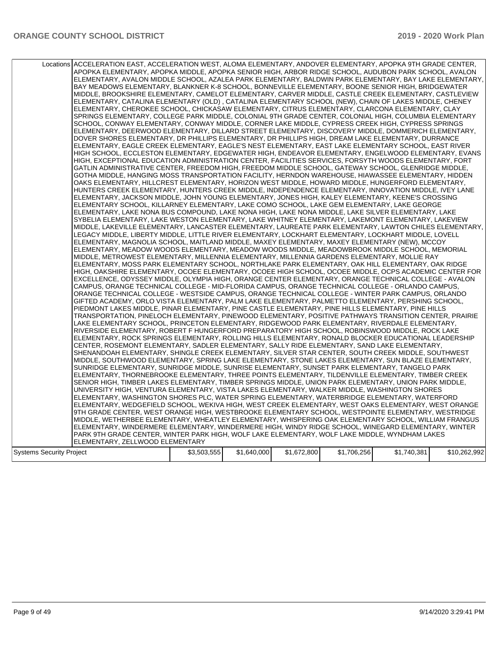|                                 | Locations ACCELERATION EAST, ACCELERATION WEST, ALOMA ELEMENTARY, ANDOVER ELEMENTARY, APOPKA 9TH GRADE CENTER,<br>APOPKA ELEMENTARY, APOPKA MIDDLE, APOPKA SENIOR HIGH, ARBOR RIDGE SCHOOL, AUDUBON PARK SCHOOL, AVALON<br>ELEMENTARY, AVALON MIDDLE SCHOOL, AZALEA PARK ELEMENTARY, BALDWIN PARK ELEMENTARY, BAY LAKE ELEMENTARY,<br>BAY MEADOWS ELEMENTARY, BLANKNER K-8 SCHOOL, BONNEVILLE ELEMENTARY, BOONE SENIOR HIGH, BRIDGEWATER<br>MIDDLE, BROOKSHIRE ELEMENTARY, CAMELOT ELEMENTARY, CARVER MIDDLE, CASTLE CREEK ELEMENTARY, CASTLEVIEW<br>ELEMENTARY, CATALINA ELEMENTARY (OLD) , CATALINA ELEMENTARY SCHOOL (NEW), CHAIN OF LAKES MIDDLE, CHENEY<br>ELEMENTARY, CHEROKEE SCHOOL, CHICKASAW ELEMENTARY, CITRUS ELEMENTARY, CLARCONA ELEMENTARY, CLAY<br>SPRINGS ELEMENTARY, COLLEGE PARK MIDDLE, COLONIAL 9TH GRADE CENTER, COLONIAL HIGH, COLUMBIA ELEMENTARY<br>SCHOOL, CONWAY ELEMENTARY, CONWAY MIDDLE, CORNER LAKE MIDDLE, CYPRESS CREEK HIGH, CYPRESS SPRINGS<br>ELEMENTARY, DEERWOOD ELEMENTARY, DILLARD STREET ELEMENTARY, DISCOVERY MIDDLE, DOMMERICH ELEMENTARY,<br>DOVER SHORES ELEMENTARY, DR PHILLIPS ELEMENTARY, DR PHILLIPS HIGH, DREAM LAKE ELEMENTARY, DURRANCE<br>ELEMENTARY, EAGLE CREEK ELEMENTARY, EAGLE'S NEST ELEMENTARY, EAST LAKE ELEMENTARY SCHOOL, EAST RIVER<br>HIGH SCHOOL, ECCLESTON ELEMENTARY, EDGEWATER HIGH, ENDEAVOR ELEMENTARY, ENGELWOOD ELEMENTARY, EVANS<br>HIGH, EXCEPTIONAL EDUCATION ADMINISTRATION CENTER, FACILITIES SERVICES, FORSYTH WOODS ELEMENTARY, FORT<br>GATLIN ADMINISTRATIVE CENTER, FREEDOM HIGH, FREEDOM MIDDLE SCHOOL, GATEWAY SCHOOL, GLENRIDGE MIDDLE,<br>GOTHA MIDDLE, HANGING MOSS TRANSPORTATION FACILITY, HERNDON WAREHOUSE, HIAWASSEE ELEMENTARY, HIDDEN<br>OAKS ELEMENTARY, HILLCREST ELEMENTARY, HORIZON WEST MIDDLE, HOWARD MIDDLE, HUNGERFORD ELEMENTARY,<br>HUNTERS CREEK ELEMENTARY, HUNTERS CREEK MIDDLE, INDEPENDENCE ELEMENTARY, INNOVATION MIDDLE, IVEY LANE<br>ELEMENTARY, JACKSON MIDDLE, JOHN YOUNG ELEMENTARY, JONES HIGH, KALEY ELEMENTARY, KEENE'S CROSSING<br>ELEMENTARY SCHOOL, KILLARNEY ELEMENTARY, LAKE COMO SCHOOL, LAKE GEM ELEMENTARY, LAKE GEORGE<br>ELEMENTARY, LAKE NONA BUS COMPOUND, LAKE NONA HIGH, LAKE NONA MIDDLE, LAKE SILVER ELEMENTARY, LAKE<br>SYBELIA ELEMENTARY, LAKE WESTON ELEMENTARY, LAKE WHITNEY ELEMENTARY, LAKEMONT ELEMENTARY, LAKEVIEW<br>MIDDLE, LAKEVILLE ELEMENTARY, LANCASTER ELEMENTARY, LAUREATE PARK ELEMENTARY, LAWTON CHILES ELEMENTARY,<br>LEGACY MIDDLE, LIBERTY MIDDLE, LITTLE RIVER ELEMENTARY, LOCKHART ELEMENTARY, LOCKHART MIDDLE, LOVELL<br>ELEMENTARY, MAGNOLIA SCHOOL, MAITLAND MIDDLE, MAXEY ELEMENTARY, MAXEY ELEMENTARY (NEW), MCCOY<br>ELEMENTARY, MEADOW WOODS ELEMENTARY, MEADOW WOODS MIDDLE, MEADOWBROOK MIDDLE SCHOOL, MEMORIAL<br>MIDDLE, METROWEST ELEMENTARY, MILLENNIA ELEMENTARY, MILLENNIA GARDENS ELEMENTARY, MOLLIE RAY<br>ELEMENTARY, MOSS PARK ELEMENTARY SCHOOL, NORTHLAKE PARK ELEMENTARY, OAK HILL ELEMENTARY, OAK RIDGE<br>HIGH, OAKSHIRE ELEMENTARY, OCOEE ELEMENTARY, OCOEE HIGH SCHOOL, OCOEE MIDDLE, OCPS ACADEMIC CENTER FOR<br>EXCELLENCE, ODYSSEY MIDDLE, OLYMPIA HIGH, ORANGE CENTER ELEMENTARY, ORANGE TECHNICAL COLLEGE - AVALON<br>CAMPUS, ORANGE TECHNICAL COLLEGE - MID-FLORIDA CAMPUS, ORANGE TECHNICAL COLLEGE - ORLANDO CAMPUS,<br>ORANGE TECHNICAL COLLEGE - WESTSIDE CAMPUS, ORANGE TECHNICAL COLLEGE - WINTER PARK CAMPUS, ORLANDO<br>GIFTED ACADEMY, ORLO VISTA ELEMENTARY, PALM LAKE ELEMENTARY, PALMETTO ELEMENTARY, PERSHING SCHOOL,<br>PIEDMONT LAKES MIDDLE, PINAR ELEMENTARY, PINE CASTLE ELEMENTARY, PINE HILLS ELEMENTARY, PINE HILLS<br>TRANSPORTATION, PINELOCH ELEMENTARY, PINEWOOD ELEMENTARY, POSITIVE PATHWAYS TRANSITION CENTER, PRAIRIE<br>LAKE ELEMENTARY SCHOOL, PRINCETON ELEMENTARY, RIDGEWOOD PARK ELEMENTARY, RIVERDALE ELEMENTARY,<br>RIVERSIDE ELEMENTARY, ROBERT F HUNGERFORD PREPARATORY HIGH SCHOOL, ROBINSWOOD MIDDLE, ROCK LAKE<br>ELEMENTARY, ROCK SPRINGS ELEMENTARY, ROLLING HILLS ELEMENTARY, RONALD BLOCKER EDUCATIONAL LEADERSHIP<br>CENTER, ROSEMONT ELEMENTARY, SADLER ELEMENTARY, SALLY RIDE ELEMENTARY, SAND LAKE ELEMENTARY,<br>SHENANDOAH ELEMENTARY, SHINGLE CREEK ELEMENTARY, SILVER STAR CENTER, SOUTH CREEK MIDDLE, SOUTHWEST<br>MIDDLE, SOUTHWOOD ELEMENTARY, SPRING LAKE ELEMENTARY, STONE LAKES ELEMENTARY, SUN BLAZE ELEMENTARY,<br>SUNRIDGE ELEMENTARY, SUNRIDGE MIDDLE, SUNRISE ELEMENTARY, SUNSET PARK ELEMENTARY, TANGELO PARK<br>ELEMENTARY, THORNEBROOKE ELEMENTARY, THREE POINTS ELEMENTARY, TILDENVILLE ELEMENTARY, TIMBER CREEK<br>SENIOR HIGH, TIMBER LAKES ELEMENTARY, TIMBER SPRINGS MIDDLE, UNION PARK ELEMENTARY, UNION PARK MIDDLE,<br>UNIVERSITY HIGH, VENTURA ELEMENTARY, VISTA LAKES ELEMENTARY, WALKER MIDDLE, WASHINGTON SHORES<br>ELEMENTARY, WASHINGTON SHORES PLC, WATER SPRING ELEMENTARY, WATERBRIDGE ELEMENTARY, WATERFORD<br>ELEMENTARY, WEDGEFIELD SCHOOL, WEKIVA HIGH, WEST CREEK ELEMENTARY, WEST OAKS ELEMENTARY, WEST ORANGE<br>9TH GRADE CENTER, WEST ORANGE HIGH, WESTBROOKE ELEMENTARY SCHOOL, WESTPOINTE ELEMENTARY, WESTRIDGE<br>MIDDLE, WETHERBEE ELEMENTARY, WHEATLEY ELEMENTARY, WHISPERING OAK ELEMENTARY SCHOOL, WILLIAM FRANGUS<br>ELEMENTARY, WINDERMERE ELEMENTARY, WINDERMERE HIGH, WINDY RIDGE SCHOOL, WINEGARD ELEMENTARY, WINTER<br>PARK 9TH GRADE CENTER, WINTER PARK HIGH, WOLF LAKE ELEMENTARY, WOLF LAKE MIDDLE, WYNDHAM LAKES |             |             |             |             |             |              |
|---------------------------------|-------------------------------------------------------------------------------------------------------------------------------------------------------------------------------------------------------------------------------------------------------------------------------------------------------------------------------------------------------------------------------------------------------------------------------------------------------------------------------------------------------------------------------------------------------------------------------------------------------------------------------------------------------------------------------------------------------------------------------------------------------------------------------------------------------------------------------------------------------------------------------------------------------------------------------------------------------------------------------------------------------------------------------------------------------------------------------------------------------------------------------------------------------------------------------------------------------------------------------------------------------------------------------------------------------------------------------------------------------------------------------------------------------------------------------------------------------------------------------------------------------------------------------------------------------------------------------------------------------------------------------------------------------------------------------------------------------------------------------------------------------------------------------------------------------------------------------------------------------------------------------------------------------------------------------------------------------------------------------------------------------------------------------------------------------------------------------------------------------------------------------------------------------------------------------------------------------------------------------------------------------------------------------------------------------------------------------------------------------------------------------------------------------------------------------------------------------------------------------------------------------------------------------------------------------------------------------------------------------------------------------------------------------------------------------------------------------------------------------------------------------------------------------------------------------------------------------------------------------------------------------------------------------------------------------------------------------------------------------------------------------------------------------------------------------------------------------------------------------------------------------------------------------------------------------------------------------------------------------------------------------------------------------------------------------------------------------------------------------------------------------------------------------------------------------------------------------------------------------------------------------------------------------------------------------------------------------------------------------------------------------------------------------------------------------------------------------------------------------------------------------------------------------------------------------------------------------------------------------------------------------------------------------------------------------------------------------------------------------------------------------------------------------------------------------------------------------------------------------------------------------------------------------------------------------------------------------------------------------------------------------------------------------------------------------------------------------------------------------------------------------------------------------------------------------------------------------------------------------------------------------------------------------------------------------------------------------------------------------------------------------------------------------------------------------------------------------------------------------------------------------------------------------------------------------------------------------------------------------------------------------------------------------------------------------------------------------------------------------------------------------------------------------------------------------------------------------------------------------------------------------------------------------------------------------------------------------------------------------------------------------------------------------------------------------------------------------------------------------------------------------------------------------------------------------|-------------|-------------|-------------|-------------|-------------|--------------|
|                                 |                                                                                                                                                                                                                                                                                                                                                                                                                                                                                                                                                                                                                                                                                                                                                                                                                                                                                                                                                                                                                                                                                                                                                                                                                                                                                                                                                                                                                                                                                                                                                                                                                                                                                                                                                                                                                                                                                                                                                                                                                                                                                                                                                                                                                                                                                                                                                                                                                                                                                                                                                                                                                                                                                                                                                                                                                                                                                                                                                                                                                                                                                                                                                                                                                                                                                                                                                                                                                                                                                                                                                                                                                                                                                                                                                                                                                                                                                                                                                                                                                                                                                                                                                                                                                                                                                                                                                                                                                                                                                                                                                                                                                                                                                                                                                                                                                                                                                                                                                                                                                                                                                                                                                                                                                                                                                                                                                                                                                               |             |             |             |             |             |              |
|                                 |                                                                                                                                                                                                                                                                                                                                                                                                                                                                                                                                                                                                                                                                                                                                                                                                                                                                                                                                                                                                                                                                                                                                                                                                                                                                                                                                                                                                                                                                                                                                                                                                                                                                                                                                                                                                                                                                                                                                                                                                                                                                                                                                                                                                                                                                                                                                                                                                                                                                                                                                                                                                                                                                                                                                                                                                                                                                                                                                                                                                                                                                                                                                                                                                                                                                                                                                                                                                                                                                                                                                                                                                                                                                                                                                                                                                                                                                                                                                                                                                                                                                                                                                                                                                                                                                                                                                                                                                                                                                                                                                                                                                                                                                                                                                                                                                                                                                                                                                                                                                                                                                                                                                                                                                                                                                                                                                                                                                                               |             |             |             |             |             |              |
|                                 | ELEMENTARY, ZELLWOOD ELEMENTARY                                                                                                                                                                                                                                                                                                                                                                                                                                                                                                                                                                                                                                                                                                                                                                                                                                                                                                                                                                                                                                                                                                                                                                                                                                                                                                                                                                                                                                                                                                                                                                                                                                                                                                                                                                                                                                                                                                                                                                                                                                                                                                                                                                                                                                                                                                                                                                                                                                                                                                                                                                                                                                                                                                                                                                                                                                                                                                                                                                                                                                                                                                                                                                                                                                                                                                                                                                                                                                                                                                                                                                                                                                                                                                                                                                                                                                                                                                                                                                                                                                                                                                                                                                                                                                                                                                                                                                                                                                                                                                                                                                                                                                                                                                                                                                                                                                                                                                                                                                                                                                                                                                                                                                                                                                                                                                                                                                                               |             |             |             |             |             |              |
| <b>Systems Security Project</b> |                                                                                                                                                                                                                                                                                                                                                                                                                                                                                                                                                                                                                                                                                                                                                                                                                                                                                                                                                                                                                                                                                                                                                                                                                                                                                                                                                                                                                                                                                                                                                                                                                                                                                                                                                                                                                                                                                                                                                                                                                                                                                                                                                                                                                                                                                                                                                                                                                                                                                                                                                                                                                                                                                                                                                                                                                                                                                                                                                                                                                                                                                                                                                                                                                                                                                                                                                                                                                                                                                                                                                                                                                                                                                                                                                                                                                                                                                                                                                                                                                                                                                                                                                                                                                                                                                                                                                                                                                                                                                                                                                                                                                                                                                                                                                                                                                                                                                                                                                                                                                                                                                                                                                                                                                                                                                                                                                                                                                               | \$3,503,555 | \$1,640,000 | \$1,672,800 | \$1,706,256 | \$1,740,381 | \$10,262,992 |
|                                 |                                                                                                                                                                                                                                                                                                                                                                                                                                                                                                                                                                                                                                                                                                                                                                                                                                                                                                                                                                                                                                                                                                                                                                                                                                                                                                                                                                                                                                                                                                                                                                                                                                                                                                                                                                                                                                                                                                                                                                                                                                                                                                                                                                                                                                                                                                                                                                                                                                                                                                                                                                                                                                                                                                                                                                                                                                                                                                                                                                                                                                                                                                                                                                                                                                                                                                                                                                                                                                                                                                                                                                                                                                                                                                                                                                                                                                                                                                                                                                                                                                                                                                                                                                                                                                                                                                                                                                                                                                                                                                                                                                                                                                                                                                                                                                                                                                                                                                                                                                                                                                                                                                                                                                                                                                                                                                                                                                                                                               |             |             |             |             |             |              |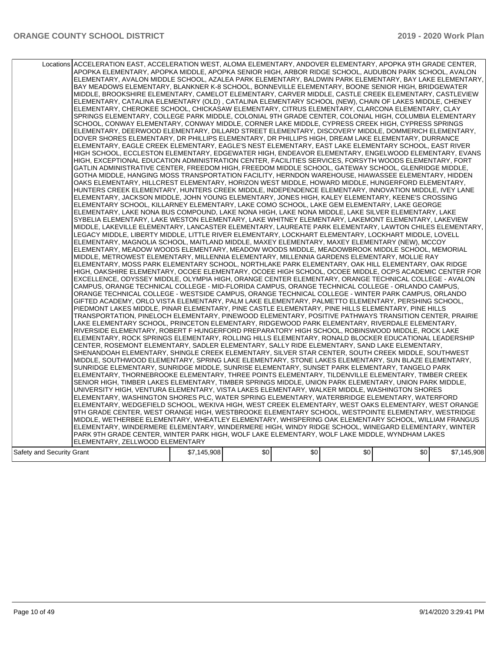|                           | Locations ACCELERATION EAST, ACCELERATION WEST, ALOMA ELEMENTARY, ANDOVER ELEMENTARY, APOPKA 9TH GRADE CENTER,<br>APOPKA ELEMENTARY, APOPKA MIDDLE, APOPKA SENIOR HIGH, ARBOR RIDGE SCHOOL, AUDUBON PARK SCHOOL, AVALON<br>ELEMENTARY, AVALON MIDDLE SCHOOL, AZALEA PARK ELEMENTARY, BALDWIN PARK ELEMENTARY, BAY LAKE ELEMENTARY,<br>BAY MEADOWS ELEMENTARY, BLANKNER K-8 SCHOOL, BONNEVILLE ELEMENTARY, BOONE SENIOR HIGH, BRIDGEWATER<br>MIDDLE, BROOKSHIRE ELEMENTARY, CAMELOT ELEMENTARY, CARVER MIDDLE, CASTLE CREEK ELEMENTARY, CASTLEVIEW<br>ELEMENTARY, CATALINA ELEMENTARY (OLD) , CATALINA ELEMENTARY SCHOOL (NEW), CHAIN OF LAKES MIDDLE, CHENEY<br>ELEMENTARY, CHEROKEE SCHOOL, CHICKASAW ELEMENTARY, CITRUS ELEMENTARY, CLARCONA ELEMENTARY, CLAY<br>SPRINGS ELEMENTARY, COLLEGE PARK MIDDLE, COLONIAL 9TH GRADE CENTER, COLONIAL HIGH, COLUMBIA ELEMENTARY<br>SCHOOL, CONWAY ELEMENTARY, CONWAY MIDDLE, CORNER LAKE MIDDLE, CYPRESS CREEK HIGH, CYPRESS SPRINGS<br>ELEMENTARY, DEERWOOD ELEMENTARY, DILLARD STREET ELEMENTARY, DISCOVERY MIDDLE, DOMMERICH ELEMENTARY,<br>DOVER SHORES ELEMENTARY, DR PHILLIPS ELEMENTARY, DR PHILLIPS HIGH, DREAM LAKE ELEMENTARY, DURRANCE<br>ELEMENTARY, EAGLE CREEK ELEMENTARY, EAGLE'S NEST ELEMENTARY, EAST LAKE ELEMENTARY SCHOOL, EAST RIVER<br>HIGH SCHOOL, ECCLESTON ELEMENTARY, EDGEWATER HIGH, ENDEAVOR ELEMENTARY, ENGELWOOD ELEMENTARY, EVANS<br>HIGH, EXCEPTIONAL EDUCATION ADMINISTRATION CENTER, FACILITIES SERVICES, FORSYTH WOODS ELEMENTARY, FORT<br>GATLIN ADMINISTRATIVE CENTER, FREEDOM HIGH, FREEDOM MIDDLE SCHOOL, GATEWAY SCHOOL, GLENRIDGE MIDDLE,<br>GOTHA MIDDLE, HANGING MOSS TRANSPORTATION FACILITY, HERNDON WAREHOUSE, HIAWASSEE ELEMENTARY, HIDDEN<br>OAKS ELEMENTARY. HILLCREST ELEMENTARY. HORIZON WEST MIDDLE. HOWARD MIDDLE. HUNGERFORD ELEMENTARY.<br>HUNTERS CREEK ELEMENTARY, HUNTERS CREEK MIDDLE, INDEPENDENCE ELEMENTARY, INNOVATION MIDDLE, IVEY LANE<br>ELEMENTARY, JACKSON MIDDLE, JOHN YOUNG ELEMENTARY, JONES HIGH, KALEY ELEMENTARY, KEENE'S CROSSING<br>ELEMENTARY SCHOOL, KILLARNEY ELEMENTARY, LAKE COMO SCHOOL, LAKE GEM ELEMENTARY, LAKE GEORGE<br>ELEMENTARY, LAKE NONA BUS COMPOUND, LAKE NONA HIGH, LAKE NONA MIDDLE, LAKE SILVER ELEMENTARY, LAKE<br>SYBELIA ELEMENTARY, LAKE WESTON ELEMENTARY, LAKE WHITNEY ELEMENTARY, LAKEMONT ELEMENTARY, LAKEVIEW<br>MIDDLE, LAKEVILLE ELEMENTARY, LANCASTER ELEMENTARY, LAUREATE PARK ELEMENTARY, LAWTON CHILES ELEMENTARY,<br>LEGACY MIDDLE, LIBERTY MIDDLE, LITTLE RIVER ELEMENTARY, LOCKHART ELEMENTARY, LOCKHART MIDDLE, LOVELL<br>ELEMENTARY, MAGNOLIA SCHOOL, MAITLAND MIDDLE, MAXEY ELEMENTARY, MAXEY ELEMENTARY (NEW), MCCOY<br>ELEMENTARY, MEADOW WOODS ELEMENTARY, MEADOW WOODS MIDDLE, MEADOWBROOK MIDDLE SCHOOL, MEMORIAL<br>MIDDLE, METROWEST ELEMENTARY, MILLENNIA ELEMENTARY, MILLENNIA GARDENS ELEMENTARY, MOLLIE RAY<br>ELEMENTARY, MOSS PARK ELEMENTARY SCHOOL, NORTHLAKE PARK ELEMENTARY, OAK HILL ELEMENTARY, OAK RIDGE<br>HIGH, OAKSHIRE ELEMENTARY, OCOEE ELEMENTARY, OCOEE HIGH SCHOOL, OCOEE MIDDLE, OCPS ACADEMIC CENTER FOR<br>EXCELLENCE, ODYSSEY MIDDLE, OLYMPIA HIGH, ORANGE CENTER ELEMENTARY, ORANGE TECHNICAL COLLEGE - AVALON<br>CAMPUS, ORANGE TECHNICAL COLLEGE - MID-FLORIDA CAMPUS, ORANGE TECHNICAL COLLEGE - ORLANDO CAMPUS,<br>ORANGE TECHNICAL COLLEGE - WESTSIDE CAMPUS, ORANGE TECHNICAL COLLEGE - WINTER PARK CAMPUS, ORLANDO<br>GIFTED ACADEMY, ORLO VISTA ELEMENTARY, PALM LAKE ELEMENTARY, PALMETTO ELEMENTARY, PERSHING SCHOOL,<br>PIEDMONT LAKES MIDDLE, PINAR ELEMENTARY, PINE CASTLE ELEMENTARY, PINE HILLS ELEMENTARY, PINE HILLS<br>TRANSPORTATION, PINELOCH ELEMENTARY, PINEWOOD ELEMENTARY, POSITIVE PATHWAYS TRANSITION CENTER, PRAIRIE<br>LAKE ELEMENTARY SCHOOL, PRINCETON ELEMENTARY, RIDGEWOOD PARK ELEMENTARY, RIVERDALE ELEMENTARY,<br>RIVERSIDE ELEMENTARY, ROBERT F HUNGERFORD PREPARATORY HIGH SCHOOL, ROBINSWOOD MIDDLE, ROCK LAKE<br>ELEMENTARY, ROCK SPRINGS ELEMENTARY, ROLLING HILLS ELEMENTARY, RONALD BLOCKER EDUCATIONAL LEADERSHIP<br>CENTER, ROSEMONT ELEMENTARY, SADLER ELEMENTARY, SALLY RIDE ELEMENTARY, SAND LAKE ELEMENTARY,<br>SHENANDOAH ELEMENTARY, SHINGLE CREEK ELEMENTARY, SILVER STAR CENTER, SOUTH CREEK MIDDLE, SOUTHWEST<br>MIDDLE, SOUTHWOOD ELEMENTARY, SPRING LAKE ELEMENTARY, STONE LAKES ELEMENTARY, SUN BLAZE ELEMENTARY,<br>SUNRIDGE ELEMENTARY, SUNRIDGE MIDDLE, SUNRISE ELEMENTARY, SUNSET PARK ELEMENTARY, TANGELO PARK<br>ELEMENTARY, THORNEBROOKE ELEMENTARY, THREE POINTS ELEMENTARY, TILDENVILLE ELEMENTARY, TIMBER CREEK<br>SENIOR HIGH, TIMBER LAKES ELEMENTARY, TIMBER SPRINGS MIDDLE, UNION PARK ELEMENTARY, UNION PARK MIDDLE,<br>UNIVERSITY HIGH, VENTURA ELEMENTARY, VISTA LAKES ELEMENTARY, WALKER MIDDLE, WASHINGTON SHORES<br>ELEMENTARY, WASHINGTON SHORES PLC, WATER SPRING ELEMENTARY, WATERBRIDGE ELEMENTARY, WATERFORD<br>ELEMENTARY, WEDGEFIELD SCHOOL, WEKIVA HIGH, WEST CREEK ELEMENTARY, WEST OAKS ELEMENTARY, WEST ORANGE<br>9TH GRADE CENTER, WEST ORANGE HIGH, WESTBROOKE ELEMENTARY SCHOOL, WESTPOINTE ELEMENTARY, WESTRIDGE<br>MIDDLE, WETHERBEE ELEMENTARY, WHEATLEY ELEMENTARY, WHISPERING OAK ELEMENTARY SCHOOL, WILLIAM FRANGUS<br>ELEMENTARY, WINDERMERE ELEMENTARY, WINDERMERE HIGH, WINDY RIDGE SCHOOL, WINEGARD ELEMENTARY, WINTER |             |     |     |     |     |             |
|---------------------------|-----------------------------------------------------------------------------------------------------------------------------------------------------------------------------------------------------------------------------------------------------------------------------------------------------------------------------------------------------------------------------------------------------------------------------------------------------------------------------------------------------------------------------------------------------------------------------------------------------------------------------------------------------------------------------------------------------------------------------------------------------------------------------------------------------------------------------------------------------------------------------------------------------------------------------------------------------------------------------------------------------------------------------------------------------------------------------------------------------------------------------------------------------------------------------------------------------------------------------------------------------------------------------------------------------------------------------------------------------------------------------------------------------------------------------------------------------------------------------------------------------------------------------------------------------------------------------------------------------------------------------------------------------------------------------------------------------------------------------------------------------------------------------------------------------------------------------------------------------------------------------------------------------------------------------------------------------------------------------------------------------------------------------------------------------------------------------------------------------------------------------------------------------------------------------------------------------------------------------------------------------------------------------------------------------------------------------------------------------------------------------------------------------------------------------------------------------------------------------------------------------------------------------------------------------------------------------------------------------------------------------------------------------------------------------------------------------------------------------------------------------------------------------------------------------------------------------------------------------------------------------------------------------------------------------------------------------------------------------------------------------------------------------------------------------------------------------------------------------------------------------------------------------------------------------------------------------------------------------------------------------------------------------------------------------------------------------------------------------------------------------------------------------------------------------------------------------------------------------------------------------------------------------------------------------------------------------------------------------------------------------------------------------------------------------------------------------------------------------------------------------------------------------------------------------------------------------------------------------------------------------------------------------------------------------------------------------------------------------------------------------------------------------------------------------------------------------------------------------------------------------------------------------------------------------------------------------------------------------------------------------------------------------------------------------------------------------------------------------------------------------------------------------------------------------------------------------------------------------------------------------------------------------------------------------------------------------------------------------------------------------------------------------------------------------------------------------------------------------------------------------------------------------------------------------------------------------------------------------------------------------------------------------------------------------------------------------------------------------------------------------------------------------------------------------------------------------------------------------------------------------------------------------------------------------------------------------------------------------------------------------------------------------------------------------------------------------|-------------|-----|-----|-----|-----|-------------|
|                           |                                                                                                                                                                                                                                                                                                                                                                                                                                                                                                                                                                                                                                                                                                                                                                                                                                                                                                                                                                                                                                                                                                                                                                                                                                                                                                                                                                                                                                                                                                                                                                                                                                                                                                                                                                                                                                                                                                                                                                                                                                                                                                                                                                                                                                                                                                                                                                                                                                                                                                                                                                                                                                                                                                                                                                                                                                                                                                                                                                                                                                                                                                                                                                                                                                                                                                                                                                                                                                                                                                                                                                                                                                                                                                                                                                                                                                                                                                                                                                                                                                                                                                                                                                                                                                                                                                                                                                                                                                                                                                                                                                                                                                                                                                                                                                                                                                                                                                                                                                                                                                                                                                                                                                                                                                                                                                                             |             |     |     |     |     |             |
|                           |                                                                                                                                                                                                                                                                                                                                                                                                                                                                                                                                                                                                                                                                                                                                                                                                                                                                                                                                                                                                                                                                                                                                                                                                                                                                                                                                                                                                                                                                                                                                                                                                                                                                                                                                                                                                                                                                                                                                                                                                                                                                                                                                                                                                                                                                                                                                                                                                                                                                                                                                                                                                                                                                                                                                                                                                                                                                                                                                                                                                                                                                                                                                                                                                                                                                                                                                                                                                                                                                                                                                                                                                                                                                                                                                                                                                                                                                                                                                                                                                                                                                                                                                                                                                                                                                                                                                                                                                                                                                                                                                                                                                                                                                                                                                                                                                                                                                                                                                                                                                                                                                                                                                                                                                                                                                                                                             |             |     |     |     |     |             |
|                           |                                                                                                                                                                                                                                                                                                                                                                                                                                                                                                                                                                                                                                                                                                                                                                                                                                                                                                                                                                                                                                                                                                                                                                                                                                                                                                                                                                                                                                                                                                                                                                                                                                                                                                                                                                                                                                                                                                                                                                                                                                                                                                                                                                                                                                                                                                                                                                                                                                                                                                                                                                                                                                                                                                                                                                                                                                                                                                                                                                                                                                                                                                                                                                                                                                                                                                                                                                                                                                                                                                                                                                                                                                                                                                                                                                                                                                                                                                                                                                                                                                                                                                                                                                                                                                                                                                                                                                                                                                                                                                                                                                                                                                                                                                                                                                                                                                                                                                                                                                                                                                                                                                                                                                                                                                                                                                                             |             |     |     |     |     |             |
|                           |                                                                                                                                                                                                                                                                                                                                                                                                                                                                                                                                                                                                                                                                                                                                                                                                                                                                                                                                                                                                                                                                                                                                                                                                                                                                                                                                                                                                                                                                                                                                                                                                                                                                                                                                                                                                                                                                                                                                                                                                                                                                                                                                                                                                                                                                                                                                                                                                                                                                                                                                                                                                                                                                                                                                                                                                                                                                                                                                                                                                                                                                                                                                                                                                                                                                                                                                                                                                                                                                                                                                                                                                                                                                                                                                                                                                                                                                                                                                                                                                                                                                                                                                                                                                                                                                                                                                                                                                                                                                                                                                                                                                                                                                                                                                                                                                                                                                                                                                                                                                                                                                                                                                                                                                                                                                                                                             |             |     |     |     |     |             |
|                           |                                                                                                                                                                                                                                                                                                                                                                                                                                                                                                                                                                                                                                                                                                                                                                                                                                                                                                                                                                                                                                                                                                                                                                                                                                                                                                                                                                                                                                                                                                                                                                                                                                                                                                                                                                                                                                                                                                                                                                                                                                                                                                                                                                                                                                                                                                                                                                                                                                                                                                                                                                                                                                                                                                                                                                                                                                                                                                                                                                                                                                                                                                                                                                                                                                                                                                                                                                                                                                                                                                                                                                                                                                                                                                                                                                                                                                                                                                                                                                                                                                                                                                                                                                                                                                                                                                                                                                                                                                                                                                                                                                                                                                                                                                                                                                                                                                                                                                                                                                                                                                                                                                                                                                                                                                                                                                                             |             |     |     |     |     |             |
|                           |                                                                                                                                                                                                                                                                                                                                                                                                                                                                                                                                                                                                                                                                                                                                                                                                                                                                                                                                                                                                                                                                                                                                                                                                                                                                                                                                                                                                                                                                                                                                                                                                                                                                                                                                                                                                                                                                                                                                                                                                                                                                                                                                                                                                                                                                                                                                                                                                                                                                                                                                                                                                                                                                                                                                                                                                                                                                                                                                                                                                                                                                                                                                                                                                                                                                                                                                                                                                                                                                                                                                                                                                                                                                                                                                                                                                                                                                                                                                                                                                                                                                                                                                                                                                                                                                                                                                                                                                                                                                                                                                                                                                                                                                                                                                                                                                                                                                                                                                                                                                                                                                                                                                                                                                                                                                                                                             |             |     |     |     |     |             |
|                           | PARK 9TH GRADE CENTER, WINTER PARK HIGH, WOLF LAKE ELEMENTARY, WOLF LAKE MIDDLE, WYNDHAM LAKES                                                                                                                                                                                                                                                                                                                                                                                                                                                                                                                                                                                                                                                                                                                                                                                                                                                                                                                                                                                                                                                                                                                                                                                                                                                                                                                                                                                                                                                                                                                                                                                                                                                                                                                                                                                                                                                                                                                                                                                                                                                                                                                                                                                                                                                                                                                                                                                                                                                                                                                                                                                                                                                                                                                                                                                                                                                                                                                                                                                                                                                                                                                                                                                                                                                                                                                                                                                                                                                                                                                                                                                                                                                                                                                                                                                                                                                                                                                                                                                                                                                                                                                                                                                                                                                                                                                                                                                                                                                                                                                                                                                                                                                                                                                                                                                                                                                                                                                                                                                                                                                                                                                                                                                                                              |             |     |     |     |     |             |
|                           | ELEMENTARY, ZELLWOOD ELEMENTARY                                                                                                                                                                                                                                                                                                                                                                                                                                                                                                                                                                                                                                                                                                                                                                                                                                                                                                                                                                                                                                                                                                                                                                                                                                                                                                                                                                                                                                                                                                                                                                                                                                                                                                                                                                                                                                                                                                                                                                                                                                                                                                                                                                                                                                                                                                                                                                                                                                                                                                                                                                                                                                                                                                                                                                                                                                                                                                                                                                                                                                                                                                                                                                                                                                                                                                                                                                                                                                                                                                                                                                                                                                                                                                                                                                                                                                                                                                                                                                                                                                                                                                                                                                                                                                                                                                                                                                                                                                                                                                                                                                                                                                                                                                                                                                                                                                                                                                                                                                                                                                                                                                                                                                                                                                                                                             |             |     |     |     |     |             |
|                           |                                                                                                                                                                                                                                                                                                                                                                                                                                                                                                                                                                                                                                                                                                                                                                                                                                                                                                                                                                                                                                                                                                                                                                                                                                                                                                                                                                                                                                                                                                                                                                                                                                                                                                                                                                                                                                                                                                                                                                                                                                                                                                                                                                                                                                                                                                                                                                                                                                                                                                                                                                                                                                                                                                                                                                                                                                                                                                                                                                                                                                                                                                                                                                                                                                                                                                                                                                                                                                                                                                                                                                                                                                                                                                                                                                                                                                                                                                                                                                                                                                                                                                                                                                                                                                                                                                                                                                                                                                                                                                                                                                                                                                                                                                                                                                                                                                                                                                                                                                                                                                                                                                                                                                                                                                                                                                                             |             |     |     |     |     |             |
|                           |                                                                                                                                                                                                                                                                                                                                                                                                                                                                                                                                                                                                                                                                                                                                                                                                                                                                                                                                                                                                                                                                                                                                                                                                                                                                                                                                                                                                                                                                                                                                                                                                                                                                                                                                                                                                                                                                                                                                                                                                                                                                                                                                                                                                                                                                                                                                                                                                                                                                                                                                                                                                                                                                                                                                                                                                                                                                                                                                                                                                                                                                                                                                                                                                                                                                                                                                                                                                                                                                                                                                                                                                                                                                                                                                                                                                                                                                                                                                                                                                                                                                                                                                                                                                                                                                                                                                                                                                                                                                                                                                                                                                                                                                                                                                                                                                                                                                                                                                                                                                                                                                                                                                                                                                                                                                                                                             |             |     |     |     |     |             |
| Safety and Security Grant |                                                                                                                                                                                                                                                                                                                                                                                                                                                                                                                                                                                                                                                                                                                                                                                                                                                                                                                                                                                                                                                                                                                                                                                                                                                                                                                                                                                                                                                                                                                                                                                                                                                                                                                                                                                                                                                                                                                                                                                                                                                                                                                                                                                                                                                                                                                                                                                                                                                                                                                                                                                                                                                                                                                                                                                                                                                                                                                                                                                                                                                                                                                                                                                                                                                                                                                                                                                                                                                                                                                                                                                                                                                                                                                                                                                                                                                                                                                                                                                                                                                                                                                                                                                                                                                                                                                                                                                                                                                                                                                                                                                                                                                                                                                                                                                                                                                                                                                                                                                                                                                                                                                                                                                                                                                                                                                             | \$7,145,908 | \$0 | \$0 | \$0 | \$0 | \$7,145,908 |
|                           |                                                                                                                                                                                                                                                                                                                                                                                                                                                                                                                                                                                                                                                                                                                                                                                                                                                                                                                                                                                                                                                                                                                                                                                                                                                                                                                                                                                                                                                                                                                                                                                                                                                                                                                                                                                                                                                                                                                                                                                                                                                                                                                                                                                                                                                                                                                                                                                                                                                                                                                                                                                                                                                                                                                                                                                                                                                                                                                                                                                                                                                                                                                                                                                                                                                                                                                                                                                                                                                                                                                                                                                                                                                                                                                                                                                                                                                                                                                                                                                                                                                                                                                                                                                                                                                                                                                                                                                                                                                                                                                                                                                                                                                                                                                                                                                                                                                                                                                                                                                                                                                                                                                                                                                                                                                                                                                             |             |     |     |     |     |             |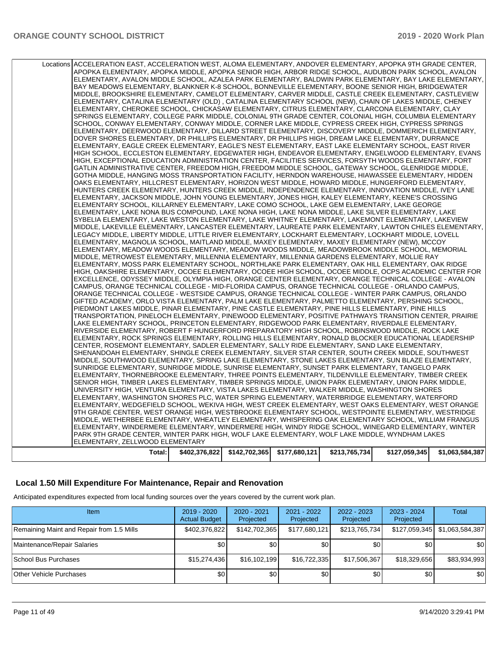| Total:                                                                                                         | \$402,376,822 | \$142,702,365 | \$177,680,121 | \$213,765,734 | \$127,059,345 | \$1,063,584,387 |
|----------------------------------------------------------------------------------------------------------------|---------------|---------------|---------------|---------------|---------------|-----------------|
| ELEMENTARY, ZELLWOOD ELEMENTARY                                                                                |               |               |               |               |               |                 |
| PARK 9TH GRADE CENTER, WINTER PARK HIGH, WOLF LAKE ELEMENTARY, WOLF LAKE MIDDLE, WYNDHAM LAKES                 |               |               |               |               |               |                 |
| ELEMENTARY, WINDERMERE ELEMENTARY, WINDERMERE HIGH, WINDY RIDGE SCHOOL, WINEGARD ELEMENTARY, WINTER            |               |               |               |               |               |                 |
| MIDDLE, WETHERBEE ELEMENTARY, WHEATLEY ELEMENTARY, WHISPERING OAK ELEMENTARY SCHOOL, WILLIAM FRANGUS           |               |               |               |               |               |                 |
|                                                                                                                |               |               |               |               |               |                 |
| 9TH GRADE CENTER, WEST ORANGE HIGH, WESTBROOKE ELEMENTARY SCHOOL, WESTPOINTE ELEMENTARY, WESTRIDGE             |               |               |               |               |               |                 |
| ELEMENTARY, WEDGEFIELD SCHOOL, WEKIVA HIGH, WEST CREEK ELEMENTARY, WEST OAKS ELEMENTARY, WEST ORANGE           |               |               |               |               |               |                 |
| ELEMENTARY, WASHINGTON SHORES PLC, WATER SPRING ELEMENTARY, WATERBRIDGE ELEMENTARY, WATERFORD                  |               |               |               |               |               |                 |
| UNIVERSITY HIGH, VENTURA ELEMENTARY, VISTA LAKES ELEMENTARY, WALKER MIDDLE, WASHINGTON SHORES                  |               |               |               |               |               |                 |
| SENIOR HIGH, TIMBER LAKES ELEMENTARY, TIMBER SPRINGS MIDDLE, UNION PARK ELEMENTARY, UNION PARK MIDDLE,         |               |               |               |               |               |                 |
| ELEMENTARY, THORNEBROOKE ELEMENTARY, THREE POINTS ELEMENTARY, TILDENVILLE ELEMENTARY, TIMBER CREEK             |               |               |               |               |               |                 |
| SUNRIDGE ELEMENTARY, SUNRIDGE MIDDLE, SUNRISE ELEMENTARY, SUNSET PARK ELEMENTARY, TANGELO PARK                 |               |               |               |               |               |                 |
| MIDDLE, SOUTHWOOD ELEMENTARY, SPRING LAKE ELEMENTARY, STONE LAKES ELEMENTARY, SUN BLAZE ELEMENTARY,            |               |               |               |               |               |                 |
| SHENANDOAH ELEMENTARY, SHINGLE CREEK ELEMENTARY, SILVER STAR CENTER, SOUTH CREEK MIDDLE, SOUTHWEST             |               |               |               |               |               |                 |
| CENTER, ROSEMONT ELEMENTARY, SADLER ELEMENTARY, SALLY RIDE ELEMENTARY, SAND LAKE ELEMENTARY,                   |               |               |               |               |               |                 |
| ELEMENTARY, ROCK SPRINGS ELEMENTARY, ROLLING HILLS ELEMENTARY, RONALD BLOCKER EDUCATIONAL LEADERSHIP           |               |               |               |               |               |                 |
| RIVERSIDE ELEMENTARY, ROBERT F HUNGERFORD PREPARATORY HIGH SCHOOL, ROBINSWOOD MIDDLE, ROCK LAKE                |               |               |               |               |               |                 |
| LAKE ELEMENTARY SCHOOL, PRINCETON ELEMENTARY, RIDGEWOOD PARK ELEMENTARY, RIVERDALE ELEMENTARY,                 |               |               |               |               |               |                 |
| TRANSPORTATION, PINELOCH ELEMENTARY, PINEWOOD ELEMENTARY, POSITIVE PATHWAYS TRANSITION CENTER, PRAIRIE         |               |               |               |               |               |                 |
| PIEDMONT LAKES MIDDLE, PINAR ELEMENTARY, PINE CASTLE ELEMENTARY, PINE HILLS ELEMENTARY, PINE HILLS             |               |               |               |               |               |                 |
| GIFTED ACADEMY, ORLO VISTA ELEMENTARY, PALM LAKE ELEMENTARY, PALMETTO ELEMENTARY, PERSHING SCHOOL,             |               |               |               |               |               |                 |
| ORANGE TECHNICAL COLLEGE - WESTSIDE CAMPUS, ORANGE TECHNICAL COLLEGE - WINTER PARK CAMPUS, ORLANDO             |               |               |               |               |               |                 |
| CAMPUS, ORANGE TECHNICAL COLLEGE - MID-FLORIDA CAMPUS, ORANGE TECHNICAL COLLEGE - ORLANDO CAMPUS,              |               |               |               |               |               |                 |
| EXCELLENCE, ODYSSEY MIDDLE, OLYMPIA HIGH, ORANGE CENTER ELEMENTARY, ORANGE TECHNICAL COLLEGE - AVALON          |               |               |               |               |               |                 |
| HIGH, OAKSHIRE ELEMENTARY, OCOEE ELEMENTARY, OCOEE HIGH SCHOOL, OCOEE MIDDLE, OCPS ACADEMIC CENTER FOR         |               |               |               |               |               |                 |
|                                                                                                                |               |               |               |               |               |                 |
| ELEMENTARY, MOSS PARK ELEMENTARY SCHOOL, NORTHLAKE PARK ELEMENTARY, OAK HILL ELEMENTARY, OAK RIDGE             |               |               |               |               |               |                 |
| MIDDLE, METROWEST ELEMENTARY, MILLENNIA ELEMENTARY, MILLENNIA GARDENS ELEMENTARY, MOLLIE RAY                   |               |               |               |               |               |                 |
| ELEMENTARY, MEADOW WOODS ELEMENTARY, MEADOW WOODS MIDDLE, MEADOWBROOK MIDDLE SCHOOL, MEMORIAL                  |               |               |               |               |               |                 |
| ELEMENTARY, MAGNOLIA SCHOOL, MAITLAND MIDDLE, MAXEY ELEMENTARY, MAXEY ELEMENTARY (NEW), MCCOY                  |               |               |               |               |               |                 |
| LEGACY MIDDLE, LIBERTY MIDDLE, LITTLE RIVER ELEMENTARY, LOCKHART ELEMENTARY, LOCKHART MIDDLE, LOVELL           |               |               |               |               |               |                 |
| MIDDLE, LAKEVILLE ELEMENTARY, LANCASTER ELEMENTARY, LAUREATE PARK ELEMENTARY, LAWTON CHILES ELEMENTARY,        |               |               |               |               |               |                 |
| SYBELIA ELEMENTARY, LAKE WESTON ELEMENTARY, LAKE WHITNEY ELEMENTARY, LAKEMONT ELEMENTARY, LAKEVIEW             |               |               |               |               |               |                 |
| ELEMENTARY, LAKE NONA BUS COMPOUND, LAKE NONA HIGH, LAKE NONA MIDDLE, LAKE SILVER ELEMENTARY, LAKE             |               |               |               |               |               |                 |
| ELEMENTARY SCHOOL, KILLARNEY ELEMENTARY, LAKE COMO SCHOOL, LAKE GEM ELEMENTARY, LAKE GEORGE                    |               |               |               |               |               |                 |
| ELEMENTARY, JACKSON MIDDLE, JOHN YOUNG ELEMENTARY, JONES HIGH, KALEY ELEMENTARY, KEENE'S CROSSING              |               |               |               |               |               |                 |
| HUNTERS CREEK ELEMENTARY, HUNTERS CREEK MIDDLE, INDEPENDENCE ELEMENTARY, INNOVATION MIDDLE, IVEY LANE          |               |               |               |               |               |                 |
| OAKS ELEMENTARY, HILLCREST ELEMENTARY, HORIZON WEST MIDDLE, HOWARD MIDDLE, HUNGERFORD ELEMENTARY,              |               |               |               |               |               |                 |
| GOTHA MIDDLE, HANGING MOSS TRANSPORTATION FACILITY, HERNDON WAREHOUSE, HIAWASSEE ELEMENTARY, HIDDEN            |               |               |               |               |               |                 |
| GATLIN ADMINISTRATIVE CENTER, FREEDOM HIGH, FREEDOM MIDDLE SCHOOL, GATEWAY SCHOOL, GLENRIDGE MIDDLE,           |               |               |               |               |               |                 |
|                                                                                                                |               |               |               |               |               |                 |
| HIGH, EXCEPTIONAL EDUCATION ADMINISTRATION CENTER, FACILITIES SERVICES, FORSYTH WOODS ELEMENTARY, FORT         |               |               |               |               |               |                 |
| HIGH SCHOOL, ECCLESTON ELEMENTARY, EDGEWATER HIGH, ENDEAVOR ELEMENTARY, ENGELWOOD ELEMENTARY, EVANS            |               |               |               |               |               |                 |
| ELEMENTARY, EAGLE CREEK ELEMENTARY, EAGLE'S NEST ELEMENTARY, EAST LAKE ELEMENTARY SCHOOL, EAST RIVER           |               |               |               |               |               |                 |
| DOVER SHORES ELEMENTARY, DR PHILLIPS ELEMENTARY, DR PHILLIPS HIGH, DREAM LAKE ELEMENTARY, DURRANCE             |               |               |               |               |               |                 |
| ELEMENTARY, DEERWOOD ELEMENTARY, DILLARD STREET ELEMENTARY, DISCOVERY MIDDLE, DOMMERICH ELEMENTARY,            |               |               |               |               |               |                 |
| SCHOOL, CONWAY ELEMENTARY, CONWAY MIDDLE, CORNER LAKE MIDDLE, CYPRESS CREEK HIGH, CYPRESS SPRINGS              |               |               |               |               |               |                 |
| SPRINGS ELEMENTARY, COLLEGE PARK MIDDLE, COLONIAL 9TH GRADE CENTER, COLONIAL HIGH, COLUMBIA ELEMENTARY         |               |               |               |               |               |                 |
| ELEMENTARY, CHEROKEE SCHOOL, CHICKASAW ELEMENTARY, CITRUS ELEMENTARY, CLARCONA ELEMENTARY, CLAY                |               |               |               |               |               |                 |
| ELEMENTARY, CATALINA ELEMENTARY (OLD), CATALINA ELEMENTARY SCHOOL (NEW), CHAIN OF LAKES MIDDLE, CHENEY         |               |               |               |               |               |                 |
| MIDDLE, BROOKSHIRE ELEMENTARY, CAMELOT ELEMENTARY, CARVER MIDDLE, CASTLE CREEK ELEMENTARY, CASTLEVIEW          |               |               |               |               |               |                 |
| BAY MEADOWS ELEMENTARY, BLANKNER K-8 SCHOOL, BONNEVILLE ELEMENTARY, BOONE SENIOR HIGH, BRIDGEWATER             |               |               |               |               |               |                 |
| ELEMENTARY, AVALON MIDDLE SCHOOL, AZALEA PARK ELEMENTARY, BALDWIN PARK ELEMENTARY, BAY LAKE ELEMENTARY,        |               |               |               |               |               |                 |
| APOPKA ELEMENTARY, APOPKA MIDDLE, APOPKA SENIOR HIGH, ARBOR RIDGE SCHOOL, AUDUBON PARK SCHOOL, AVALON          |               |               |               |               |               |                 |
| Locations ACCELERATION EAST, ACCELERATION WEST, ALOMA ELEMENTARY, ANDOVER ELEMENTARY, APOPKA 9TH GRADE CENTER, |               |               |               |               |               |                 |
|                                                                                                                |               |               |               |               |               |                 |

## **Local 1.50 Mill Expenditure For Maintenance, Repair and Renovation**

Anticipated expenditures expected from local funding sources over the years covered by the current work plan.

| Item                                      | 2019 - 2020<br><b>Actual Budget</b> | 2020 - 2021<br>Projected | 2021 - 2022<br>Projected | 2022 - 2023<br>Projected | 2023 - 2024<br>Projected | Total           |
|-------------------------------------------|-------------------------------------|--------------------------|--------------------------|--------------------------|--------------------------|-----------------|
| Remaining Maint and Repair from 1.5 Mills | \$402,376,822                       | \$142,702,365            | \$177,680,121            | \$213,765,734            | \$127,059,345            | \$1,063,584,387 |
| Maintenance/Repair Salaries               | \$0                                 | \$0                      | \$0                      | \$0                      | \$0                      | \$0             |
| School Bus Purchases                      | \$15,274,436                        | \$16,102,199             | \$16,722,335             | \$17,506,367             | \$18.329.656             | \$83,934,993    |
| <b>Other Vehicle Purchases</b>            | \$0                                 | \$0                      | \$0                      | \$0                      | \$0                      | \$0             |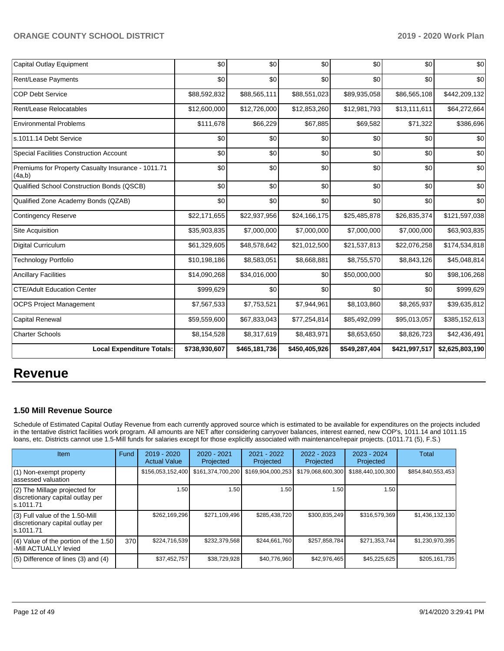| <b>Capital Outlay Equipment</b>                              | \$0           | \$0           | \$0           | \$0           | \$0           | \$0             |
|--------------------------------------------------------------|---------------|---------------|---------------|---------------|---------------|-----------------|
| Rent/Lease Payments                                          | \$0           | \$0           | \$0           | \$0           | \$0           | \$0             |
| <b>COP Debt Service</b>                                      | \$88,592,832  | \$88,565,111  | \$88,551,023  | \$89,935,058  | \$86,565,108  | \$442,209,132   |
| Rent/Lease Relocatables                                      | \$12,600,000  | \$12,726,000  | \$12,853,260  | \$12,981,793  | \$13,111,611  | \$64,272,664    |
| <b>Environmental Problems</b>                                | \$111,678     | \$66,229      | \$67,885      | \$69,582      | \$71,322      | \$386,696       |
| s.1011.14 Debt Service                                       | \$0           | \$0           | \$0           | \$0           | \$0           | \$0             |
| Special Facilities Construction Account                      | \$0           | \$0           | \$0           | \$0           | \$0           | \$0             |
| Premiums for Property Casualty Insurance - 1011.71<br>(4a,b) | \$0           | \$0           | \$0           | \$0           | \$0           | \$0             |
| Qualified School Construction Bonds (QSCB)                   | \$0           | \$0           | \$0           | \$0           | \$0           | \$0             |
| Qualified Zone Academy Bonds (QZAB)                          | \$0           | \$0           | \$0           | \$0           | \$0           | \$0             |
| <b>Contingency Reserve</b>                                   | \$22,171,655  | \$22,937,956  | \$24,166,175  | \$25,485,878  | \$26,835,374  | \$121,597,038   |
| Site Acquisition                                             | \$35,903,835  | \$7,000,000   | \$7,000,000   | \$7,000,000   | \$7,000,000   | \$63,903,835    |
| <b>Digital Curriculum</b>                                    | \$61,329,605  | \$48,578,642  | \$21,012,500  | \$21,537,813  | \$22,076,258  | \$174,534,818   |
| <b>Technology Portfolio</b>                                  | \$10,198,186  | \$8,583,051   | \$8,668,881   | \$8,755,570   | \$8,843,126   | \$45,048,814    |
| <b>Ancillary Facilities</b>                                  | \$14,090,268  | \$34,016,000  | \$0           | \$50,000,000  | \$0           | \$98,106,268    |
| <b>CTE/Adult Education Center</b>                            | \$999,629     | \$0           | \$0           | \$0           | \$0           | \$999,629       |
| <b>OCPS Project Management</b>                               | \$7,567,533   | \$7,753,521   | \$7,944,961   | \$8,103,860   | \$8,265,937   | \$39,635,812    |
| <b>Capital Renewal</b>                                       | \$59,559,600  | \$67,833,043  | \$77,254,814  | \$85,492,099  | \$95,013,057  | \$385,152,613   |
| <b>Charter Schools</b>                                       | \$8,154,528   | \$8,317,619   | \$8,483,971   | \$8,653,650   | \$8,826,723   | \$42,436,491    |
| <b>Local Expenditure Totals:</b>                             | \$738,930,607 | \$465,181,736 | \$450,405,926 | \$549,287,404 | \$421,997,517 | \$2,625,803,190 |

# **Revenue**

# **1.50 Mill Revenue Source**

Schedule of Estimated Capital Outlay Revenue from each currently approved source which is estimated to be available for expenditures on the projects included in the tentative district facilities work program. All amounts are NET after considering carryover balances, interest earned, new COP's, 1011.14 and 1011.15 loans, etc. Districts cannot use 1.5-Mill funds for salaries except for those explicitly associated with maintenance/repair projects. (1011.71 (5), F.S.)

| <b>Item</b>                                                                         | Fund | $2019 - 2020$<br><b>Actual Value</b> | $2020 - 2021$<br>Projected | $2021 - 2022$<br>Projected | $2022 - 2023$<br>Projected | $2023 - 2024$<br>Projected | Total             |
|-------------------------------------------------------------------------------------|------|--------------------------------------|----------------------------|----------------------------|----------------------------|----------------------------|-------------------|
| (1) Non-exempt property<br>lassessed valuation                                      |      | \$156,053,152,400                    | \$161,374,700,200          | \$169,904,000,253          | \$179,068,600,300          | \$188,440,100,300          | \$854,840,553,453 |
| (2) The Millage projected for<br>discretionary capital outlay per<br>ls.1011.71     |      | 1.50                                 | 1.50                       | 1.50                       | 1.50                       | 1.50                       |                   |
| $(3)$ Full value of the 1.50-Mill<br>discretionary capital outlay per<br>ls.1011.71 |      | \$262,169,296                        | \$271,109,496              | \$285,438,720              | \$300,835,249              | \$316,579,369              | \$1,436,132,130   |
| $(4)$ Value of the portion of the 1.50<br>-Mill ACTUALLY levied                     | 370  | \$224,716,539                        | \$232,379,568              | \$244,661,760              | \$257,858,784              | \$271,353,744              | \$1,230,970,395   |
| $(5)$ Difference of lines (3) and (4)                                               |      | \$37,452,757                         | \$38,729,928               | \$40,776,960               | \$42,976,465               | \$45,225,625               | \$205,161,735     |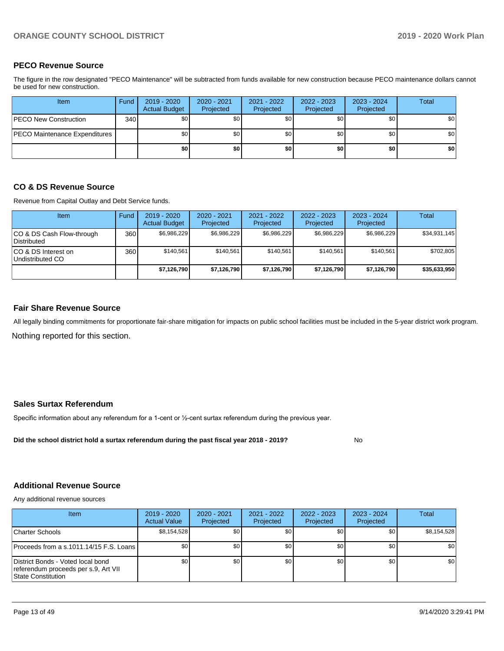# **PECO Revenue Source**

The figure in the row designated "PECO Maintenance" will be subtracted from funds available for new construction because PECO maintenance dollars cannot be used for new construction.

| <b>Item</b>                          | Fund         | 2019 - 2020<br><b>Actual Budget</b> | $2020 - 2021$<br>Projected | 2021 - 2022<br>Projected | 2022 - 2023<br>Projected | 2023 - 2024<br>Projected | Total |
|--------------------------------------|--------------|-------------------------------------|----------------------------|--------------------------|--------------------------|--------------------------|-------|
| <b>PECO New Construction</b>         | 340 <b>I</b> | \$0                                 | \$0 <sub>1</sub>           | \$0 <sub>1</sub>         | \$0 <sub>1</sub>         | \$0                      | \$0   |
| <b>PECO Maintenance Expenditures</b> |              | \$0                                 | \$0 <sub>1</sub>           | \$0                      | \$0 <sub>1</sub>         | \$0                      | \$0   |
|                                      |              | \$0                                 | \$0                        | \$0                      | \$0                      | \$0                      | \$0   |

## **CO & DS Revenue Source**

Revenue from Capital Outlay and Debt Service funds.

| <b>Item</b>                              | Fund | $2019 - 2020$<br><b>Actual Budget</b> | $2020 - 2021$<br>Projected | 2021 - 2022<br>Projected | $2022 - 2023$<br>Projected | $2023 - 2024$<br>Projected | Total        |
|------------------------------------------|------|---------------------------------------|----------------------------|--------------------------|----------------------------|----------------------------|--------------|
| CO & DS Cash Flow-through<br>Distributed | 360  | \$6.986.229                           | \$6.986.229                | \$6,986,229              | \$6.986.229                | \$6,986,229                | \$34,931,145 |
| CO & DS Interest on<br>Undistributed CO  | 360  | \$140.561                             | \$140.561                  | \$140.561                | \$140.561                  | \$140.561                  | \$702,805    |
|                                          |      | \$7,126,790                           | \$7,126,790                | \$7,126,790              | \$7,126,790                | \$7,126,790                | \$35,633,950 |

## **Fair Share Revenue Source**

Nothing reported for this section. All legally binding commitments for proportionate fair-share mitigation for impacts on public school facilities must be included in the 5-year district work program.

### **Sales Surtax Referendum**

Specific information about any referendum for a 1-cent or ½-cent surtax referendum during the previous year.

**Did the school district hold a surtax referendum during the past fiscal year 2018 - 2019?**

No

### **Additional Revenue Source**

Any additional revenue sources

| Item                                                                                            | $2019 - 2020$<br><b>Actual Value</b> | $2020 - 2021$<br>Projected | 2021 - 2022<br>Projected | 2022 - 2023<br>Projected | 2023 - 2024<br>Projected | Total            |
|-------------------------------------------------------------------------------------------------|--------------------------------------|----------------------------|--------------------------|--------------------------|--------------------------|------------------|
| Charter Schools                                                                                 | \$8,154,528                          | \$0 <sub>1</sub>           | \$0                      | \$0                      | \$0                      | \$8,154,528      |
| Proceeds from a s.1011.14/15 F.S. Loans                                                         | \$0 <sub>1</sub>                     | \$0                        | \$0                      | \$0                      | \$0                      | \$0              |
| District Bonds - Voted local bond<br>referendum proceeds per s.9, Art VII<br>State Constitution | \$0                                  | \$0                        | \$0                      | \$0                      | \$0 <sub>1</sub>         | \$0 <sub>1</sub> |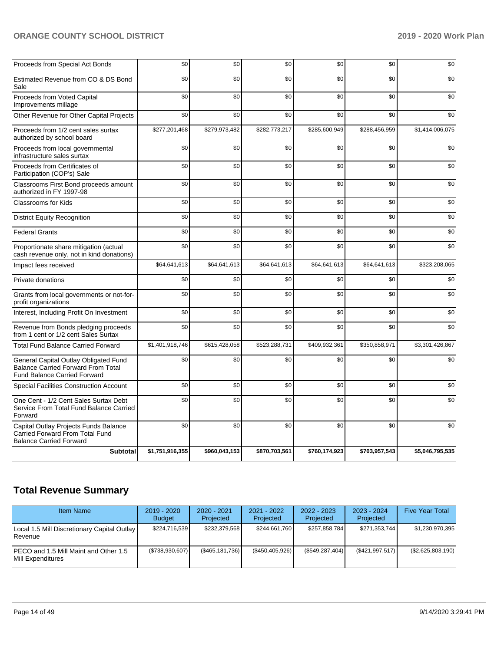| Proceeds from Special Act Bonds                                                                                           | \$0             | \$0           | \$0           | \$0           | \$0           | \$0             |
|---------------------------------------------------------------------------------------------------------------------------|-----------------|---------------|---------------|---------------|---------------|-----------------|
| Estimated Revenue from CO & DS Bond<br>Sale                                                                               | \$0             | \$0           | \$0           | \$0           | \$0           | \$0             |
| Proceeds from Voted Capital<br>Improvements millage                                                                       | \$0             | \$0           | \$0           | \$0           | \$0           | \$0             |
| Other Revenue for Other Capital Projects                                                                                  | \$0             | \$0           | \$0           | \$0           | \$0           | \$0             |
| Proceeds from 1/2 cent sales surtax<br>authorized by school board                                                         | \$277,201,468   | \$279,973,482 | \$282,773,217 | \$285,600,949 | \$288,456,959 | \$1,414,006,075 |
| Proceeds from local governmental<br>infrastructure sales surtax                                                           | \$0             | \$0           | \$0           | \$0           | \$0           | \$0             |
| Proceeds from Certificates of<br>Participation (COP's) Sale                                                               | \$0             | \$0           | \$0           | \$0           | \$0           | \$0             |
| Classrooms First Bond proceeds amount<br>authorized in FY 1997-98                                                         | \$0             | \$0           | \$0           | \$0           | \$0           | \$0             |
| Classrooms for Kids                                                                                                       | \$0             | \$0           | \$0           | \$0           | \$0           | \$0             |
| <b>District Equity Recognition</b>                                                                                        | \$0             | \$0           | \$0           | \$0           | \$0           | \$0             |
| <b>Federal Grants</b>                                                                                                     | \$0             | \$0           | \$0           | \$0           | \$0           | \$0             |
| Proportionate share mitigation (actual<br>cash revenue only, not in kind donations)                                       | \$0             | \$0           | \$0           | \$0           | \$0           | \$0             |
| Impact fees received                                                                                                      | \$64,641,613    | \$64,641,613  | \$64,641,613  | \$64,641,613  | \$64,641,613  | \$323,208,065   |
| Private donations                                                                                                         | \$0             | \$0           | \$0           | \$0           | \$0           | \$0             |
| Grants from local governments or not-for-<br>profit organizations                                                         | \$0             | \$0           | \$0           | \$0           | \$0           | \$0             |
| Interest, Including Profit On Investment                                                                                  | \$0             | \$0           | \$0           | \$0           | \$0           | \$0             |
| Revenue from Bonds pledging proceeds<br>from 1 cent or 1/2 cent Sales Surtax                                              | \$0             | \$0           | \$0           | \$0           | \$0           | \$0             |
| <b>Total Fund Balance Carried Forward</b>                                                                                 | \$1,401,918,746 | \$615,428,058 | \$523,288,731 | \$409,932,361 | \$350,858,971 | \$3,301,426,867 |
| General Capital Outlay Obligated Fund<br><b>Balance Carried Forward From Total</b><br><b>Fund Balance Carried Forward</b> | \$0             | \$0           | \$0           | \$0           | \$0           | \$0             |
| <b>Special Facilities Construction Account</b>                                                                            | \$0             | \$0           | \$0           | \$0           | \$0           | \$0             |
| One Cent - 1/2 Cent Sales Surtax Debt<br>Service From Total Fund Balance Carried<br>Forward                               | \$0             | \$0           | \$0           | \$0           | \$0           | \$0             |
| Capital Outlay Projects Funds Balance<br>Carried Forward From Total Fund<br><b>Balance Carried Forward</b>                | \$0             | \$0           | \$0           | \$0           | \$0           | \$0             |
| <b>Subtotal</b>                                                                                                           | \$1,751,916,355 | \$960,043,153 | \$870,703,561 | \$760,174,923 | \$703,957,543 | \$5,046,795,535 |

# **Total Revenue Summary**

| <b>Item Name</b>                                                    | $2019 - 2020$<br><b>Budget</b> | $2020 - 2021$<br>Projected | 2021 - 2022<br>Projected | $2022 - 2023$<br>Projected | 2023 - 2024<br>Projected | <b>Five Year Total</b> |
|---------------------------------------------------------------------|--------------------------------|----------------------------|--------------------------|----------------------------|--------------------------|------------------------|
| Local 1.5 Mill Discretionary Capital Outlay<br><b>Revenue</b>       | \$224,716,539                  | \$232.379.568              | \$244.661.760            | \$257,858,784              | \$271.353.744            | \$1,230,970,395        |
| IPECO and 1.5 Mill Maint and Other 1.5<br><b>IMill Expenditures</b> | (\$738,930,607)                | (\$465,181,736)            | (\$450,405,926)          | $(\$549,287,404)$          | (\$421,997,517)          | $(\$2,625,803,190)$    |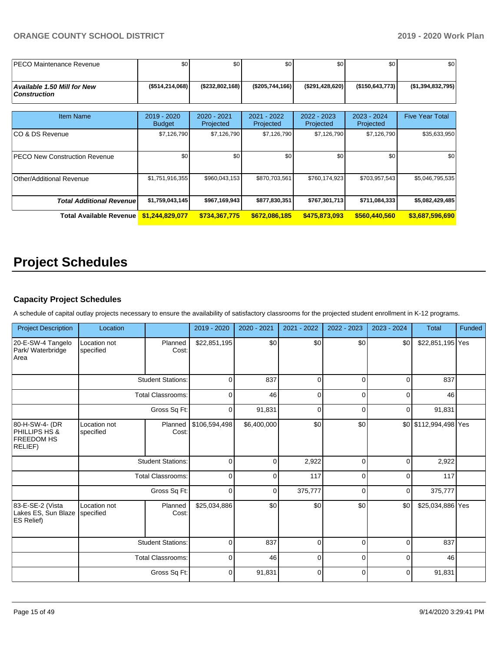| <b>IPECO Maintenance Revenue</b>                   | \$0                          | \$0                      | \$0                      | \$0                      | \$0                      | \$0                    |
|----------------------------------------------------|------------------------------|--------------------------|--------------------------|--------------------------|--------------------------|------------------------|
| Available 1.50 Mill for New<br><b>Construction</b> | ( \$514, 214, 068]           | ( \$232, 802, 168)       | (\$205,744,166)          | (\$291,428,620)          | ( \$150, 643, 773]       | (\$1,394,832,795)      |
| <b>Item Name</b>                                   | 2019 - 2020<br><b>Budget</b> | 2020 - 2021<br>Projected | 2021 - 2022<br>Projected | 2022 - 2023<br>Projected | 2023 - 2024<br>Projected | <b>Five Year Total</b> |
| ICO & DS Revenue                                   | \$7,126,790                  | \$7,126,790              | \$7,126,790              | \$7,126,790              | \$7,126,790              | \$35,633,950           |
| <b>PECO New Construction Revenue</b>               | \$0                          | \$0                      | \$0                      | \$0                      | \$0                      | \$0 <sub>1</sub>       |
| <b>Other/Additional Revenue</b>                    | \$1,751,916,355              | \$960,043,153            | \$870,703,561            | \$760,174,923            | \$703,957,543            | \$5,046,795,535        |
| <b>Total Additional Revenue</b>                    | \$1,759,043,145              | \$967,169,943            | \$877,830,351            | \$767,301,713            | \$711,084,333            | \$5,082,429,485        |
| Total Available Revenue                            | \$1,244,829,077              | \$734,367,775            | \$672,086,185            | \$475,873,093            | \$560,440,560            | \$3,687,596,690        |

# **Project Schedules**

# **Capacity Project Schedules**

A schedule of capital outlay projects necessary to ensure the availability of satisfactory classrooms for the projected student enrollment in K-12 programs.

| <b>Project Description</b>                                                        | Location                  |                          | 2019 - 2020   | 2020 - 2021 | 2021 - 2022 | 2022 - 2023 | 2023 - 2024 | <b>Total</b>          | Funded |
|-----------------------------------------------------------------------------------|---------------------------|--------------------------|---------------|-------------|-------------|-------------|-------------|-----------------------|--------|
| 20-E-SW-4 Tangelo<br>Park/ Waterbridge<br>Area                                    | Location not<br>specified | Planned<br>Cost:         | \$22,851,195  | \$0         | \$0         | \$0         | \$0         | \$22,851,195 Yes      |        |
|                                                                                   |                           | <b>Student Stations:</b> | 0             | 837         | 0           | 0           | $\mathbf 0$ | 837                   |        |
|                                                                                   | <b>Total Classrooms:</b>  |                          | $\mathbf 0$   | 46          | 0           | 0           | $\mathbf 0$ | 46                    |        |
|                                                                                   |                           | Gross Sq Ft:             | $\mathbf 0$   | 91,831      | $\mathbf 0$ | $\mathbf 0$ | $\mathbf 0$ | 91,831                |        |
| 80-H-SW-4- (DR<br><b>PHILLIPS HS &amp;</b><br><b>FREEDOM HS</b><br><b>RELIEF)</b> | Location not<br>specified | Planned<br>Cost:         | \$106,594,498 | \$6,400,000 | \$0         | \$0         |             | \$0 \$112,994,498 Yes |        |
|                                                                                   |                           | <b>Student Stations:</b> | $\mathbf 0$   | 0           | 2,922       | $\mathbf 0$ | $\mathbf 0$ | 2,922                 |        |
|                                                                                   |                           | <b>Total Classrooms:</b> | $\mathbf 0$   | 0           | 117         | 0           | $\mathbf 0$ | 117                   |        |
|                                                                                   |                           | Gross Sq Ft:             | 0             | 0           | 375,777     | 0           | $\mathbf 0$ | 375,777               |        |
| 83-E-SE-2 (Vista<br>Lakes ES, Sun Blaze<br><b>ES Relief)</b>                      | Location not<br>specified | Planned<br>Cost:         | \$25,034,886  | \$0         | \$0         | \$0         | \$0         | \$25,034,886 Yes      |        |
|                                                                                   |                           | <b>Student Stations:</b> | 0             | 837         | 0           | 0           | $\mathbf 0$ | 837                   |        |
|                                                                                   |                           | <b>Total Classrooms:</b> | $\mathbf 0$   | 46          | 0           | $\mathbf 0$ | $\mathbf 0$ | 46                    |        |
|                                                                                   |                           | Gross Sq Ft:             | $\mathbf 0$   | 91,831      | 0           | $\mathbf 0$ | $\mathbf 0$ | 91,831                |        |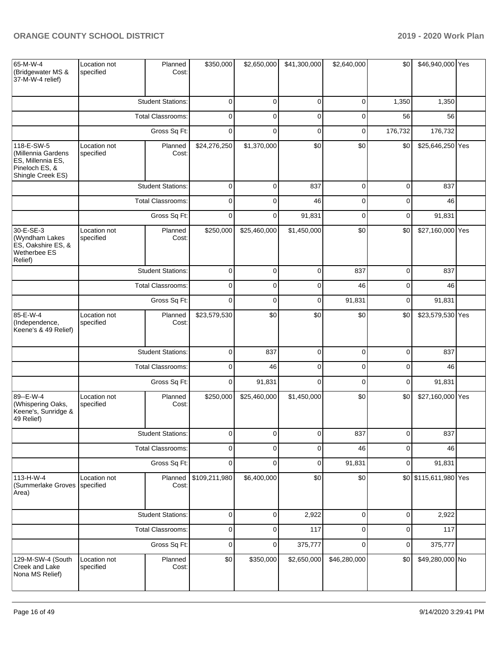| 65-M-W-4<br>(Bridgewater MS &<br>37-M-W-4 relief)                                            | Location not<br>specified | Planned<br>Cost:         | \$350,000     | \$2,650,000    | \$41,300,000   | \$2,640,000  | \$0         | \$46,940,000 Yes      |  |
|----------------------------------------------------------------------------------------------|---------------------------|--------------------------|---------------|----------------|----------------|--------------|-------------|-----------------------|--|
|                                                                                              |                           | <b>Student Stations:</b> | 0             | 0              | 0              | 0            | 1,350       | 1,350                 |  |
|                                                                                              |                           | <b>Total Classrooms:</b> | 0             | 0              | $\mathbf 0$    | $\mathbf 0$  | 56          | 56                    |  |
|                                                                                              |                           | Gross Sq Ft:             | 0             | 0              | $\mathbf 0$    | $\mathbf 0$  | 176,732     | 176,732               |  |
| 118-E-SW-5<br>(Millennia Gardens<br>ES, Millennia ES,<br>Pineloch ES, &<br>Shingle Creek ES) | Location not<br>specified | Planned<br>Cost:         | \$24,276,250  | \$1,370,000    | \$0            | \$0          | \$0         | \$25,646,250 Yes      |  |
|                                                                                              |                           | <b>Student Stations:</b> | 0             | 0              | 837            | $\mathbf 0$  | $\mathbf 0$ | 837                   |  |
|                                                                                              |                           | <b>Total Classrooms:</b> | 0             | 0              | 46             | $\mathbf 0$  | 0           | 46                    |  |
|                                                                                              |                           | Gross Sq Ft:             | $\mathbf 0$   | 0              | 91,831         | $\mathbf 0$  | $\mathbf 0$ | 91,831                |  |
| 30-E-SE-3<br>(Wyndham Lakes<br>ES, Oakshire ES, &<br>Wetherbee ES<br>Relief)                 | Location not<br>specified | Planned<br>Cost:         | \$250,000     | \$25,460,000   | \$1,450,000    | \$0          | \$0         | \$27,160,000 Yes      |  |
|                                                                                              |                           | <b>Student Stations:</b> | $\mathbf 0$   | $\mathbf 0$    | $\mathbf 0$    | 837          | $\mathbf 0$ | 837                   |  |
|                                                                                              |                           | <b>Total Classrooms:</b> | $\mathbf 0$   | 0              | $\pmb{0}$      | 46           | $\mathbf 0$ | 46                    |  |
|                                                                                              |                           | Gross Sq Ft:             | $\Omega$      | $\mathbf 0$    | $\mathbf 0$    | 91,831       | $\mathbf 0$ | 91,831                |  |
| 85-E-W-4<br>(Independence,<br>Keene's & 49 Relief)                                           | Location not<br>specified | Planned<br>Cost:         | \$23,579,530  | \$0            | \$0            | \$0          | \$0         | \$23,579,530 Yes      |  |
|                                                                                              | <b>Student Stations:</b>  |                          | 0             | 837            | $\mathbf 0$    | $\mathbf 0$  | $\mathbf 0$ | 837                   |  |
|                                                                                              |                           | <b>Total Classrooms:</b> | 0             | 46             | $\pmb{0}$      | $\mathbf 0$  | 0           | 46                    |  |
|                                                                                              |                           | Gross Sq Ft:             | $\mathbf 0$   | 91,831         | $\overline{0}$ | $\mathbf 0$  | $\mathbf 0$ | 91,831                |  |
| 89 -- E-W-4<br>(Whispering Oaks,<br>Keene's, Sunridge &<br>49 Relief)                        | Location not<br>specified | Planned<br>Cost:         | \$250,000     | \$25,460,000   | \$1,450,000    | \$0          | \$0         | \$27,160,000 Yes      |  |
|                                                                                              |                           | <b>Student Stations:</b> | 0             | $\overline{0}$ | $\overline{0}$ | 837          | $\mathbf 0$ | 837                   |  |
|                                                                                              |                           | <b>Total Classrooms:</b> | $\mathbf 0$   | 0              | $\mathbf 0$    | 46           | $\mathbf 0$ | 46                    |  |
|                                                                                              |                           | Gross Sq Ft:             | $\mathbf 0$   | 0              | $\mathbf 0$    | 91,831       | $\mathbf 0$ | 91,831                |  |
| 113-H-W-4<br>(Summerlake Groves<br>Area)                                                     | Location not<br>specified | Planned<br>Cost:         | \$109,211,980 | \$6,400,000    | \$0            | \$0          |             | \$0 \$115,611,980 Yes |  |
|                                                                                              |                           | <b>Student Stations:</b> | 0             | $\overline{0}$ | 2,922          | $\mathbf 0$  | 0           | 2,922                 |  |
|                                                                                              |                           | <b>Total Classrooms:</b> | 0             | 0              | 117            | 0            | 0           | 117                   |  |
|                                                                                              |                           | Gross Sq Ft:             | 0             | 0              | 375,777        | $\mathbf 0$  | 0           | 375,777               |  |
| 129-M-SW-4 (South<br>Creek and Lake<br>Nona MS Relief)                                       | Location not<br>specified | Planned<br>Cost:         | \$0           | \$350,000      | \$2,650,000    | \$46,280,000 | \$0         | \$49,280,000 No       |  |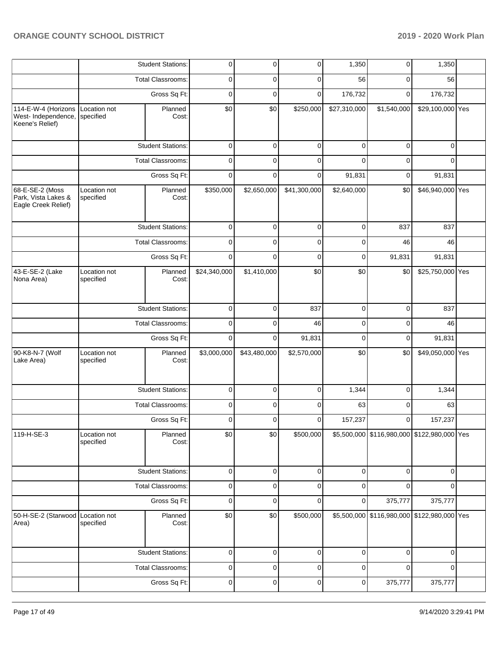|                                                               |                               | <b>Student Stations:</b> | 0            | $\overline{0}$ | $\overline{0}$ | 1,350        | 0                                           | 1,350            |  |
|---------------------------------------------------------------|-------------------------------|--------------------------|--------------|----------------|----------------|--------------|---------------------------------------------|------------------|--|
|                                                               |                               | <b>Total Classrooms:</b> | 0            | 0              | $\mathbf 0$    | 56           | $\mathbf 0$                                 | 56               |  |
|                                                               |                               | Gross Sq Ft:             | $\mathbf 0$  | 0              | $\mathbf 0$    | 176,732      | $\mathbf 0$                                 | 176,732          |  |
| 114-E-W-4 (Horizons<br>West- Independence,<br>Keene's Relief) | Location not<br>specified     | Planned<br>Cost:         | \$0          | \$0            | \$250,000      | \$27,310,000 | \$1,540,000                                 | \$29,100,000 Yes |  |
|                                                               |                               | <b>Student Stations:</b> | $\mathbf 0$  | $\mathbf 0$    | $\mathbf 0$    | $\mathbf 0$  | $\mathbf 0$                                 | $\mathbf 0$      |  |
|                                                               |                               | <b>Total Classrooms:</b> | $\mathbf 0$  | $\Omega$       | $\mathbf 0$    | $\Omega$     | $\mathbf 0$                                 | $\Omega$         |  |
|                                                               |                               | Gross Sq Ft:             | $\mathbf 0$  | $\Omega$       | $\mathbf 0$    | 91,831       | $\mathbf 0$                                 | 91,831           |  |
| 68-E-SE-2 (Moss<br>Park, Vista Lakes &<br>Eagle Creek Relief) | Location not<br>specified     | Planned<br>Cost:         | \$350,000    | \$2,650,000    | \$41,300,000   | \$2,640,000  | \$0                                         | \$46,940,000 Yes |  |
|                                                               |                               | <b>Student Stations:</b> | 0            | $\mathbf 0$    | 0              | 0            | 837                                         | 837              |  |
|                                                               |                               | <b>Total Classrooms:</b> | 0            | $\Omega$       | 0              | 0            | 46                                          | 46               |  |
|                                                               |                               | Gross Sq Ft:             | $\mathbf 0$  | 0              | 0              | 0            | 91,831                                      | 91,831           |  |
| 43-E-SE-2 (Lake<br>Nona Area)                                 | Location not<br>specified     | Planned<br>Cost:         | \$24,340,000 | \$1,410,000    | \$0            | \$0          | \$0                                         | \$25,750,000 Yes |  |
|                                                               |                               | <b>Student Stations:</b> | $\mathbf 0$  | $\mathbf 0$    | 837            | $\mathbf 0$  | $\mathbf 0$                                 | 837              |  |
|                                                               |                               | Total Classrooms:        | $\mathbf 0$  | 0              | 46             | 0            | $\mathbf 0$                                 | 46               |  |
|                                                               |                               | Gross Sq Ft:             | $\mathbf 0$  | 0              | 91,831         | $\mathbf 0$  | $\mathbf 0$                                 | 91,831           |  |
| 90-K8-N-7 (Wolf<br>Lake Area)                                 | Location not<br>specified     | Planned<br>Cost:         | \$3,000,000  | \$43,480,000   | \$2,570,000    | \$0          | \$0                                         | \$49,050,000 Yes |  |
|                                                               |                               | <b>Student Stations:</b> | $\mathbf 0$  | 0              | $\mathbf 0$    | 1,344        | $\mathbf 0$                                 | 1,344            |  |
|                                                               |                               | Total Classrooms:        | 0            | 0              | $\mathbf 0$    | 63           | $\mathbf 0$                                 | 63               |  |
|                                                               |                               | Gross Sq Ft:             | 0            | $\Omega$       | $\mathbf 0$    | 157,237      | $\mathbf 0$                                 | 157,237          |  |
| 119-H-SE-3                                                    | Location not<br>specified     | Planned<br>Cost:         | \$0          | \$0            | \$500,000      |              | \$5,500,000 \$116,980,000 \$122,980,000 Yes |                  |  |
|                                                               |                               | <b>Student Stations:</b> | $\mathbf 0$  | $\overline{0}$ | $\mathbf 0$    | $\mathbf 0$  | $\mathbf 0$                                 | $\mathbf 0$      |  |
|                                                               |                               | Total Classrooms:        | 0            | 0              | $\mathbf 0$    | 0            | $\Omega$                                    | $\Omega$         |  |
|                                                               |                               | Gross Sq Ft:             | $\pmb{0}$    | 0              | $\mathbf 0$    | $\mathbf 0$  | 375,777                                     | 375,777          |  |
| 50-H-SE-2 (Starwood Location not<br>Area)                     | Planned<br>specified<br>Cost: |                          | \$0          | \$0            | \$500,000      |              | \$5,500,000 \$116,980,000 \$122,980,000 Yes |                  |  |
|                                                               |                               | <b>Student Stations:</b> | 0            | $\mathbf 0$    | 0              | 0            | $\mathbf 0$                                 | 0                |  |
|                                                               |                               | Total Classrooms:        | 0            | 0              | 0              | 0            | $\mathbf 0$                                 | $\mathbf 0$      |  |
|                                                               |                               | Gross Sq Ft:             | 0            | 0              | 0              | 0            | 375,777                                     | 375,777          |  |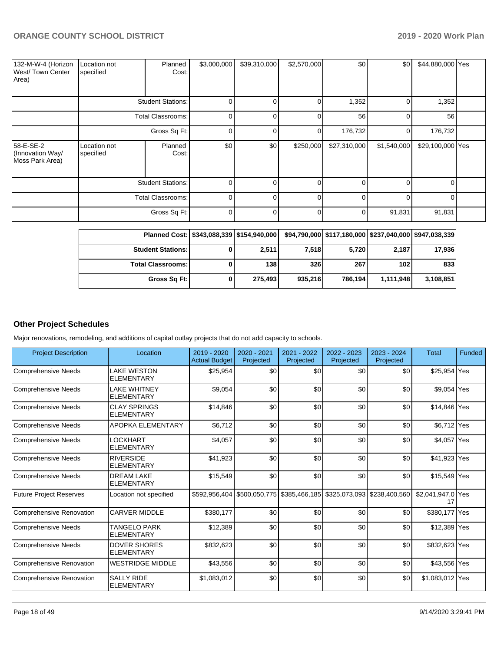| 132-M-W-4 (Horizon<br>West/Town Center<br>Area)  | Location not<br>specified | Planned<br>Cost:         | \$3,000,000 | \$39,310,000 | \$2,570,000 | \$0          | \$0            | \$44,880,000 Yes |  |
|--------------------------------------------------|---------------------------|--------------------------|-------------|--------------|-------------|--------------|----------------|------------------|--|
|                                                  |                           | <b>Student Stations:</b> | 0           |              |             | 1,352        | $\overline{0}$ | 1,352            |  |
|                                                  |                           | <b>Total Classrooms:</b> | O           | U            |             | 56           | $\Omega$       | 56               |  |
|                                                  |                           | Gross Sq Ft:             | 0           |              | 0           | 176,732      | $\overline{0}$ | 176,732          |  |
| 58-E-SE-2<br>(Innovation Way/<br>Moss Park Area) | Location not<br>specified | Planned<br>Cost:         | \$0         | \$0          | \$250,000   | \$27,310,000 | \$1,540,000    | \$29,100,000 Yes |  |
|                                                  |                           | <b>Student Stations:</b> | ი           |              |             | 0            | $\Omega$       |                  |  |
|                                                  |                           | <b>Total Classrooms:</b> | 0           | ∩            | $\Omega$    | 0            | $\Omega$       |                  |  |
|                                                  |                           | Gross Sq Ft:             | 0           |              |             | 0            | 91,831         | 91,831           |  |

| Planned Cost:   \$343,088,339   \$154,940,000 |         |         |         |                  | \$94,790,000   \$117,180,000   \$237,040,000   \$947,038,339 |
|-----------------------------------------------|---------|---------|---------|------------------|--------------------------------------------------------------|
| <b>Student Stations:</b>                      | 2,511   | 7.518   | 5,720   | 2,187            | 17,936                                                       |
| <b>Total Classrooms: I</b>                    | 138     | 326     | 267     | 102 <sub>l</sub> | 833                                                          |
| Gross Sq Ft:                                  | 275,493 | 935,216 | 786.194 | 1,111,948        | 3,108,851                                                    |

## **Other Project Schedules**

Major renovations, remodeling, and additions of capital outlay projects that do not add capacity to schools.

| <b>Project Description</b>      | Location                                 | $2019 - 2020$<br><b>Actual Budget</b> | 2020 - 2021<br>Projected | 2021 - 2022<br>Projected | 2022 - 2023<br>Projected                                              | $2023 - 2024$<br>Projected | <b>Total</b>      | Funded |
|---------------------------------|------------------------------------------|---------------------------------------|--------------------------|--------------------------|-----------------------------------------------------------------------|----------------------------|-------------------|--------|
| <b>Comprehensive Needs</b>      | <b>LAKE WESTON</b><br><b>ELEMENTARY</b>  | \$25,954                              | \$0                      | \$0                      | \$0                                                                   | \$0                        | \$25,954 Yes      |        |
| <b>Comprehensive Needs</b>      | <b>LAKE WHITNEY</b><br><b>ELEMENTARY</b> | \$9,054                               | \$0                      | \$0                      | \$0                                                                   | \$0                        | \$9,054 Yes       |        |
| <b>Comprehensive Needs</b>      | <b>CLAY SPRINGS</b><br><b>ELEMENTARY</b> | \$14,846                              | \$0                      | \$0                      | \$0                                                                   | \$0                        | \$14,846 Yes      |        |
| <b>Comprehensive Needs</b>      | <b>APOPKA ELEMENTARY</b>                 | \$6,712                               | \$0                      | \$0                      | \$0                                                                   | \$0                        | \$6,712 Yes       |        |
| <b>Comprehensive Needs</b>      | LOCKHART<br><b>ELEMENTARY</b>            | \$4,057                               | \$0                      | \$0                      | \$0                                                                   | \$0                        | \$4,057 Yes       |        |
| <b>Comprehensive Needs</b>      | <b>RIVERSIDE</b><br><b>ELEMENTARY</b>    | \$41,923                              | \$0                      | \$0                      | \$0                                                                   | \$0                        | \$41,923 Yes      |        |
| <b>Comprehensive Needs</b>      | <b>DREAM LAKE</b><br><b>ELEMENTARY</b>   | \$15,549                              | \$0                      | \$0                      | \$0                                                                   | \$0                        | \$15,549 Yes      |        |
| <b>Future Project Reserves</b>  | Location not specified                   |                                       |                          |                          | \$592,956,404 \$500,050,775 \$385,466,185 \$325,073,093 \$238,400,560 |                            | \$2,041,947,0 Yes |        |
| <b>Comprehensive Renovation</b> | <b>CARVER MIDDLE</b>                     | \$380,177                             | \$0                      | \$0                      | \$0                                                                   | \$0                        | \$380,177 Yes     |        |
| <b>Comprehensive Needs</b>      | TANGELO PARK<br><b>ELEMENTARY</b>        | \$12,389                              | \$0                      | \$0                      | \$0                                                                   | \$0                        | \$12,389 Yes      |        |
| <b>Comprehensive Needs</b>      | <b>DOVER SHORES</b><br><b>ELEMENTARY</b> | \$832,623                             | \$0                      | \$0                      | \$0                                                                   | \$0                        | \$832,623 Yes     |        |
| <b>Comprehensive Renovation</b> | <b>WESTRIDGE MIDDLE</b>                  | \$43,556                              | \$0                      | \$0                      | \$0                                                                   | \$0                        | \$43,556 Yes      |        |
| <b>Comprehensive Renovation</b> | <b>SALLY RIDE</b><br><b>ELEMENTARY</b>   | \$1,083,012                           | \$0                      | \$0                      | \$0                                                                   | \$0                        | \$1,083,012 Yes   |        |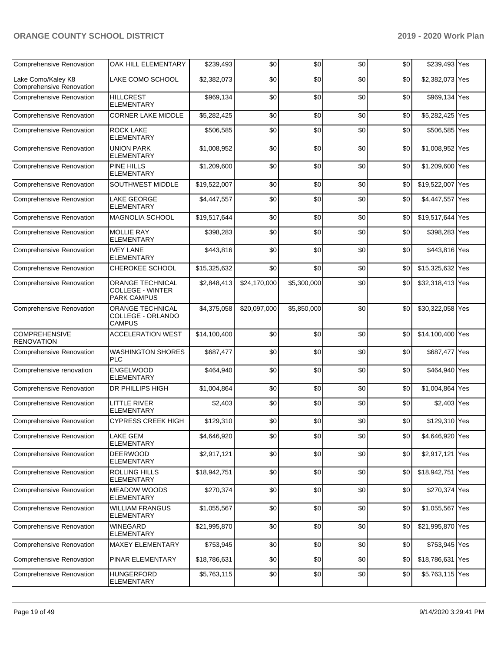| <b>Comprehensive Renovation</b>                       | OAK HILL ELEMENTARY                                               | \$239.493    | \$0          | \$0         | \$0 | \$0 | \$239,493 Yes    |     |
|-------------------------------------------------------|-------------------------------------------------------------------|--------------|--------------|-------------|-----|-----|------------------|-----|
| Lake Como/Kaley K8<br><b>Comprehensive Renovation</b> | LAKE COMO SCHOOL                                                  | \$2,382,073  | \$0          | \$0         | \$0 | \$0 | \$2,382,073 Yes  |     |
| Comprehensive Renovation                              | <b>HILLCREST</b><br><b>ELEMENTARY</b>                             | \$969,134    | \$0          | \$0         | \$0 | \$0 | \$969,134 Yes    |     |
| Comprehensive Renovation                              | <b>CORNER LAKE MIDDLE</b>                                         | \$5,282,425  | \$0          | \$0         | \$0 | \$0 | \$5,282,425 Yes  |     |
| <b>Comprehensive Renovation</b>                       | <b>ROCK LAKE</b><br><b>ELEMENTARY</b>                             | \$506,585    | \$0          | \$0         | \$0 | \$0 | \$506,585 Yes    |     |
| Comprehensive Renovation                              | <b>UNION PARK</b><br><b>ELEMENTARY</b>                            | \$1,008,952  | \$0          | \$0         | \$0 | \$0 | \$1,008,952 Yes  |     |
| Comprehensive Renovation                              | <b>PINE HILLS</b><br><b>ELEMENTARY</b>                            | \$1,209,600  | \$0          | \$0         | \$0 | \$0 | \$1,209,600 Yes  |     |
| Comprehensive Renovation                              | <b>SOUTHWEST MIDDLE</b>                                           | \$19,522,007 | \$0          | \$0         | \$0 | \$0 | \$19,522,007 Yes |     |
| <b>Comprehensive Renovation</b>                       | <b>LAKE GEORGE</b><br><b>ELEMENTARY</b>                           | \$4,447,557  | \$0          | \$0         | \$0 | \$0 | \$4,447,557 Yes  |     |
| Comprehensive Renovation                              | <b>MAGNOLIA SCHOOL</b>                                            | \$19,517,644 | \$0          | \$0         | \$0 | \$0 | \$19,517,644 Yes |     |
| Comprehensive Renovation                              | <b>MOLLIE RAY</b><br><b>ELEMENTARY</b>                            | \$398.283    | \$0          | \$0         | \$0 | \$0 | \$398,283 Yes    |     |
| Comprehensive Renovation                              | <b>IVEY LANE</b><br><b>ELEMENTARY</b>                             | \$443,816    | \$0          | \$0         | \$0 | \$0 | \$443,816 Yes    |     |
| <b>Comprehensive Renovation</b>                       | CHEROKEE SCHOOL                                                   | \$15,325,632 | \$0          | \$0         | \$0 | \$0 | \$15,325,632 Yes |     |
| <b>Comprehensive Renovation</b>                       | ORANGE TECHNICAL<br><b>COLLEGE - WINTER</b><br><b>PARK CAMPUS</b> | \$2,848,413  | \$24,170,000 | \$5,300,000 | \$0 | \$0 | \$32,318,413 Yes |     |
| Comprehensive Renovation                              | ORANGE TECHNICAL<br>COLLEGE - ORLANDO<br><b>CAMPUS</b>            | \$4,375,058  | \$20,097,000 | \$5,850,000 | \$0 | \$0 | \$30,322,058 Yes |     |
| <b>COMPREHENSIVE</b><br><b>RENOVATION</b>             | <b>ACCELERATION WEST</b>                                          | \$14,100,400 | \$0          | \$0         | \$0 | \$0 | \$14,100,400 Yes |     |
| <b>Comprehensive Renovation</b>                       | <b>WASHINGTON SHORES</b><br><b>PLC</b>                            | \$687,477    | \$0          | \$0         | \$0 | \$0 | \$687,477 Yes    |     |
| Comprehensive renovation                              | ENGELWOOD<br><b>ELEMENTARY</b>                                    | \$464,940    | \$0          | \$0         | \$0 | \$0 | \$464,940 Yes    |     |
| Comprehensive Renovation                              | <b>DR PHILLIPS HIGH</b>                                           | \$1,004,864  | \$0          | \$0         | \$0 | \$0 | \$1,004,864 Yes  |     |
| <b>Comprehensive Renovation</b>                       | <b>LITTLE RIVER</b><br><b>ELEMENTARY</b>                          | \$2,403      | \$0          | \$0         | \$0 | \$0 | \$2,403 Yes      |     |
| <b>Comprehensive Renovation</b>                       | <b>CYPRESS CREEK HIGH</b>                                         | \$129,310    | \$0          | \$0         | \$0 | \$0 | \$129,310 Yes    |     |
| <b>Comprehensive Renovation</b>                       | <b>LAKE GEM</b><br>ELEMENTARY                                     | \$4,646,920  | \$0          | \$0         | \$0 | \$0 | \$4,646,920 Yes  |     |
| Comprehensive Renovation                              | <b>DEERWOOD</b><br><b>ELEMENTARY</b>                              | \$2,917,121  | \$0          | \$0         | \$0 | \$0 | \$2,917,121      | Yes |
| Comprehensive Renovation                              | <b>ROLLING HILLS</b><br><b>ELEMENTARY</b>                         | \$18,942,751 | \$0          | \$0         | \$0 | \$0 | \$18,942,751 Yes |     |
| <b>Comprehensive Renovation</b>                       | <b>MEADOW WOODS</b><br><b>ELEMENTARY</b>                          | \$270,374    | \$0          | \$0         | \$0 | \$0 | \$270,374 Yes    |     |
| Comprehensive Renovation                              | <b>WILLIAM FRANGUS</b><br><b>ELEMENTARY</b>                       | \$1,055,567  | \$0          | \$0         | \$0 | \$0 | \$1,055,567 Yes  |     |
| Comprehensive Renovation                              | <b>WINEGARD</b><br><b>ELEMENTARY</b>                              | \$21,995,870 | \$0          | \$0         | \$0 | \$0 | \$21,995,870 Yes |     |
| <b>Comprehensive Renovation</b>                       | <b>MAXEY ELEMENTARY</b>                                           | \$753,945    | \$0          | \$0         | \$0 | \$0 | \$753,945 Yes    |     |
| Comprehensive Renovation                              | PINAR ELEMENTARY                                                  | \$18,786,631 | \$0          | \$0         | \$0 | \$0 | \$18,786,631 Yes |     |
| Comprehensive Renovation                              | <b>HUNGERFORD</b><br>ELEMENTARY                                   | \$5,763,115  | \$0          | \$0         | \$0 | \$0 | \$5,763,115 Yes  |     |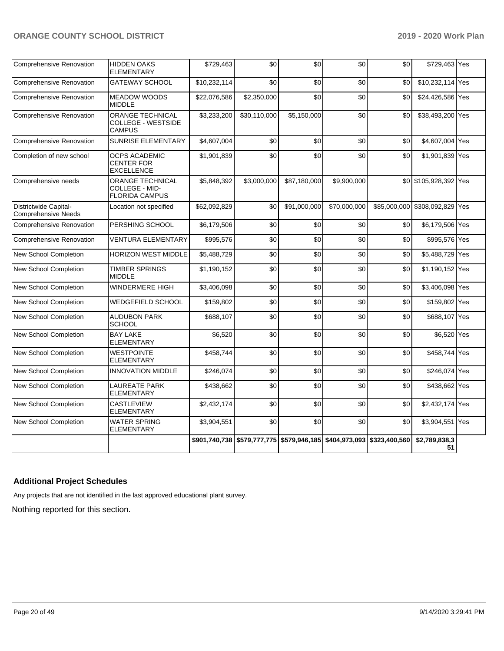| <b>Comprehensive Renovation</b>              | <b>HIDDEN OAKS</b><br><b>ELEMENTARY</b>                               | \$729,463    | \$0                                                                   | \$0          | \$0          | \$0 | \$729,463 Yes                  |  |
|----------------------------------------------|-----------------------------------------------------------------------|--------------|-----------------------------------------------------------------------|--------------|--------------|-----|--------------------------------|--|
| <b>Comprehensive Renovation</b>              | <b>GATEWAY SCHOOL</b>                                                 | \$10,232,114 | \$0                                                                   | \$0          | \$0          | \$0 | \$10,232,114 Yes               |  |
| <b>Comprehensive Renovation</b>              | <b>MEADOW WOODS</b><br><b>MIDDLE</b>                                  | \$22,076,586 | \$2,350,000                                                           | \$0          | \$0          | \$0 | \$24,426,586 Yes               |  |
| <b>Comprehensive Renovation</b>              | <b>ORANGE TECHNICAL</b><br><b>COLLEGE - WESTSIDE</b><br><b>CAMPUS</b> | \$3,233,200  | \$30,110,000                                                          | \$5,150,000  | \$0          | \$0 | \$38,493,200 Yes               |  |
| <b>Comprehensive Renovation</b>              | <b>SUNRISE ELEMENTARY</b>                                             | \$4,607,004  | \$0                                                                   | \$0          | \$0          | \$0 | \$4,607,004 Yes                |  |
| Completion of new school                     | <b>OCPS ACADEMIC</b><br><b>CENTER FOR</b><br><b>EXCELLENCE</b>        | \$1,901,839  | \$0                                                                   | \$0          | \$0          | \$0 | \$1,901,839 Yes                |  |
| Comprehensive needs                          | <b>ORANGE TECHNICAL</b><br>COLLEGE - MID-<br><b>FLORIDA CAMPUS</b>    | \$5,848,392  | \$3,000,000                                                           | \$87,180,000 | \$9,900,000  |     | \$0 \$105,928,392 Yes          |  |
| Districtwide Capital-<br>Comprehensive Needs | Location not specified                                                | \$62,092,829 | \$0                                                                   | \$91,000,000 | \$70,000,000 |     | \$85,000,000 \$308,092,829 Yes |  |
| Comprehensive Renovation                     | PERSHING SCHOOL                                                       | \$6,179,506  | \$0                                                                   | \$0          | \$0          | \$0 | \$6,179,506 Yes                |  |
| <b>Comprehensive Renovation</b>              | <b>VENTURA ELEMENTARY</b>                                             | \$995,576    | \$0                                                                   | \$0          | \$0          | \$0 | \$995,576 Yes                  |  |
| <b>New School Completion</b>                 | <b>HORIZON WEST MIDDLE</b>                                            | \$5,488,729  | \$0                                                                   | \$0          | \$0          | \$0 | \$5,488,729 Yes                |  |
| New School Completion                        | <b>TIMBER SPRINGS</b><br><b>MIDDLE</b>                                | \$1,190,152  | \$0                                                                   | \$0          | \$0          | \$0 | \$1,190,152 Yes                |  |
| New School Completion                        | WINDERMERE HIGH                                                       | \$3,406,098  | \$0                                                                   | \$0          | \$0          | \$0 | \$3,406,098 Yes                |  |
| New School Completion                        | <b>WEDGEFIELD SCHOOL</b>                                              | \$159,802    | \$0                                                                   | \$0          | \$0          | \$0 | \$159,802 Yes                  |  |
| New School Completion                        | <b>AUDUBON PARK</b><br><b>SCHOOL</b>                                  | \$688,107    | \$0                                                                   | \$0          | \$0          | \$0 | \$688,107 Yes                  |  |
| New School Completion                        | <b>BAY LAKE</b><br><b>ELEMENTARY</b>                                  | \$6,520      | \$0                                                                   | \$0          | \$0          | \$0 | \$6,520 Yes                    |  |
| New School Completion                        | <b>WESTPOINTE</b><br><b>ELEMENTARY</b>                                | \$458,744    | \$0                                                                   | \$0          | \$0          | \$0 | \$458,744 Yes                  |  |
| New School Completion                        | <b>INNOVATION MIDDLE</b>                                              | \$246,074    | \$0                                                                   | \$0          | \$0          | \$0 | \$246,074 Yes                  |  |
| New School Completion                        | <b>LAUREATE PARK</b><br><b>ELEMENTARY</b>                             | \$438,662    | \$0                                                                   | \$0          | \$0          | \$0 | \$438,662 Yes                  |  |
| New School Completion                        | <b>CASTLEVIEW</b><br><b>ELEMENTARY</b>                                | \$2,432,174  | \$0                                                                   | \$0          | \$0          | \$0 | \$2,432,174 Yes                |  |
| New School Completion                        | <b>WATER SPRING</b><br><b>ELEMENTARY</b>                              | \$3,904,551  | \$0                                                                   | \$0          | \$0          | \$0 | \$3,904,551 Yes                |  |
|                                              |                                                                       |              | \$901,740,738 \$579,777,775 \$579,946,185 \$404,973,093 \$323,400,560 |              |              |     | \$2,789,838,3<br>51            |  |

# **Additional Project Schedules**

Any projects that are not identified in the last approved educational plant survey.

Nothing reported for this section.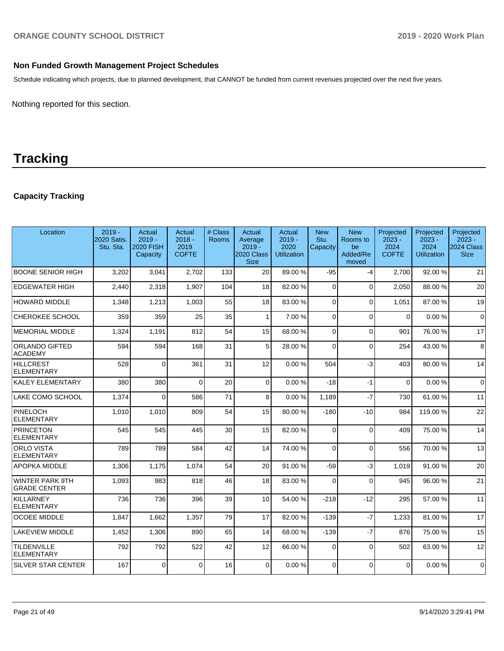# **Non Funded Growth Management Project Schedules**

Schedule indicating which projects, due to planned development, that CANNOT be funded from current revenues projected over the next five years.

Nothing reported for this section.

# **Tracking**

# **Capacity Tracking**

| Location                                      | $2019 -$<br>2020 Satis.<br>Stu. Sta. | <b>Actual</b><br>$2019 -$<br><b>2020 FISH</b><br>Capacity | Actual<br>$2018 -$<br>2019<br><b>COFTE</b> | # Class<br>Rooms | Actual<br>Average<br>$2019 -$<br>2020 Class<br><b>Size</b> | Actual<br>$2019 -$<br>2020<br><b>Utilization</b> | <b>New</b><br>Stu.<br>Capacity | <b>New</b><br>Rooms to<br>be<br>Added/Re<br>moved | Projected<br>$2023 -$<br>2024<br><b>COFTE</b> | Projected<br>$2023 -$<br>2024<br><b>Utilization</b> | Projected<br>$2023 -$<br>2024 Class<br><b>Size</b> |
|-----------------------------------------------|--------------------------------------|-----------------------------------------------------------|--------------------------------------------|------------------|------------------------------------------------------------|--------------------------------------------------|--------------------------------|---------------------------------------------------|-----------------------------------------------|-----------------------------------------------------|----------------------------------------------------|
| <b>BOONE SENIOR HIGH</b>                      | 3,202                                | 3,041                                                     | 2.702                                      | 133              | 20                                                         | 89.00 %                                          | $-95$                          | $-4$                                              | 2,700                                         | 92.00 %                                             | 21                                                 |
| <b>EDGEWATER HIGH</b>                         | 2.440                                | 2,318                                                     | 1,907                                      | 104              | 18                                                         | 82.00%                                           | $\Omega$                       | $\Omega$                                          | 2,050                                         | 88.00 %                                             | 20                                                 |
| <b>HOWARD MIDDLE</b>                          | 1,348                                | 1,213                                                     | 1,003                                      | 55               | 18                                                         | 83.00 %                                          | $\Omega$                       | $\Omega$                                          | 1.051                                         | 87.00 %                                             | 19                                                 |
| CHEROKEE SCHOOL                               | 359                                  | 359                                                       | 25                                         | 35               | 1                                                          | 7.00 %                                           | $\Omega$                       | $\Omega$                                          | $\Omega$                                      | 0.00%                                               | $\mathbf 0$                                        |
| <b>IMEMORIAL MIDDLE</b>                       | 1,324                                | 1,191                                                     | 812                                        | 54               | 15                                                         | 68.00 %                                          | $\Omega$                       | $\Omega$                                          | 901                                           | 76.00 %                                             | 17                                                 |
| ORLANDO GIFTED<br><b>ACADEMY</b>              | 594                                  | 594                                                       | 168                                        | 31               | 5                                                          | 28.00 %                                          | $\Omega$                       | $\Omega$                                          | 254                                           | 43.00 %                                             | 8                                                  |
| HILLCREST<br><b>ELEMENTARY</b>                | 528                                  | $\Omega$                                                  | 361                                        | 31               | 12                                                         | 0.00%                                            | 504                            | $-3$                                              | 403                                           | 80.00 %                                             | 14                                                 |
| KALEY ELEMENTARY                              | 380                                  | 380                                                       | $\Omega$                                   | 20               | $\Omega$                                                   | 0.00%                                            | $-18$                          | $-1$                                              | $\Omega$                                      | 0.00%                                               | $\Omega$                                           |
| LAKE COMO SCHOOL                              | 1,374                                | 0                                                         | 586                                        | 71               | 8                                                          | 0.00%                                            | 1,189                          | $-7$                                              | 730                                           | 61.00 %                                             | 11                                                 |
| PINELOCH<br><b>ELEMENTARY</b>                 | 1,010                                | 1,010                                                     | 809                                        | 54               | 15                                                         | 80.00%                                           | $-180$                         | $-10$                                             | 984                                           | 119.00%                                             | 22                                                 |
| PRINCETON<br><b>ELEMENTARY</b>                | 545                                  | 545                                                       | 445                                        | 30               | 15                                                         | 82.00%                                           | $\Omega$                       | $\Omega$                                          | 409                                           | 75.00 %                                             | 14                                                 |
| <b>ORLO VISTA</b><br>ELEMENTARY               | 789                                  | 789                                                       | 584                                        | 42               | 14                                                         | 74.00 %                                          | $\Omega$                       | $\Omega$                                          | 556                                           | 70.00 %                                             | 13                                                 |
| <b>APOPKA MIDDLE</b>                          | 1.306                                | 1.175                                                     | 1.074                                      | 54               | 20                                                         | 91.00 %                                          | $-59$                          | $-3$                                              | 1.019                                         | 91.00 %                                             | 20                                                 |
| <b>WINTER PARK 9TH</b><br><b>GRADE CENTER</b> | 1,093                                | 983                                                       | 818                                        | 46               | 18                                                         | 83.00 %                                          | $\Omega$                       | $\Omega$                                          | 945                                           | 96.00 %                                             | 21                                                 |
| KILLARNEY<br><b>ELEMENTARY</b>                | 736                                  | 736                                                       | 396                                        | 39               | 10                                                         | 54.00 %                                          | $-218$                         | $-12$                                             | 295                                           | 57.00 %                                             | 11                                                 |
| <b>OCOEE MIDDLE</b>                           | 1,847                                | 1,662                                                     | 1,357                                      | 79               | 17                                                         | 82.00 %                                          | $-139$                         | $-7$                                              | 1,233                                         | 81.00%                                              | 17                                                 |
| <b>LAKEVIEW MIDDLE</b>                        | 1,452                                | 1,306                                                     | 890                                        | 65               | 14                                                         | 68.00 %                                          | $-139$                         | $-7$                                              | 876                                           | 75.00 %                                             | 15                                                 |
| <b>TILDENVILLE</b><br>ELEMENTARY              | 792                                  | 792                                                       | 522                                        | 42               | 12                                                         | 66.00%                                           | $\Omega$                       | $\Omega$                                          | 502                                           | 63.00 %                                             | 12                                                 |
| <b>SILVER STAR CENTER</b>                     | 167                                  | 0                                                         | $\Omega$                                   | 16               | $\Omega$                                                   | 0.00%                                            | $\Omega$                       | $\Omega$                                          | $\mathbf{0}$                                  | 0.00%                                               | $\Omega$                                           |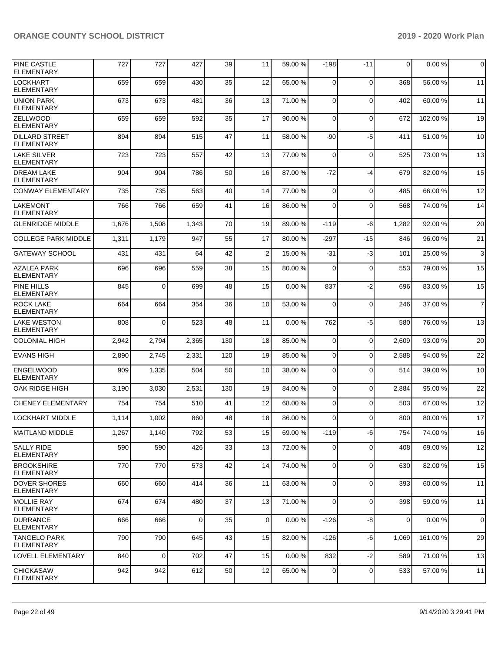| <b>PINE CASTLE</b><br><b>ELEMENTARY</b>    | 727   | 727            | 427         | 39  | 11             | 59.00 % | $-198$         | $-11$       | $\mathbf{0}$ | 0.00%   | $\overline{0}$ |
|--------------------------------------------|-------|----------------|-------------|-----|----------------|---------|----------------|-------------|--------------|---------|----------------|
| <b>LOCKHART</b><br><b>ELEMENTARY</b>       | 659   | 659            | 430         | 35  | 12             | 65.00 % | $\Omega$       | $\Omega$    | 368          | 56.00 % | 11             |
| <b>UNION PARK</b><br><b>ELEMENTARY</b>     | 673   | 673            | 481         | 36  | 13             | 71.00 % | $\mathbf 0$    | $\mathbf 0$ | 402          | 60.00 % | 11             |
| <b>ZELLWOOD</b><br><b>ELEMENTARY</b>       | 659   | 659            | 592         | 35  | 17             | 90.00 % | $\Omega$       | $\mathbf 0$ | 672          | 102.00% | 19             |
| <b>DILLARD STREET</b><br><b>ELEMENTARY</b> | 894   | 894            | 515         | 47  | 11             | 58.00 % | -90            | $-5$        | 411          | 51.00 % | 10             |
| <b>LAKE SILVER</b><br><b>ELEMENTARY</b>    | 723   | 723            | 557         | 42  | 13             | 77.00 % | $\mathbf 0$    | $\mathbf 0$ | 525          | 73.00 % | 13             |
| <b>DREAM LAKE</b><br><b>ELEMENTARY</b>     | 904   | 904            | 786         | 50  | 16             | 87.00 % | -72            | $-4$        | 679          | 82.00 % | 15             |
| <b>CONWAY ELEMENTARY</b>                   | 735   | 735            | 563         | 40  | 14             | 77.00 % | 0              | $\mathbf 0$ | 485          | 66.00 % | 12             |
| <b>LAKEMONT</b><br><b>ELEMENTARY</b>       | 766   | 766            | 659         | 41  | 16             | 86.00 % | $\Omega$       | $\Omega$    | 568          | 74.00%  | 14             |
| <b>GLENRIDGE MIDDLE</b>                    | 1,676 | 1,508          | 1,343       | 70  | 19             | 89.00 % | $-119$         | -6          | 1,282        | 92.00 % | 20             |
| <b>COLLEGE PARK MIDDLE</b>                 | 1,311 | 1,179          | 947         | 55  | 17             | 80.00%  | $-297$         | $-15$       | 846          | 96.00 % | 21             |
| <b>GATEWAY SCHOOL</b>                      | 431   | 431            | 64          | 42  | $\overline{2}$ | 15.00 % | $-31$          | $-3$        | 101          | 25.00 % | $\mathbf{3}$   |
| <b>AZALEA PARK</b><br><b>ELEMENTARY</b>    | 696   | 696            | 559         | 38  | 15             | 80.00%  | 0              | $\mathbf 0$ | 553          | 79.00 % | 15             |
| <b>PINE HILLS</b><br><b>ELEMENTARY</b>     | 845   | $\Omega$       | 699         | 48  | 15             | 0.00%   | 837            | $-2$        | 696          | 83.00 % | 15             |
| <b>ROCK LAKE</b><br><b>ELEMENTARY</b>      | 664   | 664            | 354         | 36  | 10             | 53.00 % | $\Omega$       | $\mathbf 0$ | 246          | 37.00 % | $\overline{7}$ |
| <b>LAKE WESTON</b><br><b>ELEMENTARY</b>    | 808   | $\mathbf 0$    | 523         | 48  | 11             | 0.00%   | 762            | $-5$        | 580          | 76.00 % | 13             |
| <b>COLONIAL HIGH</b>                       | 2,942 | 2,794          | 2,365       | 130 | 18             | 85.00 % | $\Omega$       | $\mathbf 0$ | 2,609        | 93.00 % | 20             |
| <b>EVANS HIGH</b>                          | 2,890 | 2,745          | 2,331       | 120 | 19             | 85.00 % | $\Omega$       | $\mathbf 0$ | 2,588        | 94.00 % | 22             |
| <b>ENGELWOOD</b><br><b>ELEMENTARY</b>      | 909   | 1,335          | 504         | 50  | 10             | 38.00 % | $\Omega$       | $\Omega$    | 514          | 39.00 % | 10             |
| OAK RIDGE HIGH                             | 3,190 | 3,030          | 2,531       | 130 | 19             | 84.00 % | $\mathbf 0$    | 0           | 2,884        | 95.00 % | 22             |
| <b>CHENEY ELEMENTARY</b>                   | 754   | 754            | 510         | 41  | 12             | 68.00 % | 0              | $\Omega$    | 503          | 67.00%  | 12             |
| <b>LOCKHART MIDDLE</b>                     | 1,114 | 1,002          | 860         | 48  | 18             | 86.00 % | $\Omega$       | $\Omega$    | 800          | 80.00 % | 17             |
| MAITLAND MIDDLE                            | 1,267 | 1,140          | 792         | 53  | 15             | 69.00 % | $-119$         | $-6$        | 754          | 74.00 % | 16             |
| <b>SALLY RIDE</b><br><b>ELEMENTARY</b>     | 590   | 590            | 426         | 33  | 13             | 72.00 % | 0              | $\Omega$    | 408          | 69.00 % | 12             |
| <b>BROOKSHIRE</b><br><b>ELEMENTARY</b>     | 770   | 770            | 573         | 42  | 14             | 74.00 % | $\mathbf 0$    | 0           | 630          | 82.00 % | 15             |
| <b>DOVER SHORES</b><br><b>ELEMENTARY</b>   | 660   | 660            | 414         | 36  | 11             | 63.00 % | $\mathbf 0$    | $\mathbf 0$ | 393          | 60.00%  | 11             |
| MOLLIE RAY<br><b>ELEMENTARY</b>            | 674   | 674            | 480         | 37  | 13             | 71.00 % | $\overline{0}$ | $\mathbf 0$ | 398          | 59.00 % | 11             |
| <b>DURRANCE</b><br><b>ELEMENTARY</b>       | 666   | 666            | $\mathbf 0$ | 35  | 0              | 0.00%   | $-126$         | -8          | $\mathbf 0$  | 0.00%   | $\mathbf 0$    |
| <b>TANGELO PARK</b><br><b>ELEMENTARY</b>   | 790   | 790            | 645         | 43  | 15             | 82.00 % | $-126$         | -6          | 1,069        | 161.00% | 29             |
| LOVELL ELEMENTARY                          | 840   | $\overline{0}$ | 702         | 47  | 15             | 0.00%   | 832            | $-2$        | 589          | 71.00 % | 13             |
| <b>CHICKASAW</b><br>ELEMENTARY             | 942   | 942            | 612         | 50  | 12             | 65.00 % | $\overline{0}$ | 0           | 533          | 57.00 % | 11             |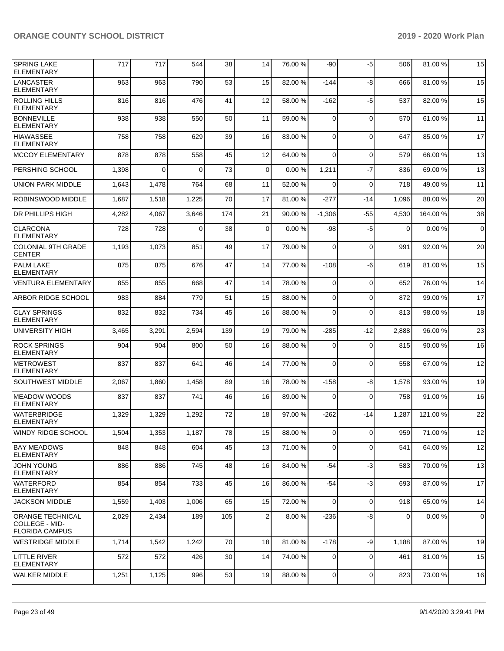| <b>SPRING LAKE</b><br><b>ELEMENTARY</b>                            | 717   | 717      | 544      | 38  | 14             | 76.00 % | -90            | -5             | 506      | 81.00 %  | 15          |
|--------------------------------------------------------------------|-------|----------|----------|-----|----------------|---------|----------------|----------------|----------|----------|-------------|
| <b>LANCASTER</b><br><b>ELEMENTARY</b>                              | 963   | 963      | 790      | 53  | 15             | 82.00 % | $-144$         | -8             | 666      | 81.00%   | 15          |
| <b>ROLLING HILLS</b><br><b>ELEMENTARY</b>                          | 816   | 816      | 476      | 41  | 12             | 58.00 % | $-162$         | $-5$           | 537      | 82.00 %  | 15          |
| <b>BONNEVILLE</b><br><b>ELEMENTARY</b>                             | 938   | 938      | 550      | 50  | 11             | 59.00 % | 0              | $\Omega$       | 570      | 61.00 %  | 11          |
| <b>HIAWASSEE</b><br><b>ELEMENTARY</b>                              | 758   | 758      | 629      | 39  | 16             | 83.00 % | $\Omega$       | $\Omega$       | 647      | 85.00 %  | 17          |
| <b>MCCOY ELEMENTARY</b>                                            | 878   | 878      | 558      | 45  | 12             | 64.00 % | $\Omega$       | $\Omega$       | 579      | 66.00 %  | 13          |
| PERSHING SCHOOL                                                    | 1,398 | $\Omega$ | $\Omega$ | 73  | $\overline{0}$ | 0.00%   | 1,211          | $-7$           | 836      | 69.00 %  | 13          |
| <b>UNION PARK MIDDLE</b>                                           | 1,643 | 1,478    | 764      | 68  | 11             | 52.00 % | $\Omega$       | $\Omega$       | 718      | 49.00 %  | 11          |
| ROBINSWOOD MIDDLE                                                  | 1,687 | 1,518    | 1,225    | 70  | 17             | 81.00%  | $-277$         | $-14$          | 1,096    | 88.00 %  | 20          |
| DR PHILLIPS HIGH                                                   | 4,282 | 4,067    | 3,646    | 174 | 21             | 90.00 % | $-1,306$       | -55            | 4,530    | 164.00%  | 38          |
| <b>CLARCONA</b><br><b>ELEMENTARY</b>                               | 728   | 728      | $\Omega$ | 38  | $\mathbf 0$    | 0.00%   | -98            | $-5$           | $\Omega$ | 0.00%    | $\mathbf 0$ |
| <b>COLONIAL 9TH GRADE</b><br><b>CENTER</b>                         | 1,193 | 1,073    | 851      | 49  | 17             | 79.00 % | 0              | $\Omega$       | 991      | 92.00 %  | 20          |
| <b>PALM LAKE</b><br><b>ELEMENTARY</b>                              | 875   | 875      | 676      | 47  | 14             | 77.00 % | $-108$         | -6             | 619      | 81.00%   | 15          |
| <b>VENTURA ELEMENTARY</b>                                          | 855   | 855      | 668      | 47  | 14             | 78.00 % | $\mathbf 0$    | $\Omega$       | 652      | 76.00 %  | 14          |
| ARBOR RIDGE SCHOOL                                                 | 983   | 884      | 779      | 51  | 15             | 88.00 % | $\Omega$       | $\Omega$       | 872      | 99.00 %  | 17          |
| <b>CLAY SPRINGS</b><br><b>ELEMENTARY</b>                           | 832   | 832      | 734      | 45  | 16             | 88.00 % | 0              | $\Omega$       | 813      | 98.00 %  | 18          |
| <b>UNIVERSITY HIGH</b>                                             | 3,465 | 3,291    | 2,594    | 139 | 19             | 79.00 % | $-285$         | -12            | 2,888    | 96.00 %  | 23          |
| <b>ROCK SPRINGS</b><br><b>ELEMENTARY</b>                           | 904   | 904      | 800      | 50  | 16             | 88.00 % | 0              | $\Omega$       | 815      | 90.00 %  | 16          |
| <b>METROWEST</b><br><b>ELEMENTARY</b>                              | 837   | 837      | 641      | 46  | 14             | 77.00 % | $\Omega$       | $\Omega$       | 558      | 67.00 %  | 12          |
| SOUTHWEST MIDDLE                                                   | 2,067 | 1,860    | 1,458    | 89  | 16             | 78.00 % | $-158$         | -8             | 1,578    | 93.00 %  | 19          |
| <b>MEADOW WOODS</b><br><b>ELEMENTARY</b>                           | 837   | 837      | 741      | 46  | 16             | 89.00 % | $\Omega$       | $\Omega$       | 758      | 91.00 %  | 16          |
| <b>WATERBRIDGE</b><br><b>ELEMENTARY</b>                            | 1,329 | 1,329    | 1,292    | 72  | 18             | 97.00 % | -262           | $-14$          | 1,287    | 121.00 % | 22          |
| <b>WINDY RIDGE SCHOOL</b>                                          | 1,504 | 1,353    | 1,187    | 78  | 15             | 88.00 % | $\overline{0}$ | $\overline{0}$ | 959      | 71.00%   | 12          |
| <b>BAY MEADOWS</b><br><b>ELEMENTARY</b>                            | 848   | 848      | 604      | 45  | 13             | 71.00 % | $\mathbf 0$    | $\Omega$       | 541      | 64.00%   | 12          |
| <b>JOHN YOUNG</b><br><b>ELEMENTARY</b>                             | 886   | 886      | 745      | 48  | 16             | 84.00 % | $-54$          | $-3$           | 583      | 70.00%   | 13          |
| <b>WATERFORD</b><br><b>ELEMENTARY</b>                              | 854   | 854      | 733      | 45  | 16             | 86.00 % | $-54$          | $-3$           | 693      | 87.00 %  | 17          |
| <b>JACKSON MIDDLE</b>                                              | 1,559 | 1,403    | 1,006    | 65  | 15             | 72.00 % | 0              | $\mathbf 0$    | 918      | 65.00 %  | 14          |
| <b>ORANGE TECHNICAL</b><br>COLLEGE - MID-<br><b>FLORIDA CAMPUS</b> | 2,029 | 2,434    | 189      | 105 | 2              | 8.00 %  | $-236$         | -8             | 0        | 0.00%    | $\mathbf 0$ |
| <b>WESTRIDGE MIDDLE</b>                                            | 1,714 | 1,542    | 1,242    | 70  | 18             | 81.00 % | $-178$         | -9             | 1,188    | 87.00 %  | 19          |
| LITTLE RIVER<br><b>ELEMENTARY</b>                                  | 572   | 572      | 426      | 30  | 14             | 74.00 % | $\mathbf 0$    | $\Omega$       | 461      | 81.00 %  | 15          |
| <b>WALKER MIDDLE</b>                                               | 1,251 | 1,125    | 996      | 53  | 19             | 88.00 % | $\mathbf 0$    | 0              | 823      | 73.00 %  | 16          |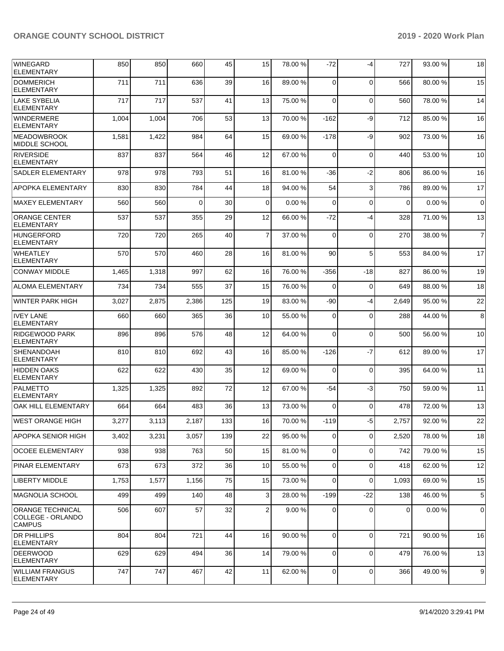| <b>WINEGARD</b><br><b>ELEMENTARY</b>                          | 850   | 850   | 660      | 45  | 15             | 78.00 % | $-72$          | -4          | 727   | 93.00 % | 18             |
|---------------------------------------------------------------|-------|-------|----------|-----|----------------|---------|----------------|-------------|-------|---------|----------------|
| <b>DOMMERICH</b><br><b>ELEMENTARY</b>                         | 711   | 711   | 636      | 39  | 16             | 89.00 % | 0              | $\Omega$    | 566   | 80.00 % | 15             |
| <b>LAKE SYBELIA</b><br><b>ELEMENTARY</b>                      | 717   | 717   | 537      | 41  | 13             | 75.00 % | $\mathbf 0$    | $\Omega$    | 560   | 78.00 % | 14             |
| <b>WINDERMERE</b><br><b>ELEMENTARY</b>                        | 1,004 | 1,004 | 706      | 53  | 13             | 70.00%  | $-162$         | -9          | 712   | 85.00 % | 16             |
| <b>MEADOWBROOK</b><br>MIDDLE SCHOOL                           | 1,581 | 1,422 | 984      | 64  | 15             | 69.00 % | $-178$         | -9          | 902   | 73.00 % | 16             |
| <b>RIVERSIDE</b><br><b>ELEMENTARY</b>                         | 837   | 837   | 564      | 46  | 12             | 67.00 % | $\mathbf 0$    | $\Omega$    | 440   | 53.00 % | 10             |
| SADLER ELEMENTARY                                             | 978   | 978   | 793      | 51  | 16             | 81.00%  | -36            | $-2$        | 806   | 86.00 % | 16             |
| APOPKA ELEMENTARY                                             | 830   | 830   | 784      | 44  | 18             | 94.00 % | 54             | 3           | 786   | 89.00 % | 17             |
| <b>MAXEY ELEMENTARY</b>                                       | 560   | 560   | $\Omega$ | 30  | $\mathbf 0$    | 0.00%   | 0              | $\Omega$    | 0     | 0.00%   | $\mathbf 0$    |
| <b>ORANGE CENTER</b><br><b>ELEMENTARY</b>                     | 537   | 537   | 355      | 29  | 12             | 66.00 % | $-72$          | $-4$        | 328   | 71.00 % | 13             |
| <b>HUNGERFORD</b><br><b>ELEMENTARY</b>                        | 720   | 720   | 265      | 40  | $\overline{7}$ | 37.00 % | $\mathbf 0$    | $\mathbf 0$ | 270   | 38.00 % | $\overline{7}$ |
| <b>WHEATLEY</b><br><b>ELEMENTARY</b>                          | 570   | 570   | 460      | 28  | 16             | 81.00%  | 90             | 5           | 553   | 84.00 % | 17             |
| <b>CONWAY MIDDLE</b>                                          | 1,465 | 1,318 | 997      | 62  | 16             | 76.00 % | -356           | -18         | 827   | 86.00%  | 19             |
| <b>ALOMA ELEMENTARY</b>                                       | 734   | 734   | 555      | 37  | 15             | 76.00 % | $\Omega$       | $\Omega$    | 649   | 88.00 % | 18             |
| <b>WINTER PARK HIGH</b>                                       | 3,027 | 2,875 | 2,386    | 125 | 19             | 83.00 % | -90            | $-4$        | 2,649 | 95.00 % | 22             |
| <b>IVEY LANE</b><br><b>ELEMENTARY</b>                         | 660   | 660   | 365      | 36  | 10             | 55.00 % | $\Omega$       | $\Omega$    | 288   | 44.00 % | 8              |
| RIDGEWOOD PARK<br><b>ELEMENTARY</b>                           | 896   | 896   | 576      | 48  | 12             | 64.00 % | 0              | $\mathbf 0$ | 500   | 56.00 % | 10             |
| <b>SHENANDOAH</b><br><b>ELEMENTARY</b>                        | 810   | 810   | 692      | 43  | 16             | 85.00 % | $-126$         | $-7$        | 612   | 89.00 % | 17             |
| <b>HIDDEN OAKS</b><br><b>ELEMENTARY</b>                       | 622   | 622   | 430      | 35  | 12             | 69.00 % | $\Omega$       | $\Omega$    | 395   | 64.00 % | 11             |
| <b>PALMETTO</b><br><b>ELEMENTARY</b>                          | 1,325 | 1,325 | 892      | 72  | 12             | 67.00 % | -54            | $-3$        | 750   | 59.00 % | 11             |
| OAK HILL ELEMENTARY                                           | 664   | 664   | 483      | 36  | 13             | 73.00 % | $\Omega$       | $\Omega$    | 478   | 72.00 % | 13             |
| <b>WEST ORANGE HIGH</b>                                       | 3,277 | 3,113 | 2,187    | 133 | 16             | 70.00%  | $-119$         | -5          | 2,757 | 92.00 % | 22             |
| <b>APOPKA SENIOR HIGH</b>                                     | 3,402 | 3,231 | 3,057    | 139 | 22             | 95.00 % | $\mathbf 0$    | $\mathbf 0$ | 2,520 | 78.00%  | 18             |
| <b>OCOEE ELEMENTARY</b>                                       | 938   | 938   | 763      | 50  | 15             | 81.00%  | 0              | $\Omega$    | 742   | 79.00 % | 15             |
| PINAR ELEMENTARY                                              | 673   | 673   | 372      | 36  | 10             | 55.00 % | 0              | $\mathbf 0$ | 418   | 62.00 % | 12             |
| <b>LIBERTY MIDDLE</b>                                         | 1,753 | 1,577 | 1,156    | 75  | 15             | 73.00 % | $\mathbf 0$    | $\Omega$    | 1,093 | 69.00 % | 15             |
| <b>MAGNOLIA SCHOOL</b>                                        | 499   | 499   | 140      | 48  | 3              | 28.00 % | $-199$         | $-22$       | 138   | 46.00%  | 5              |
| <b>ORANGE TECHNICAL</b><br>COLLEGE - ORLANDO<br><b>CAMPUS</b> | 506   | 607   | 57       | 32  | 2              | 9.00%   | 0              | 0           | 0     | 0.00%   | 0              |
| <b>DR PHILLIPS</b><br><b>ELEMENTARY</b>                       | 804   | 804   | 721      | 44  | 16             | 90.00 % | $\overline{0}$ | $\Omega$    | 721   | 90.00 % | 16             |
| <b>DEERWOOD</b><br><b>ELEMENTARY</b>                          | 629   | 629   | 494      | 36  | 14             | 79.00 % | 0              | $\mathbf 0$ | 479   | 76.00 % | 13             |
| <b>WILLIAM FRANGUS</b><br>ELEMENTARY                          | 747   | 747   | 467      | 42  | 11             | 62.00%  | $\mathbf 0$    | 0           | 366   | 49.00 % | 9              |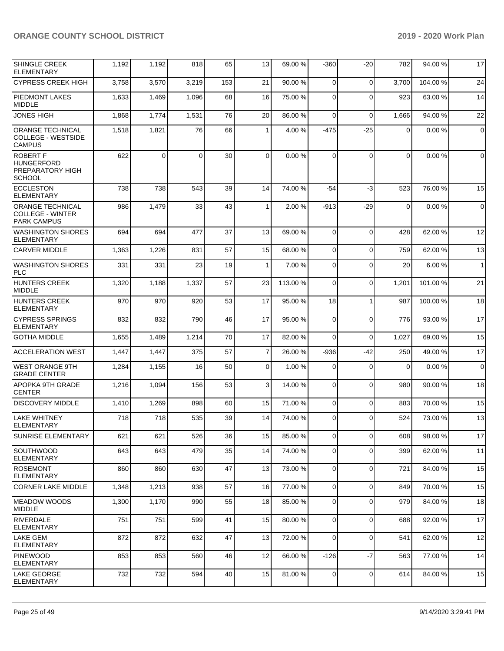| <b>SHINGLE CREEK</b><br><b>ELEMENTARY</b>                                 | 1,192 | 1,192    | 818      | 65  | 13             | 69.00 %  | $-360$         | $-20$       | 782         | 94.00 % | 17             |
|---------------------------------------------------------------------------|-------|----------|----------|-----|----------------|----------|----------------|-------------|-------------|---------|----------------|
| <b>CYPRESS CREEK HIGH</b>                                                 | 3,758 | 3,570    | 3,219    | 153 | 21             | 90.00 %  | $\mathbf 0$    | $\Omega$    | 3,700       | 104.00% | 24             |
| <b>PIEDMONT LAKES</b><br><b>MIDDLE</b>                                    | 1,633 | 1,469    | 1,096    | 68  | 16             | 75.00 %  | $\mathbf 0$    | $\Omega$    | 923         | 63.00 % | 14             |
| <b>JONES HIGH</b>                                                         | 1,868 | 1,774    | 1,531    | 76  | 20             | 86.00 %  | $\mathbf 0$    | $\Omega$    | 1,666       | 94.00 % | 22             |
| <b>ORANGE TECHNICAL</b><br><b>COLLEGE - WESTSIDE</b><br><b>CAMPUS</b>     | 1,518 | 1,821    | 76       | 66  | $\mathbf{1}$   | 4.00 %   | $-475$         | $-25$       | 0           | 0.00%   | $\mathbf 0$    |
| <b>ROBERT F</b><br><b>HUNGERFORD</b><br>PREPARATORY HIGH<br><b>SCHOOL</b> | 622   | $\Omega$ | $\Omega$ | 30  | $\Omega$       | 0.00%    | $\Omega$       | $\Omega$    | $\Omega$    | 0.00%   | $\mathbf 0$    |
| <b>ECCLESTON</b><br><b>ELEMENTARY</b>                                     | 738   | 738      | 543      | 39  | 14             | 74.00 %  | $-54$          | $-3$        | 523         | 76.00 % | 15             |
| <b>ORANGE TECHNICAL</b><br><b>COLLEGE - WINTER</b><br><b>PARK CAMPUS</b>  | 986   | 1,479    | 33       | 43  | $\mathbf{1}$   | 2.00 %   | $-913$         | $-29$       | $\mathbf 0$ | 0.00%   | $\mathbf 0$    |
| <b>WASHINGTON SHORES</b><br><b>ELEMENTARY</b>                             | 694   | 694      | 477      | 37  | 13             | 69.00 %  | $\Omega$       | $\Omega$    | 428         | 62.00%  | 12             |
| <b>CARVER MIDDLE</b>                                                      | 1,363 | 1,226    | 831      | 57  | 15             | 68.00 %  | $\mathbf 0$    | $\Omega$    | 759         | 62.00 % | 13             |
| <b>WASHINGTON SHORES</b><br><b>PLC</b>                                    | 331   | 331      | 23       | 19  | $\mathbf{1}$   | 7.00 %   | 0              | $\Omega$    | 20          | 6.00 %  | $\overline{1}$ |
| <b>HUNTERS CREEK</b><br><b>MIDDLE</b>                                     | 1,320 | 1,188    | 1,337    | 57  | 23             | 113.00 % | $\mathbf 0$    | $\Omega$    | 1,201       | 101.00% | 21             |
| <b>HUNTERS CREEK</b><br><b>ELEMENTARY</b>                                 | 970   | 970      | 920      | 53  | 17             | 95.00 %  | 18             | $\mathbf 1$ | 987         | 100.00% | 18             |
| <b>CYPRESS SPRINGS</b><br><b>ELEMENTARY</b>                               | 832   | 832      | 790      | 46  | 17             | 95.00 %  | $\mathbf 0$    | $\Omega$    | 776         | 93.00 % | 17             |
| <b>GOTHA MIDDLE</b>                                                       | 1,655 | 1,489    | 1,214    | 70  | 17             | 82.00 %  | $\Omega$       | $\Omega$    | 1,027       | 69.00 % | 15             |
| <b>ACCELERATION WEST</b>                                                  | 1,447 | 1,447    | 375      | 57  | $\overline{7}$ | 26.00 %  | $-936$         | $-42$       | 250         | 49.00 % | 17             |
| <b>WEST ORANGE 9TH</b><br><b>GRADE CENTER</b>                             | 1,284 | 1,155    | 16       | 50  | 0              | 1.00 %   | 0              | $\Omega$    | $\Omega$    | 0.00%   | $\mathbf 0$    |
| <b>APOPKA 9TH GRADE</b><br><b>CENTER</b>                                  | 1,216 | 1,094    | 156      | 53  | 3              | 14.00 %  | $\Omega$       | $\Omega$    | 980         | 90.00 % | 18             |
| <b>DISCOVERY MIDDLE</b>                                                   | 1,410 | 1,269    | 898      | 60  | 15             | 71.00 %  | $\mathbf 0$    | $\Omega$    | 883         | 70.00 % | 15             |
| <b>LAKE WHITNEY</b><br>ELEMENTARY                                         | 718   | 718      | 535      | 39  | 14             | 74.00 %  | 0              | $\Omega$    | 524         | 73.00 % | 13             |
| <b>SUNRISE ELEMENTARY</b>                                                 | 621   | 621      | 526      | 36  | 15             | 85.00 %  | $\mathbf 0$    | $\mathbf 0$ | 608         | 98.00 % | 17             |
| SOUTHWOOD<br><b>ELEMENTARY</b>                                            | 643   | 643      | 479      | 35  | 14             | 74.00 %  | 0              | $\mathbf 0$ | 399         | 62.00 % | 11             |
| <b>ROSEMONT</b><br><b>ELEMENTARY</b>                                      | 860   | 860      | 630      | 47  | 13             | 73.00 %  | $\mathbf 0$    | $\Omega$    | 721         | 84.00 % | 15             |
| <b>CORNER LAKE MIDDLE</b>                                                 | 1,348 | 1,213    | 938      | 57  | 16             | 77.00 %  | $\overline{0}$ | $\mathbf 0$ | 849         | 70.00 % | 15             |
| MEADOW WOODS<br><b>MIDDLE</b>                                             | 1,300 | 1,170    | 990      | 55  | 18             | 85.00 %  | 0              | $\mathbf 0$ | 979         | 84.00 % | 18             |
| RIVERDALE<br><b>ELEMENTARY</b>                                            | 751   | 751      | 599      | 41  | 15             | 80.00 %  | 0              | $\mathbf 0$ | 688         | 92.00 % | 17             |
| LAKE GEM<br><b>ELEMENTARY</b>                                             | 872   | 872      | 632      | 47  | 13             | 72.00 %  | $\mathbf 0$    | $\mathbf 0$ | 541         | 62.00 % | 12             |
| PINEWOOD<br><b>ELEMENTARY</b>                                             | 853   | 853      | 560      | 46  | 12             | 66.00 %  | $-126$         | $-7$        | 563         | 77.00 % | 14             |
| LAKE GEORGE<br><b>ELEMENTARY</b>                                          | 732   | 732      | 594      | 40  | 15             | 81.00%   | 0              | $\mathbf 0$ | 614         | 84.00 % | 15             |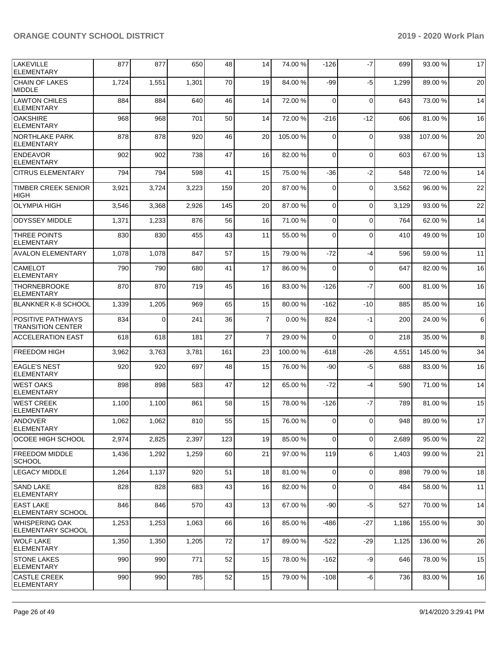| <b>LAKEVILLE</b><br><b>ELEMENTARY</b>         | 877   | 877   | 650   | 48  | 14             | 74.00 %  | $-126$      | $-7$        | 699   | 93.00 %  | 17 |
|-----------------------------------------------|-------|-------|-------|-----|----------------|----------|-------------|-------------|-------|----------|----|
| <b>CHAIN OF LAKES</b><br><b>MIDDLE</b>        | 1,724 | 1,551 | 1,301 | 70  | 19             | 84.00%   | -99         | $-5$        | 1,299 | 89.00 %  | 20 |
| <b>LAWTON CHILES</b><br><b>ELEMENTARY</b>     | 884   | 884   | 640   | 46  | 14             | 72.00 %  | $\Omega$    | $\mathbf 0$ | 643   | 73.00 %  | 14 |
| <b>OAKSHIRE</b><br><b>ELEMENTARY</b>          | 968   | 968   | 701   | 50  | 14             | 72.00 %  | $-216$      | $-12$       | 606   | 81.00 %  | 16 |
| <b>NORTHLAKE PARK</b><br><b>ELEMENTARY</b>    | 878   | 878   | 920   | 46  | 20             | 105.00 % | $\mathbf 0$ | $\mathbf 0$ | 938   | 107.00%  | 20 |
| <b>ENDEAVOR</b><br><b>ELEMENTARY</b>          | 902   | 902   | 738   | 47  | 16             | 82.00 %  | $\Omega$    | $\mathbf 0$ | 603   | 67.00 %  | 13 |
| <b>CITRUS ELEMENTARY</b>                      | 794   | 794   | 598   | 41  | 15             | 75.00 %  | -36         | $-2$        | 548   | 72.00 %  | 14 |
| <b>TIMBER CREEK SENIOR</b><br><b>HIGH</b>     | 3,921 | 3,724 | 3,223 | 159 | 20             | 87.00 %  | $\Omega$    | $\mathbf 0$ | 3,562 | 96.00 %  | 22 |
| <b>OLYMPIA HIGH</b>                           | 3,546 | 3,368 | 2,926 | 145 | 20             | 87.00 %  | $\mathbf 0$ | $\mathbf 0$ | 3,129 | 93.00 %  | 22 |
| <b>ODYSSEY MIDDLE</b>                         | 1,371 | 1,233 | 876   | 56  | 16             | 71.00 %  | $\mathbf 0$ | $\Omega$    | 764   | 62.00 %  | 14 |
| <b>THREE POINTS</b><br><b>ELEMENTARY</b>      | 830   | 830   | 455   | 43  | 11             | 55.00 %  | $\mathbf 0$ | $\mathbf 0$ | 410   | 49.00 %  | 10 |
| <b>AVALON ELEMENTARY</b>                      | 1,078 | 1,078 | 847   | 57  | 15             | 79.00 %  | $-72$       | $-4$        | 596   | 59.00 %  | 11 |
| <b>CAMELOT</b><br><b>ELEMENTARY</b>           | 790   | 790   | 680   | 41  | 17             | 86.00 %  | $\Omega$    | $\mathbf 0$ | 647   | 82.00%   | 16 |
| <b>THORNEBROOKE</b><br><b>ELEMENTARY</b>      | 870   | 870   | 719   | 45  | 16             | 83.00 %  | $-126$      | $-7$        | 600   | 81.00 %  | 16 |
| <b>BLANKNER K-8 SCHOOL</b>                    | 1,339 | 1,205 | 969   | 65  | 15             | 80.00 %  | $-162$      | $-10$       | 885   | 85.00 %  | 16 |
| POSITIVE PATHWAYS<br><b>TRANSITION CENTER</b> | 834   | 0     | 241   | 36  | $\overline{7}$ | 0.00%    | 824         | $-1$        | 200   | 24.00 %  | 6  |
| <b>ACCELERATION EAST</b>                      | 618   | 618   | 181   | 27  | $\overline{7}$ | 29.00 %  | $\Omega$    | $\Omega$    | 218   | 35.00 %  | 8  |
| <b>FREEDOM HIGH</b>                           | 3,962 | 3,763 | 3,781 | 161 | 23             | 100.00%  | -618        | $-26$       | 4,551 | 145.00%  | 34 |
| <b>EAGLE'S NEST</b><br><b>ELEMENTARY</b>      | 920   | 920   | 697   | 48  | 15             | 76.00 %  | -90         | -5          | 688   | 83.00 %  | 16 |
| <b>IWEST OAKS</b><br><b>ELEMENTARY</b>        | 898   | 898   | 583   | 47  | 12             | 65.00 %  | -72         | $-4$        | 590   | 71.00%   | 14 |
| <b>WEST CREEK</b><br><b>ELEMENTARY</b>        | 1,100 | 1,100 | 861   | 58  | 15             | 78.00 %  | $-126$      | $-7$        | 789   | 81.00 %  | 15 |
| ANDOVER<br>ELEMENTARY                         | 1,062 | 1,062 | 810   | 55  | 15             | 76.00 %  | $\Omega$    | $\Omega$    | 948   | 89.00 %  | 17 |
| OCOEE HIGH SCHOOL                             | 2,974 | 2,825 | 2,397 | 123 | 19             | 85.00 %  | $\Omega$    | $\mathbf 0$ | 2,689 | 95.00 %  | 22 |
| <b>FREEDOM MIDDLE</b><br><b>SCHOOL</b>        | 1,436 | 1,292 | 1,259 | 60  | 21             | 97.00 %  | 119         | 6           | 1,403 | 99.00 %  | 21 |
| <b>LEGACY MIDDLE</b>                          | 1,264 | 1,137 | 920   | 51  | 18             | 81.00%   | $\mathbf 0$ | $\mathbf 0$ | 898   | 79.00 %  | 18 |
| SAND LAKE<br><b>ELEMENTARY</b>                | 828   | 828   | 683   | 43  | 16             | 82.00 %  | $\mathbf 0$ | $\mathbf 0$ | 484   | 58.00 %  | 11 |
| <b>EAST LAKE</b><br>ELEMENTARY SCHOOL         | 846   | 846   | 570   | 43  | 13             | 67.00 %  | $-90$       | $-5$        | 527   | 70.00%   | 14 |
| WHISPERING OAK<br>ELEMENTARY SCHOOL           | 1,253 | 1,253 | 1,063 | 66  | 16             | 85.00 %  | -486        | $-27$       | 1,186 | 155.00 % | 30 |
| WOLF LAKE<br><b>ELEMENTARY</b>                | 1,350 | 1,350 | 1,205 | 72  | 17             | 89.00 %  | $-522$      | -29         | 1,125 | 136.00 % | 26 |
| <b>STONE LAKES</b><br> ELEMENTARY             | 990   | 990   | 771   | 52  | 15             | 78.00 %  | $-162$      | -9          | 646   | 78.00 %  | 15 |
| <b>CASTLE CREEK</b><br><b>ELEMENTARY</b>      | 990   | 990   | 785   | 52  | 15             | 79.00 %  | $-108$      | -6          | 736   | 83.00 %  | 16 |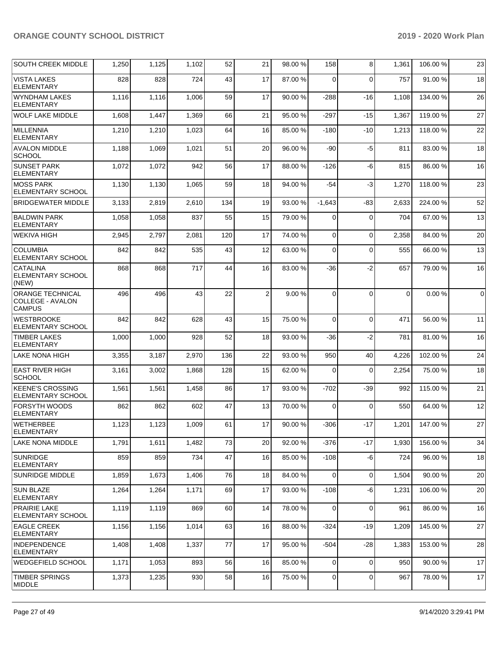| <b>SOUTH CREEK MIDDLE</b>                                    | 1,250 | 1,125 | 1,102 | 52  | 21             | 98.00 % | 158            | 8           | 1,361    | 106.00 % | 23             |
|--------------------------------------------------------------|-------|-------|-------|-----|----------------|---------|----------------|-------------|----------|----------|----------------|
| <b>VISTA LAKES</b><br><b>ELEMENTARY</b>                      | 828   | 828   | 724   | 43  | 17             | 87.00 % | $\Omega$       | $\Omega$    | 757      | 91.00 %  | 18             |
| WYNDHAM LAKES<br><b>ELEMENTARY</b>                           | 1,116 | 1,116 | 1,006 | 59  | 17             | 90.00 % | $-288$         | $-16$       | 1,108    | 134.00 % | 26             |
| <b>WOLF LAKE MIDDLE</b>                                      | 1,608 | 1,447 | 1,369 | 66  | 21             | 95.00 % | $-297$         | $-15$       | 1,367    | 119.00%  | 27             |
| <b>MILLENNIA</b><br><b>ELEMENTARY</b>                        | 1,210 | 1,210 | 1,023 | 64  | 16             | 85.00 % | $-180$         | $-10$       | 1,213    | 118.00%  | 22             |
| <b>AVALON MIDDLE</b><br><b>SCHOOL</b>                        | 1,188 | 1,069 | 1,021 | 51  | 20             | 96.00 % | -90            | $-5$        | 811      | 83.00 %  | 18             |
| <b>SUNSET PARK</b><br><b>ELEMENTARY</b>                      | 1,072 | 1,072 | 942   | 56  | 17             | 88.00%  | $-126$         | -6          | 815      | 86.00 %  | 16             |
| <b>MOSS PARK</b><br><b>ELEMENTARY SCHOOL</b>                 | 1,130 | 1,130 | 1,065 | 59  | 18             | 94.00 % | $-54$          | -3          | 1,270    | 118.00%  | 23             |
| <b>BRIDGEWATER MIDDLE</b>                                    | 3,133 | 2,819 | 2,610 | 134 | 19             | 93.00 % | $-1,643$       | $-83$       | 2,633    | 224.00%  | 52             |
| <b>BALDWIN PARK</b><br><b>ELEMENTARY</b>                     | 1,058 | 1,058 | 837   | 55  | 15             | 79.00 % | $\Omega$       | 0           | 704      | 67.00 %  | 13             |
| WEKIVA HIGH                                                  | 2,945 | 2,797 | 2,081 | 120 | 17             | 74.00 % | $\Omega$       | $\Omega$    | 2,358    | 84.00%   | 20             |
| <b>COLUMBIA</b><br><b>ELEMENTARY SCHOOL</b>                  | 842   | 842   | 535   | 43  | 12             | 63.00 % | $\Omega$       | $\Omega$    | 555      | 66.00 %  | 13             |
| <b>CATALINA</b><br><b>ELEMENTARY SCHOOL</b><br>(NEW)         | 868   | 868   | 717   | 44  | 16             | 83.00 % | $-36$          | $-2$        | 657      | 79.00 %  | 16             |
| <b>ORANGE TECHNICAL</b><br>COLLEGE - AVALON<br><b>CAMPUS</b> | 496   | 496   | 43    | 22  | $\overline{2}$ | 9.00 %  | $\Omega$       | $\Omega$    | $\Omega$ | 0.00%    | $\overline{0}$ |
| <b>WESTBROOKE</b><br>ELEMENTARY SCHOOL                       | 842   | 842   | 628   | 43  | 15             | 75.00 % | $\Omega$       | $\Omega$    | 471      | 56.00 %  | 11             |
| <b>TIMBER LAKES</b><br><b>ELEMENTARY</b>                     | 1,000 | 1,000 | 928   | 52  | 18             | 93.00 % | $-36$          | $-2$        | 781      | 81.00 %  | 16             |
| <b>LAKE NONA HIGH</b>                                        | 3,355 | 3,187 | 2,970 | 136 | 22             | 93.00 % | 950            | 40          | 4,226    | 102.00%  | 24             |
| <b>EAST RIVER HIGH</b><br><b>SCHOOL</b>                      | 3,161 | 3,002 | 1,868 | 128 | 15             | 62.00 % | $\Omega$       | $\Omega$    | 2,254    | 75.00 %  | 18             |
| <b>KEENE'S CROSSING</b><br><b>ELEMENTARY SCHOOL</b>          | 1,561 | 1,561 | 1,458 | 86  | 17             | 93.00 % | $-702$         | -39         | 992      | 115.00 % | 21             |
| <b>FORSYTH WOODS</b><br><b>ELEMENTARY</b>                    | 862   | 862   | 602   | 47  | 13             | 70.00 % | $\Omega$       | $\Omega$    | 550      | 64.00 %  | 12             |
| <b>WETHERBEE</b><br><b>ELEMENTARY</b>                        | 1,123 | 1,123 | 1,009 | 61  | 17             | 90.00 % | $-306$         | $-17$       | 1,201    | 147.00%  | 27             |
| LAKE NONA MIDDLE                                             | 1,791 | 1,611 | 1,482 | 73  | 20             | 92.00 % | $-376$         | $-17$       | 1,930    | 156.00%  | 34             |
| <b>SUNRIDGE</b><br><b>ELEMENTARY</b>                         | 859   | 859   | 734   | 47  | 16             | 85.00 % | $-108$         | -6          | 724      | 96.00%   | 18             |
| SUNRIDGE MIDDLE                                              | 1,859 | 1,673 | 1,406 | 76  | 18             | 84.00%  | 0              | 0           | 1,504    | 90.00 %  | 20             |
| <b>SUN BLAZE</b><br><b>ELEMENTARY</b>                        | 1,264 | 1,264 | 1,171 | 69  | 17             | 93.00 % | $-108$         | -6          | 1,231    | 106.00 % | 20             |
| <b>PRAIRIE LAKE</b><br><b>ELEMENTARY SCHOOL</b>              | 1.119 | 1,119 | 869   | 60  | 14             | 78.00 % | $\Omega$       | $\mathbf 0$ | 961      | 86.00 %  | 16             |
| <b>EAGLE CREEK</b><br>ELEMENTARY                             | 1,156 | 1,156 | 1,014 | 63  | 16             | 88.00 % | $-324$         | $-19$       | 1,209    | 145.00%  | 27             |
| <b>INDEPENDENCE</b><br><b>ELEMENTARY</b>                     | 1,408 | 1,408 | 1,337 | 77  | 17             | 95.00 % | $-504$         | -28         | 1,383    | 153.00 % | 28             |
| <b>WEDGEFIELD SCHOOL</b>                                     | 1,171 | 1,053 | 893   | 56  | 16             | 85.00 % | $\overline{0}$ | 0           | 950      | 90.00 %  | 17             |
| <b>TIMBER SPRINGS</b><br>MIDDLE                              | 1,373 | 1,235 | 930   | 58  | 16             | 75.00 % | $\overline{0}$ | 0           | 967      | 78.00 %  | 17             |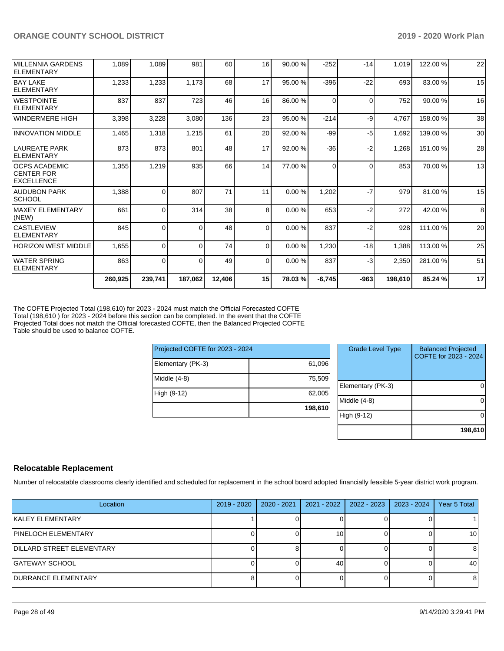|                                                                | 260,925 | 239,741  | 187,062  | 12,406 | 15              | 78.03%  | $-6,745$ | $-963$   | 198,610 | 85.24 %  | 17 |
|----------------------------------------------------------------|---------|----------|----------|--------|-----------------|---------|----------|----------|---------|----------|----|
| WATER SPRING<br><b>ELEMENTARY</b>                              | 863     | $\Omega$ | 0        | 49     | $\overline{0}$  | 0.00 %  | 837      | $-3$     | 2,350   | 281.00%  | 51 |
| HORIZON WEST MIDDLE                                            | 1,655   | 0        | $\Omega$ | 74     | $\Omega$        | 0.00%   | 1,230    | $-18$    | 1,388   | 113.00 % | 25 |
| <b>CASTLEVIEW</b><br>ELEMENTARY                                | 845     | $\Omega$ | $\Omega$ | 48     | $\Omega$        | 0.00%   | 837      | $-2$     | 928     | 111.00 % | 20 |
| MAXEY ELEMENTARY<br>(NEW)                                      | 661     | $\Omega$ | 314      | 38     | 8               | 0.00%   | 653      | $-2$     | 272     | 42.00%   | 8  |
| AUDUBON PARK<br> SCHOOL                                        | 1,388   | 0        | 807      | 71     | 11              | 0.00%   | 1,202    | $-7$     | 979     | 81.00%   | 15 |
| <b>OCPS ACADEMIC</b><br><b>CENTER FOR</b><br><b>EXCELLENCE</b> | 1,355   | 1,219    | 935      | 66     | 14              | 77.00 % | $\Omega$ | $\Omega$ | 853     | 70.00 %  | 13 |
| LAUREATE PARK<br>ELEMENTARY                                    | 873     | 873      | 801      | 48     | 17              | 92.00 % | $-36$    | $-2$     | 1,268   | 151.00%  | 28 |
| <b>IINNOVATION MIDDLE</b>                                      | 1,465   | 1,318    | 1,215    | 61     | 20              | 92.00 % | $-99$    | -5       | 1,692   | 139.00 % | 30 |
| WINDERMERE HIGH                                                | 3,398   | 3,228    | 3,080    | 136    | 23              | 95.00 % | $-214$   | -9       | 4,767   | 158.00 % | 38 |
| <b>WESTPOINTE</b><br>ELEMENTARY                                | 837     | 837      | 723      | 46     | 16 <sup>1</sup> | 86.00 % | $\Omega$ | $\Omega$ | 752     | 90.00 %  | 16 |
| <b>BAY LAKE</b><br>ELEMENTARY                                  | 1,233   | 1,233    | 1,173    | 68     | 17              | 95.00 % | $-396$   | $-22$    | 693     | 83.00 %  | 15 |
| <b>MILLENNIA GARDENS</b><br>ELEMENTARY                         | 1,089   | 1,089    | 981      | 60     | 16              | 90.00 % | $-252$   | $-14$    | 1,019   | 122.00%  | 22 |

The COFTE Projected Total (198,610) for 2023 - 2024 must match the Official Forecasted COFTE Total (198,610 ) for 2023 - 2024 before this section can be completed. In the event that the COFTE Projected Total does not match the Official forecasted COFTE, then the Balanced Projected COFTE Table should be used to balance COFTE.

| Projected COFTE for 2023 - 2024 |         |  |  |  |  |  |  |
|---------------------------------|---------|--|--|--|--|--|--|
| Elementary (PK-3)               | 61,096  |  |  |  |  |  |  |
| Middle $(4-8)$                  | 75,509  |  |  |  |  |  |  |
| High (9-12)                     | 62,005  |  |  |  |  |  |  |
|                                 | 198,610 |  |  |  |  |  |  |

| <b>Grade Level Type</b> | <b>Balanced Projected</b><br>COFTE for 2023 - 2024 |
|-------------------------|----------------------------------------------------|
| Elementary (PK-3)       |                                                    |
| Middle $(4-8)$          |                                                    |
| High (9-12)             |                                                    |
|                         | 198,610                                            |

# **Relocatable Replacement**

Number of relocatable classrooms clearly identified and scheduled for replacement in the school board adopted financially feasible 5-year district work program.

| Location                         | 2019 - 2020 | 2020 - 2021 | 2021 - 2022 | 2022 - 2023 | 2023 - 2024 | Year 5 Total |
|----------------------------------|-------------|-------------|-------------|-------------|-------------|--------------|
| KALEY ELEMENTARY                 |             |             |             |             |             |              |
| <b>PINELOCH ELEMENTARY</b>       |             |             | 10          |             |             | 10           |
| <b>DILLARD STREET ELEMENTARY</b> |             |             |             |             |             |              |
| GATEWAY SCHOOL                   |             |             | 40          |             |             | 40           |
| <b>IDURRANCE ELEMENTARY</b>      |             |             |             |             |             | 8            |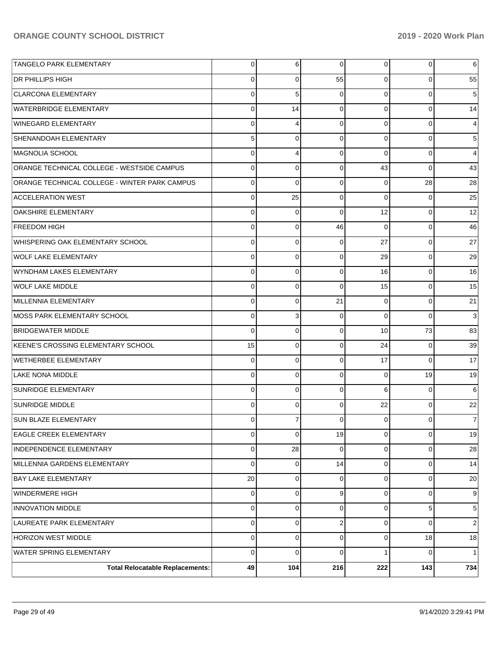| <b>Total Relocatable Replacements:</b>        | 49          | 104            | 216            | 222            | 143            | 734            |
|-----------------------------------------------|-------------|----------------|----------------|----------------|----------------|----------------|
| WATER SPRING ELEMENTARY                       | 0           | $\Omega$       | $\Omega$       | 1              | 0              | $\mathbf{1}$   |
| HORIZON WEST MIDDLE                           | 0           | $\mathbf 0$    | $\Omega$       | $\overline{0}$ | 18             | 18             |
| LAUREATE PARK ELEMENTARY                      | 0           | $\mathbf 0$    | $\overline{2}$ | $\Omega$       | 0              | 2              |
| <b>INNOVATION MIDDLE</b>                      | 0           | $\mathbf 0$    | $\Omega$       | $\Omega$       | 5              | 5              |
| WINDERMERE HIGH                               | 0           | $\mathbf 0$    | 9              | $\Omega$       | 0              | 9              |
| <b>BAY LAKE ELEMENTARY</b>                    | 20          | $\mathbf 0$    | $\Omega$       | $\Omega$       | 0              | 20             |
| MILLENNIA GARDENS ELEMENTARY                  | 0           | $\mathbf 0$    | 14             | $\overline{0}$ | 0              | 14             |
| <b>INDEPENDENCE ELEMENTARY</b>                | 0           | 28             | $\Omega$       | $\overline{0}$ | 0              | 28             |
| EAGLE CREEK ELEMENTARY                        | 0           | $\overline{0}$ | 19             | $\overline{0}$ | $\mathbf 0$    | 19             |
| <b>SUN BLAZE ELEMENTARY</b>                   | 0           | 7              | $\Omega$       | $\Omega$       | 0              | $\overline{7}$ |
| <b>SUNRIDGE MIDDLE</b>                        | 0           | 0              | $\mathbf 0$    | 22             | 0              | 22             |
| <b>SUNRIDGE ELEMENTARY</b>                    | $\mathbf 0$ | 0              | $\Omega$       | 6              | 0              | 6              |
| <b>LAKE NONA MIDDLE</b>                       | 0           | 0              | $\mathbf 0$    | $\mathbf 0$    | 19             | 19             |
| <b>WETHERBEE ELEMENTARY</b>                   | $\mathbf 0$ | 0              | $\Omega$       | 17             | 0              | 17             |
| KEENE'S CROSSING ELEMENTARY SCHOOL            | 15          | 0              | $\mathbf 0$    | 24             | 0              | 39             |
| <b>BRIDGEWATER MIDDLE</b>                     | $\mathbf 0$ | 0              | $\Omega$       | 10             | 73             | 83             |
| MOSS PARK ELEMENTARY SCHOOL                   | $\mathbf 0$ | 3              | $\mathbf 0$    | $\Omega$       | 0              | 3              |
| MILLENNIA ELEMENTARY                          | $\mathbf 0$ | 0              | 21             | $\Omega$       | 0              | 21             |
| <b>WOLF LAKE MIDDLE</b>                       | 0           | 0              | $\Omega$       | 15             | 0              | 15             |
| WYNDHAM LAKES ELEMENTARY                      | 0           | 0              | $\Omega$       | 16             | 0              | 16             |
| WOLF LAKE ELEMENTARY                          | 0           | 0              | $\mathbf 0$    | 29             | 0              | 29             |
| WHISPERING OAK ELEMENTARY SCHOOL              | $\mathbf 0$ | 0              | $\Omega$       | 27             | 0              | 27             |
| <b>FREEDOM HIGH</b>                           | 0           | 0              | 46             | $\Omega$       | 0              | 46             |
| <b>OAKSHIRE ELEMENTARY</b>                    | $\mathbf 0$ | 0              | $\Omega$       | 12             | 0              | 12             |
| <b>ACCELERATION WEST</b>                      | 0           | 25             | $\mathbf 0$    | $\Omega$       | 0              | 25             |
| ORANGE TECHNICAL COLLEGE - WINTER PARK CAMPUS | $\mathbf 0$ | $\Omega$       | $\Omega$       | $\Omega$       | 28             | 28             |
| ORANGE TECHNICAL COLLEGE - WESTSIDE CAMPUS    | 0           | 0              | $\mathbf 0$    | 43             | 0              | 43             |
| MAGNOLIA SCHOOL                               | $\mathbf 0$ | 4              | $\Omega$       | $\Omega$       | 0              | 4              |
| <b>SHENANDOAH ELEMENTARY</b>                  | 5           | 0              | $\mathbf 0$    | $\Omega$       | 0              | $\mathbf 5$    |
| <b>WINEGARD ELEMENTARY</b>                    | 0           | 4              | $\Omega$       | $\Omega$       | 0              | 4              |
| WATERBRIDGE ELEMENTARY                        | $\mathbf 0$ | 14             | $\mathbf 0$    | $\Omega$       | 0              | 14             |
| <b>CLARCONA ELEMENTARY</b>                    | $\mathbf 0$ | 5              | $\Omega$       | $\Omega$       | 0              | 5              |
| <b>DR PHILLIPS HIGH</b>                       | 0           | 0              | 55             | $\Omega$       | 0              | 55             |
| <b>TANGELO PARK ELEMENTARY</b>                | 0           | 6              | 0              | $\overline{0}$ | $\overline{0}$ | 6              |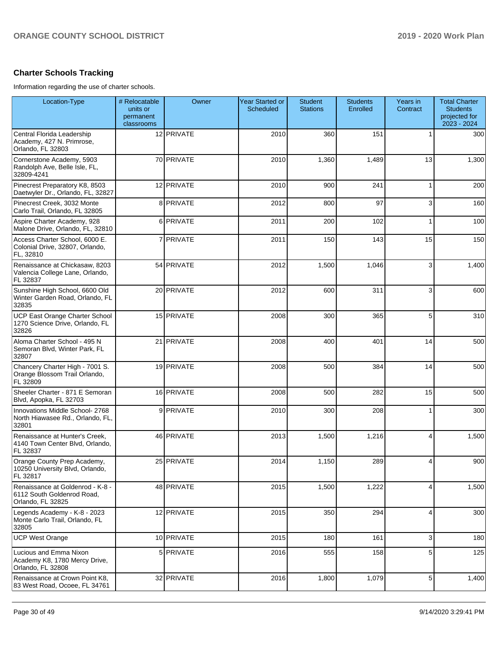# **Charter Schools Tracking**

Information regarding the use of charter schools.

| Location-Type                                                                       | # Relocatable<br>units or<br>permanent<br>classrooms | Owner      | <b>Year Started or</b><br>Scheduled | <b>Student</b><br><b>Stations</b> | <b>Students</b><br>Enrolled | Years in<br>Contract | <b>Total Charter</b><br><b>Students</b><br>projected for<br>2023 - 2024 |
|-------------------------------------------------------------------------------------|------------------------------------------------------|------------|-------------------------------------|-----------------------------------|-----------------------------|----------------------|-------------------------------------------------------------------------|
| Central Florida Leadership<br>Academy, 427 N. Primrose,<br>Orlando, FL 32803        |                                                      | 12 PRIVATE | 2010                                | 360                               | 151                         |                      | 300                                                                     |
| Cornerstone Academy, 5903<br>Randolph Ave, Belle Isle, FL,<br>32809-4241            |                                                      | 70 PRIVATE | 2010                                | 1,360                             | 1,489                       | 13                   | 1,300                                                                   |
| Pinecrest Preparatory K8, 8503<br>Daetwyler Dr., Orlando, FL, 32827                 |                                                      | 12 PRIVATE | 2010                                | 900                               | 241                         |                      | 200                                                                     |
| Pinecrest Creek, 3032 Monte<br>Carlo Trail, Orlando, FL 32805                       |                                                      | 8 PRIVATE  | 2012                                | 800                               | 97                          | 3                    | 160                                                                     |
| Aspire Charter Academy, 928<br>Malone Drive, Orlando, FL, 32810                     |                                                      | 6 PRIVATE  | 2011                                | 200                               | 102                         |                      | 100                                                                     |
| Access Charter School, 6000 E.<br>Colonial Drive, 32807, Orlando,<br>FL, 32810      |                                                      | 7 PRIVATE  | 2011                                | 150                               | 143                         | 15                   | 150                                                                     |
| Renaissance at Chickasaw, 8203<br>Valencia College Lane, Orlando,<br>FL 32837       |                                                      | 54 PRIVATE | 2012                                | 1,500                             | 1,046                       | 3                    | 1,400                                                                   |
| Sunshine High School, 6600 Old<br>Winter Garden Road, Orlando, FL<br>32835          |                                                      | 20 PRIVATE | 2012                                | 600                               | 311                         | 3                    | 600                                                                     |
| <b>UCP East Orange Charter School</b><br>1270 Science Drive, Orlando, FL<br>32826   |                                                      | 15 PRIVATE | 2008                                | 300                               | 365                         | 5                    | 310                                                                     |
| Aloma Charter School - 495 N<br>Semoran Blvd, Winter Park, FL<br>32807              |                                                      | 21 PRIVATE | 2008                                | 400                               | 401                         | 14                   | 500                                                                     |
| Chancery Charter High - 7001 S.<br>Orange Blossom Trail Orlando,<br>FL 32809        |                                                      | 19 PRIVATE | 2008                                | 500                               | 384                         | 14                   | 500                                                                     |
| Sheeler Charter - 871 E Semoran<br>Blvd, Apopka, FL 32703                           |                                                      | 16 PRIVATE | 2008                                | 500                               | 282                         | 15                   | 500                                                                     |
| Innovations Middle School- 2768<br>North Hiawasee Rd., Orlando, FL,<br>32801        |                                                      | 9 PRIVATE  | 2010                                | 300                               | 208                         | 1                    | 300                                                                     |
| Renaissance at Hunter's Creek,<br>4140 Town Center Blvd, Orlando,<br>FL 32837       |                                                      | 46 PRIVATE | 2013                                | 1,500                             | 1,216                       | 4                    | 1,500                                                                   |
| Orange County Prep Academy,<br>10250 University Blvd, Orlando,<br>FL 32817          |                                                      | 25 PRIVATE | 2014                                | 1,150                             | 289                         | 4                    | 900                                                                     |
| Renaissance at Goldenrod - K-8 -<br>6112 South Goldenrod Road,<br>Orlando, FL 32825 |                                                      | 48 PRIVATE | 2015                                | 1,500                             | 1,222                       | 4                    | 1,500                                                                   |
| Legends Academy - K-8 - 2023<br>Monte Carlo Trail, Orlando, FL<br>32805             |                                                      | 12 PRIVATE | 2015                                | 350                               | 294                         | 4                    | 300                                                                     |
| <b>UCP West Orange</b>                                                              |                                                      | 10 PRIVATE | 2015                                | 180                               | 161                         | 3                    | 180                                                                     |
| Lucious and Emma Nixon<br>Academy K8, 1780 Mercy Drive,<br>Orlando, FL 32808        |                                                      | 5 PRIVATE  | 2016                                | 555                               | 158                         | 5                    | 125                                                                     |
| Renaissance at Crown Point K8,<br>83 West Road, Ocoee, FL 34761                     |                                                      | 32 PRIVATE | 2016                                | 1,800                             | 1,079                       | 5                    | 1,400                                                                   |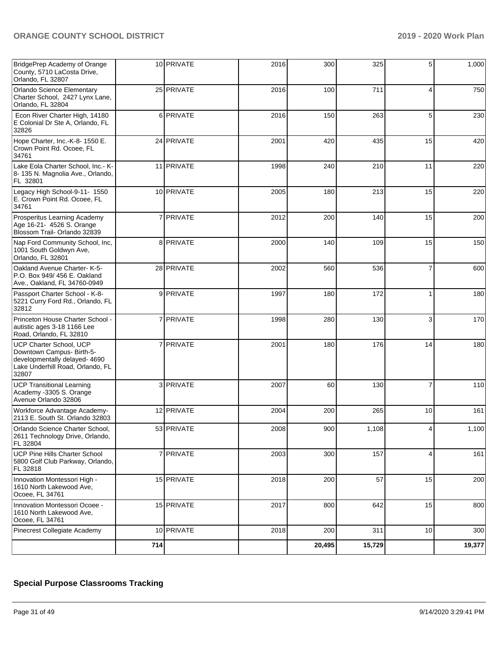| BridgePrep Academy of Orange<br>County, 5710 LaCosta Drive,<br>Orlando, FL 32807                                                   |                | 10 PRIVATE | 2016 | 300    | 325    | 5  | 1,000  |
|------------------------------------------------------------------------------------------------------------------------------------|----------------|------------|------|--------|--------|----|--------|
| Orlando Science Elementary<br>Charter School, 2427 Lynx Lane,<br>Orlando, FL 32804                                                 |                | 25 PRIVATE | 2016 | 100    | 711    | 4  | 750    |
| Econ River Charter High, 14180<br>E Colonial Dr Ste A, Orlando, FL<br>32826                                                        |                | 6 PRIVATE  | 2016 | 150    | 263    | 5  | 230    |
| Hope Charter, Inc.-K-8- 1550 E.<br>Crown Point Rd. Ocoee, FL<br>34761                                                              |                | 24 PRIVATE | 2001 | 420    | 435    | 15 | 420    |
| Lake Eola Charter School, Inc.- K-<br>8-135 N. Magnolia Ave., Orlando,<br>FL 32801                                                 |                | 11 PRIVATE | 1998 | 240    | 210    | 11 | 220    |
| Legacy High School-9-11- 1550<br>E. Crown Point Rd. Ocoee, FL<br>34761                                                             |                | 10 PRIVATE | 2005 | 180    | 213    | 15 | 220    |
| Prosperitus Learning Academy<br>Age 16-21- 4526 S. Orange<br>Blossom Trail- Orlando 32839                                          |                | 7 PRIVATE  | 2012 | 200    | 140    | 15 | 200    |
| Nap Ford Community School, Inc,<br>1001 South Goldwyn Ave,<br>Orlando, FL 32801                                                    |                | 8 PRIVATE  | 2000 | 140    | 109    | 15 | 150    |
| Oakland Avenue Charter- K-5-<br>P.O. Box 949/ 456 E. Oakland<br>Ave., Oakland, FL 34760-0949                                       |                | 28 PRIVATE | 2002 | 560    | 536    | 7  | 600    |
| Passport Charter School - K-8-<br>5221 Curry Ford Rd., Orlando, FL<br>32812                                                        |                | 9 PRIVATE  | 1997 | 180    | 172    |    | 180    |
| Princeton House Charter School -<br>autistic ages 3-18 1166 Lee<br>Road, Orlando, FL 32810                                         | $\overline{7}$ | PRIVATE    | 1998 | 280    | 130    | 3  | 170    |
| UCP Charter School, UCP<br>Downtown Campus- Birth-5-<br>developmentally delayed- 4690<br>Lake Underhill Road, Orlando, FL<br>32807 |                | 7 PRIVATE  | 2001 | 180    | 176    | 14 | 180    |
| <b>UCP Transitional Learning</b><br>Academy -3305 S. Orange<br>Avenue Orlando 32806                                                |                | 3 PRIVATE  | 2007 | 60     | 130    | 7  | 110    |
| Workforce Advantage Academy-<br>2113 E. South St. Orlando 32803                                                                    |                | 12 PRIVATE | 2004 | 200    | 265    | 10 | 161    |
| Orlando Science Charter School,<br>2611 Technology Drive, Orlando,<br>FL 32804                                                     |                | 53 PRIVATE | 2008 | 900    | 1,108  | 4  | 1,100  |
| UCP Pine Hills Charter School<br>5800 Golf Club Parkway, Orlando,<br>FL 32818                                                      |                | 7 PRIVATE  | 2003 | 300    | 157    | 4  | 161    |
| Innovation Montessori High -<br>1610 North Lakewood Ave,<br>Ocoee, FL 34761                                                        |                | 15 PRIVATE | 2018 | 200    | 57     | 15 | 200    |
| Innovation Montessori Ocoee -<br>1610 North Lakewood Ave,<br>Ocoee, FL 34761                                                       |                | 15 PRIVATE | 2017 | 800    | 642    | 15 | 800    |
| Pinecrest Collegiate Academy                                                                                                       |                | 10 PRIVATE | 2018 | 200    | 311    | 10 | 300    |
|                                                                                                                                    | 714            |            |      | 20,495 | 15,729 |    | 19,377 |

# **Special Purpose Classrooms Tracking**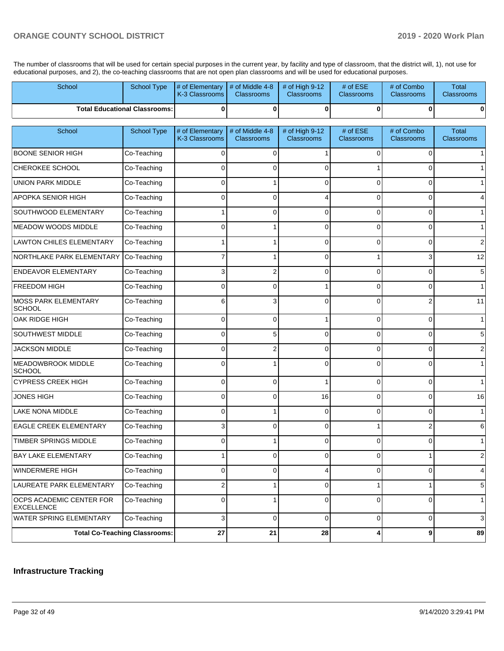The number of classrooms that will be used for certain special purposes in the current year, by facility and type of classroom, that the district will, 1), not use for educational purposes, and 2), the co-teaching classrooms that are not open plan classrooms and will be used for educational purposes.

| School                                        | School Type                          | # of Elementary<br>K-3 Classrooms | # of Middle 4-8<br><b>Classrooms</b> | # of High $9-12$<br><b>Classrooms</b> | # of ESE<br>Classrooms        | # of Combo<br>Classrooms        | <b>Total</b><br><b>Classrooms</b> |
|-----------------------------------------------|--------------------------------------|-----------------------------------|--------------------------------------|---------------------------------------|-------------------------------|---------------------------------|-----------------------------------|
|                                               | <b>Total Educational Classrooms:</b> | $\bf{0}$                          | $\bf{0}$                             | $\bf{0}$                              | 0                             | $\mathbf 0$                     | $\mathbf{0}$                      |
| School                                        | School Type                          | # of Elementary<br>K-3 Classrooms | # of Middle 4-8<br><b>Classrooms</b> | # of High 9-12<br><b>Classrooms</b>   | # of ESE<br><b>Classrooms</b> | # of Combo<br><b>Classrooms</b> | <b>Total</b><br><b>Classrooms</b> |
| <b>BOONE SENIOR HIGH</b>                      | Co-Teaching                          | 0                                 | $\Omega$                             |                                       | 0                             | 0                               | 11                                |
| CHEROKEE SCHOOL                               | Co-Teaching                          | 0                                 | $\Omega$                             | $\Omega$                              |                               | 0                               | 1                                 |
| <b>UNION PARK MIDDLE</b>                      | Co-Teaching                          | 0                                 |                                      | 0                                     | 0                             | $\mathbf 0$                     | 1                                 |
| APOPKA SENIOR HIGH                            | Co-Teaching                          | 0                                 | $\Omega$                             | 4                                     | 0                             | $\mathbf 0$                     | $\overline{4}$                    |
| SOUTHWOOD ELEMENTARY                          | Co-Teaching                          |                                   | $\Omega$                             | 0                                     | $\Omega$                      | $\mathbf 0$                     | 1                                 |
| <b>MEADOW WOODS MIDDLE</b>                    | Co-Teaching                          | 0                                 |                                      | 0                                     | $\Omega$                      | $\mathbf 0$                     | $\mathbf{1}$                      |
| <b>LAWTON CHILES ELEMENTARY</b>               | Co-Teaching                          |                                   |                                      | 0                                     | $\overline{0}$                | $\mathbf 0$                     | $\sqrt{2}$                        |
| NORTHLAKE PARK ELEMENTARY                     | Co-Teaching                          |                                   |                                      | 0                                     |                               | 3                               | 12                                |
| <b>ENDEAVOR ELEMENTARY</b>                    | Co-Teaching                          | 3                                 | $\overline{2}$                       | 0                                     | $\Omega$                      | $\mathbf 0$                     | $\sqrt{5}$                        |
| <b>FREEDOM HIGH</b>                           | Co-Teaching                          | 0                                 | $\Omega$                             | 1                                     | 0                             | $\mathbf 0$                     | 1                                 |
| <b>MOSS PARK ELEMENTARY</b><br><b>SCHOOL</b>  | Co-Teaching                          | 6                                 | 3                                    | 0                                     | $\Omega$                      | $\overline{2}$                  | 11                                |
| OAK RIDGE HIGH                                | Co-Teaching                          | $\Omega$                          | $\Omega$                             | 1                                     | $\Omega$                      | $\mathbf 0$                     | $\mathbf{1}$                      |
| <b>SOUTHWEST MIDDLE</b>                       | Co-Teaching                          | 0                                 | 5                                    | $\Omega$                              | 0                             | $\mathbf 0$                     | $\sqrt{5}$                        |
| <b>JACKSON MIDDLE</b>                         | Co-Teaching                          | $\Omega$                          | $\overline{\mathbf{c}}$              | $\Omega$                              | $\Omega$                      | $\mathbf 0$                     | $\overline{2}$                    |
| <b>MEADOWBROOK MIDDLE</b><br><b>SCHOOL</b>    | Co-Teaching                          | 0                                 |                                      | $\Omega$                              | 0                             | $\Omega$                        | $\mathbf{1}$                      |
| <b>CYPRESS CREEK HIGH</b>                     | Co-Teaching                          | 0                                 | 0                                    |                                       | 0                             | 0                               | 1                                 |
| <b>JONES HIGH</b>                             | Co-Teaching                          | 0                                 | 0                                    | 16                                    | 0                             | 0                               | 16                                |
| LAKE NONA MIDDLE                              | Co-Teaching                          | 0                                 |                                      | $\Omega$                              | 0                             | 0                               | 1                                 |
| EAGLE CREEK ELEMENTARY                        | Co-Teaching                          |                                   | $\Omega$                             | $\Omega$                              |                               | 2                               | $6 \mid$                          |
| TIMBER SPRINGS MIDDLE                         | Co-Teaching                          | 0                                 |                                      | 0                                     | 0                             | 0                               | 1                                 |
| BAY LAKE ELEMENTARY                           | Co-Teaching                          | $1 \mid$                          | 0                                    | 0                                     | 0                             | $1 \mid$                        | $\overline{2}$                    |
| WINDERMERE HIGH                               | Co-Teaching                          | 0                                 | 0                                    | 4                                     | 0                             | 0                               | $\overline{4}$                    |
| LAUREATE PARK ELEMENTARY                      | Co-Teaching                          | 2                                 | 1                                    | 0                                     | 1                             | 1                               | $\sqrt{5}$                        |
| OCPS ACADEMIC CENTER FOR<br><b>EXCELLENCE</b> | Co-Teaching                          | 0                                 |                                      | 0                                     | 0                             | 0                               | $\mathbf{1}$                      |
| <b>WATER SPRING ELEMENTARY</b>                | Co-Teaching                          | 3                                 | $\mathbf 0$                          | 0                                     | $\overline{0}$                | 0                               | $\mathbf{3}$                      |
|                                               | <b>Total Co-Teaching Classrooms:</b> | 27                                | 21                                   | 28                                    | 4                             | $\boldsymbol{9}$                | 89                                |

## **Infrastructure Tracking**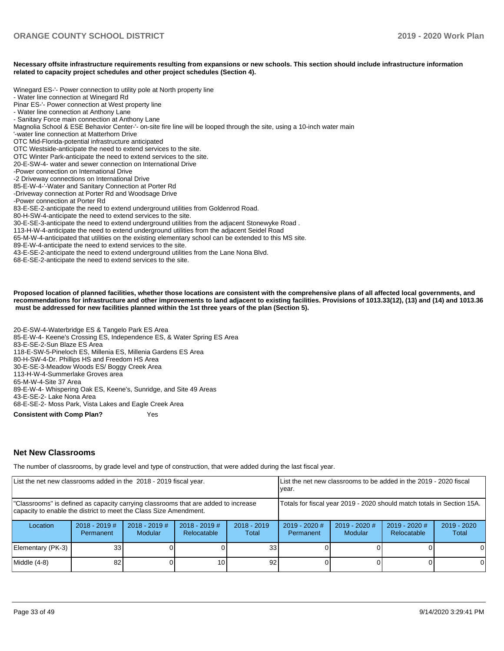#### **Necessary offsite infrastructure requirements resulting from expansions or new schools. This section should include infrastructure information related to capacity project schedules and other project schedules (Section 4).**

Winegard ES-'- Power connection to utility pole at North property line

- Water line connection at Winegard Rd
- Pinar ES-'- Power connection at West property line
- Water line connection at Anthony Lane
- Sanitary Force main connection at Anthony Lane
- Magnolia School & ESE Behavior Center-'- on-site fire line will be looped through the site, using a 10-inch water main
- '-water line connection at Matterhorn Drive
- OTC Mid-Florida-potential infrastructure anticipated
- OTC Westside-anticipate the need to extend services to the site.
- OTC Winter Park-anticipate the need to extend services to the site.
- 20-E-SW-4- water and sewer connection on International Drive
- -Power connection on International Drive
- -2 Driveway connections on International Drive
- 85-E-W-4-'-Water and Sanitary Connection at Porter Rd
- -Driveway connection at Porter Rd and Woodsage Drive
- -Power connection at Porter Rd
- 83-E-SE-2-anticipate the need to extend underground utilities from Goldenrod Road.
- 80-H-SW-4-anticipate the need to extend services to the site.
- 30-E-SE-3-anticipate the need to extend underground utilities from the adjacent Stonewyke Road .
- 113-H-W-4-anticipate the need to extend underground utilities from the adjacent Seidel Road
- 65-M-W-4-anticipated that utilities on the existing elementary school can be extended to this MS site.
- 89-E-W-4-anticipate the need to extend services to the site.
- 43-E-SE-2-anticipate the need to extend underground utilities from the Lane Nona Blvd.
- 68-E-SE-2-anticipate the need to extend services to the site.

**Proposed location of planned facilities, whether those locations are consistent with the comprehensive plans of all affected local governments, and recommendations for infrastructure and other improvements to land adjacent to existing facilities. Provisions of 1013.33(12), (13) and (14) and 1013.36 must be addressed for new facilities planned within the 1st three years of the plan (Section 5).** 

20-E-SW-4-Waterbridge ES & Tangelo Park ES Area 85-E-W-4- Keene's Crossing ES, Independence ES, & Water Spring ES Area 83-E-SE-2-Sun Blaze ES Area 118-E-SW-5-Pineloch ES, Millenia ES, Millenia Gardens ES Area 80-H-SW-4-Dr. Phillips HS and Freedom HS Area 30-E-SE-3-Meadow Woods ES/ Boggy Creek Area 113-H-W-4-Summerlake Groves area 65-M-W-4-Site 37 Area 89-E-W-4- Whispering Oak ES, Keene's, Sunridge, and Site 49 Areas 43-E-SE-2- Lake Nona Area 68-E-SE-2- Moss Park, Vista Lakes and Eagle Creek Area **Consistent with Comp Plan?** Yes

#### **Net New Classrooms**

The number of classrooms, by grade level and type of construction, that were added during the last fiscal year.

| List the net new classrooms added in the 2018 - 2019 fiscal year.                                                                                       |                              |                                   | List the net new classrooms to be added in the 2019 - 2020 fiscal<br>vear. |                        |                                                                        |                                 |                                |                      |
|---------------------------------------------------------------------------------------------------------------------------------------------------------|------------------------------|-----------------------------------|----------------------------------------------------------------------------|------------------------|------------------------------------------------------------------------|---------------------------------|--------------------------------|----------------------|
| "Classrooms" is defined as capacity carrying classrooms that are added to increase<br>capacity to enable the district to meet the Class Size Amendment. |                              |                                   |                                                                            |                        | Totals for fiscal year 2019 - 2020 should match totals in Section 15A. |                                 |                                |                      |
| Location                                                                                                                                                | $2018 - 2019$ #<br>Permanent | $2018 - 2019$ #<br><b>Modular</b> | $2018 - 2019$ #<br><b>Relocatable</b>                                      | $2018 - 2019$<br>Total | $2019 - 2020$ #<br>Permanent                                           | 2019 - 2020 #<br><b>Modular</b> | $2019 - 2020$ #<br>Relocatable | 2019 - 2020<br>Total |
| Elementary (PK-3)                                                                                                                                       | 33 <sub>1</sub>              |                                   |                                                                            | 33 <sub>1</sub>        |                                                                        |                                 |                                | ΟI                   |
| Middle (4-8)                                                                                                                                            | 82                           |                                   | 101                                                                        | 92                     |                                                                        |                                 |                                | 0                    |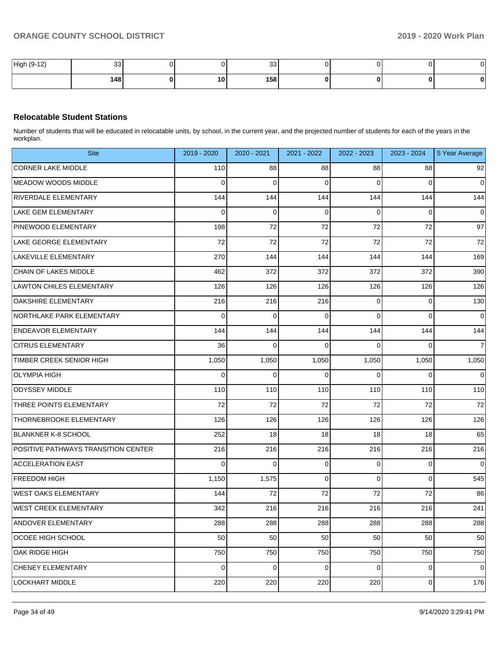| High (9-12) | ົດດ<br>ാാ ।      |    | 33 <sub>1</sub> |  | σI | $\sim$<br>. U - |
|-------------|------------------|----|-----------------|--|----|-----------------|
|             | 148 <sub>1</sub> | 10 | 158             |  | 01 | n               |

# **Relocatable Student Stations**

Number of students that will be educated in relocatable units, by school, in the current year, and the projected number of students for each of the years in the workplan.

| <b>Site</b>                         | 2019 - 2020 | 2020 - 2021 | 2021 - 2022 | 2022 - 2023 | 2023 - 2024    | 5 Year Average |
|-------------------------------------|-------------|-------------|-------------|-------------|----------------|----------------|
| <b>CORNER LAKE MIDDLE</b>           | 110         | 88          | 88          | 88          | 88             | 92             |
| <b>MEADOW WOODS MIDDLE</b>          | 0           | 0           | $\mathbf 0$ | 0           | 0              | $\overline{0}$ |
| <b>RIVERDALE ELEMENTARY</b>         | 144         | 144         | 144         | 144         | 144            | 144            |
| LAKE GEM ELEMENTARY                 | 0           | 0           | 0           | 0           | 0              | $\overline{0}$ |
| PINEWOOD ELEMENTARY                 | 198         | 72          | 72          | 72          | 72             | 97             |
| LAKE GEORGE ELEMENTARY              | 72          | 72          | 72          | 72          | 72             | 72             |
| LAKEVILLE ELEMENTARY                | 270         | 144         | 144         | 144         | 144            | 169            |
| <b>CHAIN OF LAKES MIDDLE</b>        | 462         | 372         | 372         | 372         | 372            | 390            |
| <b>LAWTON CHILES ELEMENTARY</b>     | 126         | 126         | 126         | 126         | 126            | 126            |
| <b>OAKSHIRE ELEMENTARY</b>          | 216         | 216         | 216         | 0           | $\mathbf 0$    | 130            |
| NORTHLAKE PARK ELEMENTARY           | 0           | 0           | $\mathbf 0$ | $\Omega$    | $\overline{0}$ | $\overline{0}$ |
| <b>ENDEAVOR ELEMENTARY</b>          | 144         | 144         | 144         | 144         | 144            | 144            |
| <b>CITRUS ELEMENTARY</b>            | 36          | 0           | $\Omega$    | 0           | $\overline{0}$ | $\overline{7}$ |
| TIMBER CREEK SENIOR HIGH            | 1,050       | 1,050       | 1,050       | 1,050       | 1,050          | 1,050          |
| <b>OLYMPIA HIGH</b>                 | 0           | 0           | $\mathbf 0$ | $\Omega$    | $\overline{0}$ | $\overline{0}$ |
| <b>ODYSSEY MIDDLE</b>               | 110         | 110         | 110         | 110         | 110            | 110            |
| THREE POINTS ELEMENTARY             | 72          | 72          | 72          | 72          | 72             | 72             |
| <b>THORNEBROOKE ELEMENTARY</b>      | 126         | 126         | 126         | 126         | 126            | 126            |
| <b>BLANKNER K-8 SCHOOL</b>          | 252         | 18          | 18          | 18          | 18             | 65             |
| POSITIVE PATHWAYS TRANSITION CENTER | 216         | 216         | 216         | 216         | 216            | 216            |
| <b>ACCELERATION EAST</b>            | 0           | 0           | 0           | 0           | $\mathbf 0$    | $\overline{0}$ |
| <b>FREEDOM HIGH</b>                 | 1,150       | 1,575       | $\mathbf 0$ | 0           | $\overline{0}$ | 545            |
| WEST OAKS ELEMENTARY                | 144         | 72          | 72          | 72          | 72             | 86             |
| <b>WEST CREEK ELEMENTARY</b>        | 342         | 216         | 216         | 216         | 216            | 241            |
| ANDOVER ELEMENTARY                  | 288         | 288         | 288         | 288         | 288            | 288            |
| OCOEE HIGH SCHOOL                   | 50          | 50          | 50          | 50          | 50             | 50             |
| OAK RIDGE HIGH                      | 750         | 750         | 750         | 750         | 750            | 750            |
| CHENEY ELEMENTARY                   | 0           | 0           | $\mathbf 0$ | 0           | $\overline{0}$ | $\mathbf 0$    |
| LOCKHART MIDDLE                     | 220         | 220         | 220         | 220         | $\overline{0}$ | 176            |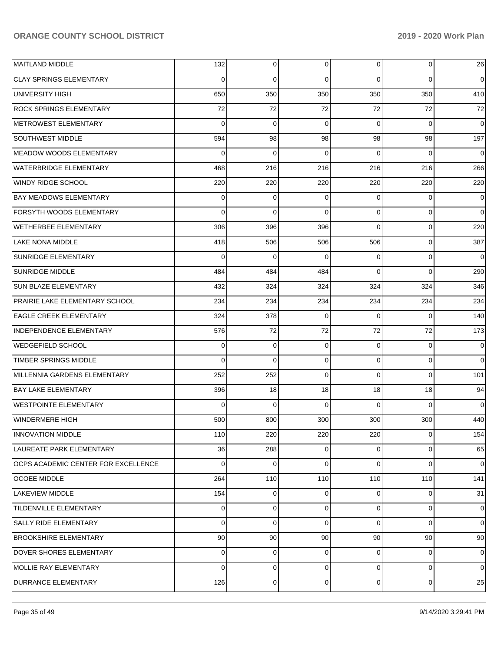| MAITLAND MIDDLE                     | 132      | $\overline{0}$ | 0   | $\overline{0}$ | 0           | 26             |
|-------------------------------------|----------|----------------|-----|----------------|-------------|----------------|
| <b>CLAY SPRINGS ELEMENTARY</b>      | 0        | $\mathbf 0$    | 0   | $\Omega$       | $\Omega$    | $\overline{0}$ |
| UNIVERSITY HIGH                     | 650      | 350            | 350 | 350            | 350         | 410            |
| <b>ROCK SPRINGS ELEMENTARY</b>      | 72       | 72             | 72  | 72             | 72          | 72             |
| METROWEST ELEMENTARY                | $\Omega$ | $\mathbf 0$    | 0   | $\Omega$       | $\Omega$    | $\mathbf 0$    |
| SOUTHWEST MIDDLE                    | 594      | 98             | 98  | 98             | 98          | 197            |
| MEADOW WOODS ELEMENTARY             | 0        | $\mathbf 0$    | 0   | $\Omega$       | $\Omega$    | 0              |
| <b>WATERBRIDGE ELEMENTARY</b>       | 468      | 216            | 216 | 216            | 216         | 266            |
| WINDY RIDGE SCHOOL                  | 220      | 220            | 220 | 220            | 220         | 220            |
| <b>BAY MEADOWS ELEMENTARY</b>       | 0        | 0              | 0   | $\Omega$       | 0           | 0              |
| <b>FORSYTH WOODS ELEMENTARY</b>     | $\Omega$ | $\mathbf 0$    | 0   | $\Omega$       | $\mathbf 0$ | $\Omega$       |
| WETHERBEE ELEMENTARY                | 306      | 396            | 396 | $\Omega$       | $\mathbf 0$ | 220            |
| <b>LAKE NONA MIDDLE</b>             | 418      | 506            | 506 | 506            | $\mathbf 0$ | 387            |
| <b>SUNRIDGE ELEMENTARY</b>          | $\Omega$ | $\mathbf 0$    | 0   | $\Omega$       | $\mathbf 0$ | $\mathbf 0$    |
| <b>SUNRIDGE MIDDLE</b>              | 484      | 484            | 484 | $\Omega$       | $\Omega$    | 290            |
| <b>SUN BLAZE ELEMENTARY</b>         | 432      | 324            | 324 | 324            | 324         | 346            |
| PRAIRIE LAKE ELEMENTARY SCHOOL      | 234      | 234            | 234 | 234            | 234         | 234            |
| <b>EAGLE CREEK ELEMENTARY</b>       | 324      | 378            | 0   | $\Omega$       | $\Omega$    | 140            |
| INDEPENDENCE ELEMENTARY             | 576      | 72             | 72  | 72             | 72          | 173            |
| <b>WEDGEFIELD SCHOOL</b>            | 0        | 0              | 0   | $\Omega$       | $\mathbf 0$ | 0              |
| TIMBER SPRINGS MIDDLE               | $\Omega$ | $\mathbf 0$    | 0   | $\Omega$       | $\mathbf 0$ | $\Omega$       |
| MILLENNIA GARDENS ELEMENTARY        | 252      | 252            | 0   | $\Omega$       | $\Omega$    | 101            |
| <b>BAY LAKE ELEMENTARY</b>          | 396      | 18             | 18  | 18             | 18          | 94             |
| <b>WESTPOINTE ELEMENTARY</b>        | 0        | $\mathbf 0$    | 0   | $\Omega$       | $\Omega$    | $\mathbf 0$    |
| <b>WINDERMERE HIGH</b>              | 500      | 800            | 300 | 300            | 300         | 440            |
| <b>INNOVATION MIDDLE</b>            | 110      | 220            | 220 | 220            | $\mathbf 0$ | 154            |
| LAUREATE PARK ELEMENTARY            | 36       | 288            | 0   | $\Omega$       | $\mathbf 0$ | 65             |
| OCPS ACADEMIC CENTER FOR EXCELLENCE | $\Omega$ | 0              | 0   | $\Omega$       | $\mathbf 0$ | $\overline{0}$ |
| <b>OCOEE MIDDLE</b>                 | 264      | 110            | 110 | 110            | 110         | 141            |
| LAKEVIEW MIDDLE                     | 154      | 0              | 0   | $\Omega$       | 0           | 31             |
| <b>TILDENVILLE ELEMENTARY</b>       | 0        | 0              | 0   | $\Omega$       | $\mathbf 0$ | $\overline{0}$ |
| SALLY RIDE ELEMENTARY               | 0        | $\mathbf 0$    | 0   | $\Omega$       | $\mathbf 0$ | $\overline{0}$ |
| <b>BROOKSHIRE ELEMENTARY</b>        | 90       | 90             | 90  | 90             | 90          | 90             |
| DOVER SHORES ELEMENTARY             | 0        | 0              | 0   | $\Omega$       | 0           | $\overline{0}$ |
| MOLLIE RAY ELEMENTARY               | $\Omega$ | 0              | 0   | $\Omega$       | $\mathbf 0$ | $\overline{0}$ |
| DURRANCE ELEMENTARY                 | 126      | 0              | 0   | $\overline{0}$ | 0           | 25             |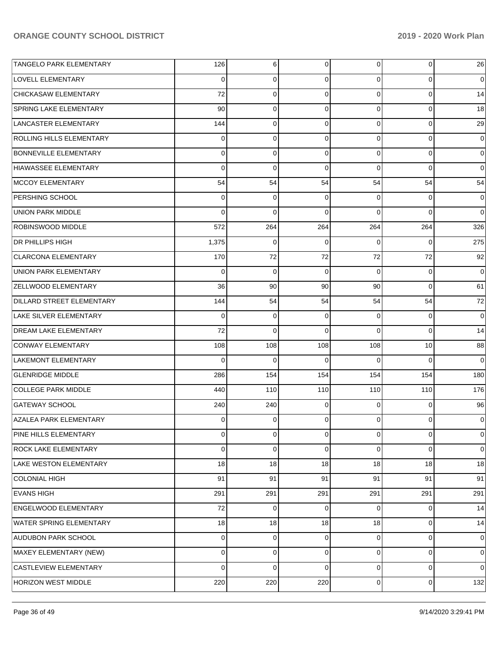| TANGELO PARK ELEMENTARY        | 126         | 6              | $\overline{0}$ | $\overline{0}$ | 0           | 26             |
|--------------------------------|-------------|----------------|----------------|----------------|-------------|----------------|
| <b>LOVELL ELEMENTARY</b>       | 0           | 0              | 0              | $\Omega$       | 0           | $\overline{0}$ |
| CHICKASAW ELEMENTARY           | 72          | $\mathbf 0$    | $\mathbf 0$    | $\Omega$       | $\mathbf 0$ | 14             |
| <b>SPRING LAKE ELEMENTARY</b>  | 90          | $\mathbf 0$    | $\mathbf 0$    | $\Omega$       | $\mathbf 0$ | 18             |
| LANCASTER ELEMENTARY           | 144         | $\mathbf 0$    | $\overline{0}$ | $\Omega$       | $\mathbf 0$ | 29             |
| ROLLING HILLS ELEMENTARY       | 0           | $\mathbf 0$    | 0              | $\Omega$       | $\mathbf 0$ | $\overline{0}$ |
| <b>BONNEVILLE ELEMENTARY</b>   | 0           | $\mathbf 0$    | $\overline{0}$ | $\overline{0}$ | $\mathbf 0$ | $\overline{0}$ |
| HIAWASSEE ELEMENTARY           | 0           | $\mathbf 0$    | $\mathbf 0$    | $\Omega$       | $\Omega$    | $\overline{0}$ |
| MCCOY ELEMENTARY               | 54          | 54             | 54             | 54             | 54          | 54             |
| <b>PERSHING SCHOOL</b>         | 0           | 0              | 0              | $\overline{0}$ | 0           | $\overline{0}$ |
| UNION PARK MIDDLE              | $\Omega$    | $\Omega$       | $\Omega$       | $\Omega$       | $\Omega$    | $\overline{0}$ |
| <b>ROBINSWOOD MIDDLE</b>       | 572         | 264            | 264            | 264            | 264         | 326            |
| <b>DR PHILLIPS HIGH</b>        | 1,375       | 0              | 0              | 0              | $\Omega$    | 275            |
| <b>CLARCONA ELEMENTARY</b>     | 170         | 72             | 72             | 72             | 72          | 92             |
| UNION PARK ELEMENTARY          | 0           | $\mathbf 0$    | 0              | $\Omega$       | $\mathbf 0$ | $\mathbf 0$    |
| <b>ZELLWOOD ELEMENTARY</b>     | 36          | 90             | 90             | 90             | $\Omega$    | 61             |
| DILLARD STREET ELEMENTARY      | 144         | 54             | 54             | 54             | 54          | 72             |
| LAKE SILVER ELEMENTARY         | $\mathbf 0$ | 0              | 0              | $\overline{0}$ | 0           | $\overline{0}$ |
| <b>DREAM LAKE ELEMENTARY</b>   | 72          | $\Omega$       | $\Omega$       | $\Omega$       | $\Omega$    | 14             |
| CONWAY ELEMENTARY              | 108         | 108            | 108            | 108            | 10          | 88             |
| LAKEMONT ELEMENTARY            | $\Omega$    | $\Omega$       | $\Omega$       | $\Omega$       | $\Omega$    | $\Omega$       |
| <b>GLENRIDGE MIDDLE</b>        | 286         | 154            | 154            | 154            | 154         | 180            |
| <b>COLLEGE PARK MIDDLE</b>     | 440         | 110            | 110            | 110            | 110         | 176            |
| <b>GATEWAY SCHOOL</b>          | 240         | 240            | $\overline{0}$ | $\overline{0}$ | $\mathbf 0$ | 96             |
| <b>AZALEA PARK ELEMENTARY</b>  | 0           | 0              | 0              | $\Omega$       | $\mathbf 0$ | $\overline{0}$ |
| PINE HILLS ELEMENTARY          | 0           | $\overline{0}$ | $\overline{0}$ | $\overline{0}$ | $\mathbf 0$ | $\mathbf 0$    |
| <b>ROCK LAKE ELEMENTARY</b>    | 0           | 0              | 0              | $\overline{0}$ | $\Omega$    | $\overline{0}$ |
| LAKE WESTON ELEMENTARY         | 18          | 18             | 18             | 18             | 18          | 18             |
| <b>COLONIAL HIGH</b>           | 91          | 91             | 91             | 91             | 91          | 91             |
| <b>EVANS HIGH</b>              | 291         | 291            | 291            | 291            | 291         | 291            |
| <b>ENGELWOOD ELEMENTARY</b>    | 72          | 0              | $\overline{0}$ | $\overline{0}$ | 0           | 14             |
| <b>WATER SPRING ELEMENTARY</b> | 18          | 18             | 18             | 18             | $\mathbf 0$ | 14             |
| <b>AUDUBON PARK SCHOOL</b>     | $\mathbf 0$ | 0              | $\overline{0}$ | $\overline{0}$ | $\mathbf 0$ | $\overline{0}$ |
| MAXEY ELEMENTARY (NEW)         | 0           | 0              | $\overline{0}$ | $\overline{0}$ | $\mathbf 0$ | $\overline{0}$ |
| <b>CASTLEVIEW ELEMENTARY</b>   | 0           | $\mathbf 0$    | 0              | $\overline{0}$ | $\mathbf 0$ | $\overline{0}$ |
| <b>HORIZON WEST MIDDLE</b>     | 220         | 220            | 220            | $\overline{0}$ | $\mathbf 0$ | 132            |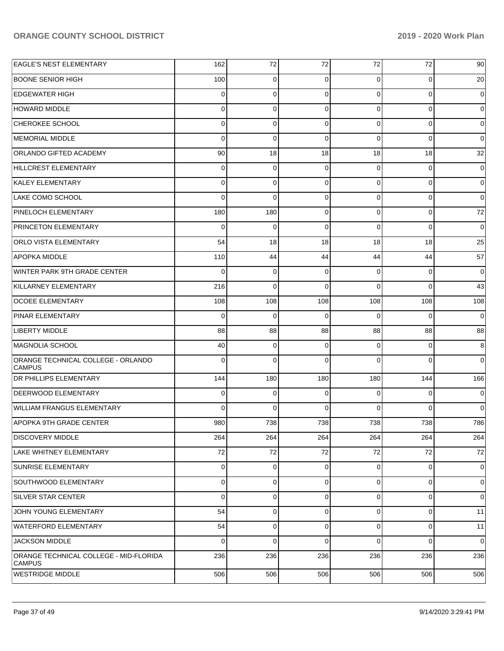| <b>EAGLE'S NEST ELEMENTARY</b>                          | 162         | 72          | 72          | 72             | 72          | 90          |
|---------------------------------------------------------|-------------|-------------|-------------|----------------|-------------|-------------|
| IBOONE SENIOR HIGH                                      | 100         | 0           | $\Omega$    | $\Omega$       | 0           | 20          |
| <b>EDGEWATER HIGH</b>                                   | 0           | 0           | $\Omega$    | $\Omega$       | $\mathbf 0$ | 0           |
| <b>HOWARD MIDDLE</b>                                    | $\mathbf 0$ | 0           | 0           | $\Omega$       | $\mathbf 0$ | 0           |
| <b>CHEROKEE SCHOOL</b>                                  | $\mathbf 0$ | 0           | $\Omega$    | $\Omega$       | $\mathbf 0$ | $\mathbf 0$ |
| MEMORIAL MIDDLE                                         | $\mathbf 0$ | $\mathbf 0$ | $\Omega$    | $\Omega$       | $\mathbf 0$ | 0           |
| <b>ORLANDO GIFTED ACADEMY</b>                           | 90          | 18          | 18          | 18             | 18          | 32          |
| <b>HILLCREST ELEMENTARY</b>                             | $\mathbf 0$ | $\mathbf 0$ | 0           | $\Omega$       | $\mathbf 0$ | $\mathbf 0$ |
| <b>KALEY ELEMENTARY</b>                                 | $\mathbf 0$ | 0           | $\Omega$    | $\Omega$       | $\mathbf 0$ | $\mathbf 0$ |
| LAKE COMO SCHOOL                                        | $\mathbf 0$ | $\mathbf 0$ | $\Omega$    | $\Omega$       | $\mathbf 0$ | $\mathbf 0$ |
| <b>PINELOCH ELEMENTARY</b>                              | 180         | 180         | $\Omega$    | $\Omega$       | $\mathbf 0$ | 72          |
| <b>PRINCETON ELEMENTARY</b>                             | $\mathbf 0$ | $\mathbf 0$ | $\Omega$    | $\Omega$       | $\mathbf 0$ | $\mathbf 0$ |
| <b>ORLO VISTA ELEMENTARY</b>                            | 54          | 18          | 18          | 18             | 18          | 25          |
| <b>APOPKA MIDDLE</b>                                    | 110         | 44          | 44          | 44             | 44          | 57          |
| WINTER PARK 9TH GRADE CENTER                            | $\Omega$    | 0           | $\Omega$    | $\Omega$       | 0           | $\mathbf 0$ |
| KILLARNEY ELEMENTARY                                    | 216         | 0           | $\Omega$    | $\Omega$       | $\Omega$    | 43          |
| <b>OCOEE ELEMENTARY</b>                                 | 108         | 108         | 108         | 108            | 108         | 108         |
| <b>PINAR ELEMENTARY</b>                                 | $\mathbf 0$ | $\mathbf 0$ | $\Omega$    | $\Omega$       | $\Omega$    | $\mathbf 0$ |
| <b>LIBERTY MIDDLE</b>                                   | 88          | 88          | 88          | 88             | 88          | 88          |
| MAGNOLIA SCHOOL                                         | 40          | $\mathbf 0$ | 0           | $\Omega$       | $\mathbf 0$ | 8           |
| ORANGE TECHNICAL COLLEGE - ORLANDO<br><b>CAMPUS</b>     | $\mathbf 0$ | 0           | $\Omega$    | $\Omega$       | $\Omega$    | $\Omega$    |
| <b>DR PHILLIPS ELEMENTARY</b>                           | 144         | 180         | 180         | 180            | 144         | 166         |
| <b>DEERWOOD ELEMENTARY</b>                              | 0           | 0           | C           | $\Omega$       | $\Omega$    | 0           |
| <b>WILLIAM FRANGUS ELEMENTARY</b>                       | 0           | $\mathbf 0$ | $\Omega$    | $\Omega$       | $\Omega$    | $\mathbf 0$ |
| APOPKA 9TH GRADE CENTER                                 | 980         | 738         | 738         | 738            | 738         | 786         |
| <b>DISCOVERY MIDDLE</b>                                 | 264         | 264         | 264         | 264            | 264         | 264         |
| LAKE WHITNEY ELEMENTARY                                 | 72          | 72          | 72          | 72             | 72          | 72          |
| SUNRISE ELEMENTARY                                      | 0           | 0           | 0           | $\mathbf 0$    | $\mathbf 0$ | 0           |
| SOUTHWOOD ELEMENTARY                                    | 0           | 0           | $\mathbf 0$ | $\overline{0}$ | $\pmb{0}$   | 0           |
| <b>SILVER STAR CENTER</b>                               | 0           | 0           | 0           | 0              | 0           | 0           |
| JOHN YOUNG ELEMENTARY                                   | 54          | 0           | 0           | $\overline{0}$ | 0           | 11          |
| <b>WATERFORD ELEMENTARY</b>                             | 54          | 0           | 0           | 0              | 0           | 11          |
| JACKSON MIDDLE                                          | 0           | $\mathbf 0$ | $\Omega$    | $\Omega$       | $\mathbf 0$ | 0           |
| ORANGE TECHNICAL COLLEGE - MID-FLORIDA<br><b>CAMPUS</b> | 236         | 236         | 236         | 236            | 236         | 236         |
| <b>WESTRIDGE MIDDLE</b>                                 | 506         | 506         | 506         | 506            | 506         | 506         |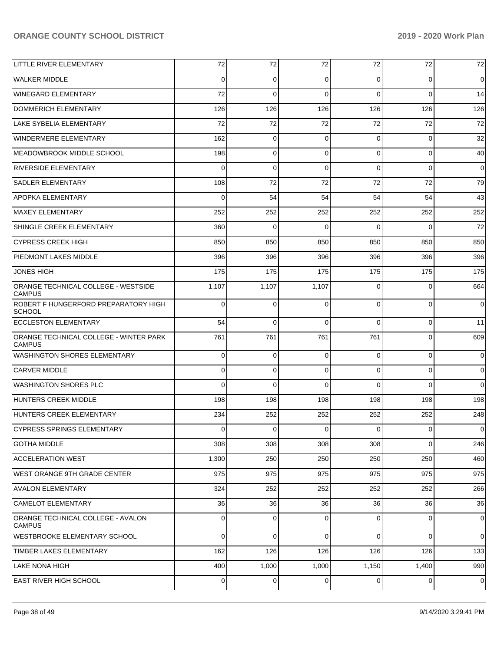| LITTLE RIVER ELEMENTARY                                 | 72       | 72       | 72             | 72             | 72             | 72             |
|---------------------------------------------------------|----------|----------|----------------|----------------|----------------|----------------|
| <b>WALKER MIDDLE</b>                                    | $\Omega$ | $\Omega$ | $\Omega$       | 0              | $\overline{0}$ | $\overline{0}$ |
| WINEGARD ELEMENTARY                                     | 72       | $\Omega$ | $\Omega$       | $\Omega$       | $\Omega$       | 14             |
| DOMMERICH ELEMENTARY                                    | 126      | 126      | 126            | 126            | 126            | 126            |
| LAKE SYBELIA ELEMENTARY                                 | 72       | 72       | 72             | 72             | 72             | 72             |
| <b>WINDERMERE ELEMENTARY</b>                            | 162      | 0        | $\Omega$       | $\Omega$       | $\overline{0}$ | 32             |
| IMEADOWBROOK MIDDLE SCHOOL                              | 198      | 0        | $\Omega$       | $\Omega$       | $\overline{0}$ | 40             |
| <b>RIVERSIDE ELEMENTARY</b>                             | $\Omega$ | $\Omega$ | $\Omega$       | $\Omega$       | $\overline{0}$ | $\overline{0}$ |
| SADLER ELEMENTARY                                       | 108      | 72       | 72             | 72             | 72             | 79             |
| <b>APOPKA ELEMENTARY</b>                                | $\Omega$ | 54       | 54             | 54             | 54             | 43             |
| MAXEY ELEMENTARY                                        | 252      | 252      | 252            | 252            | 252            | 252            |
| SHINGLE CREEK ELEMENTARY                                | 360      | $\Omega$ | $\Omega$       | $\Omega$       | $\Omega$       | 72             |
| <b>CYPRESS CREEK HIGH</b>                               | 850      | 850      | 850            | 850            | 850            | 850            |
| <b>PIEDMONT LAKES MIDDLE</b>                            | 396      | 396      | 396            | 396            | 396            | 396            |
| <b>JONES HIGH</b>                                       | 175      | 175      | 175            | 175            | 175            | 175            |
| ORANGE TECHNICAL COLLEGE - WESTSIDE<br><b>CAMPUS</b>    | 1,107    | 1,107    | 1,107          | $\Omega$       | $\overline{0}$ | 664            |
| ROBERT F HUNGERFORD PREPARATORY HIGH<br><b>SCHOOL</b>   | 0        | 0        | $\Omega$       | 0              | 0              | $\overline{0}$ |
| <b>ECCLESTON ELEMENTARY</b>                             | 54       | 0        | $\Omega$       | $\Omega$       | $\overline{0}$ | 11             |
| ORANGE TECHNICAL COLLEGE - WINTER PARK<br><b>CAMPUS</b> | 761      | 761      | 761            | 761            | $\overline{0}$ | 609            |
| <b>WASHINGTON SHORES ELEMENTARY</b>                     | 0        | 0        | $\Omega$       | $\Omega$       | $\overline{0}$ | $\overline{0}$ |
| ICARVER MIDDLE                                          | 0        | 0        | $\Omega$       | $\Omega$       | $\overline{0}$ | $\overline{0}$ |
| <b>WASHINGTON SHORES PLC</b>                            | $\Omega$ | 0        | $\Omega$       | $\Omega$       | $\Omega$       | $\Omega$       |
| HUNTERS CREEK MIDDLE                                    | 198      | 198      | 198            | 198            | 198            | 198            |
| HUNTERS CREEK ELEMENTARY                                | 234      | 252      | 252            | 252            | 252            | 248            |
| CYPRESS SPRINGS ELEMENTARY                              | 0        | 0        | 0              | 0              | 0              | $\pmb{0}$      |
| <b>GOTHA MIDDLE</b>                                     | 308      | 308      | 308            | 308            | $\overline{0}$ | 246            |
| <b>ACCELERATION WEST</b>                                | 1,300    | 250      | 250            | 250            | 250            | 460            |
| WEST ORANGE 9TH GRADE CENTER                            | 975      | 975      | 975            | 975            | 975            | 975            |
| <b>AVALON ELEMENTARY</b>                                | 324      | 252      | 252            | 252            | 252            | 266            |
| CAMELOT ELEMENTARY                                      | 36       | 36       | 36             | 36             | 36             | 36             |
| ORANGE TECHNICAL COLLEGE - AVALON<br><b>CAMPUS</b>      | 0        | 0        | $\Omega$       | 0              | $\overline{0}$ | $\mathbf 0$    |
| WESTBROOKE ELEMENTARY SCHOOL                            | 0        | 0        | $\Omega$       | 0              | $\overline{0}$ | $\overline{0}$ |
| TIMBER LAKES ELEMENTARY                                 | 162      | 126      | 126            | 126            | 126            | 133            |
| LAKE NONA HIGH                                          | 400      | 1,000    | 1,000          | 1,150          | 1,400          | 990            |
| <b>EAST RIVER HIGH SCHOOL</b>                           | 0        | 0        | $\overline{0}$ | $\overline{0}$ | $\overline{0}$ | $\overline{0}$ |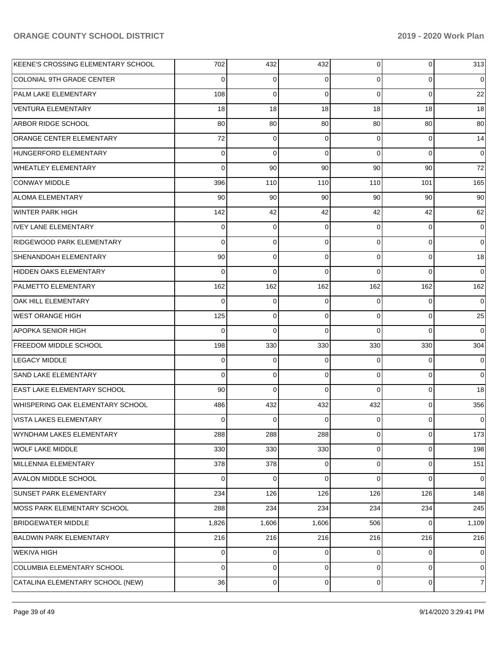| KEENE'S CROSSING ELEMENTARY SCHOOL | 702         | 432         | 432      | $\overline{0}$ | $\overline{0}$ | 313         |
|------------------------------------|-------------|-------------|----------|----------------|----------------|-------------|
| <b>COLONIAL 9TH GRADE CENTER</b>   | 0           | 0           | 0        | $\Omega$       | $\mathbf 0$    | 0           |
| PALM LAKE ELEMENTARY               | 108         | 0           | $\Omega$ | $\Omega$       | $\Omega$       | 22          |
| <b>VENTURA ELEMENTARY</b>          | 18          | 18          | 18       | 18             | 18             | 18          |
| ARBOR RIDGE SCHOOL                 | 80          | 80          | 80       | 80             | 80             | 80          |
| ORANGE CENTER ELEMENTARY           | 72          | 0           | $\Omega$ | $\Omega$       | $\mathbf 0$    | 14          |
| HUNGERFORD ELEMENTARY              | 0           | $\Omega$    | $\Omega$ | $\Omega$       | $\Omega$       | $\mathbf 0$ |
| <b>WHEATLEY ELEMENTARY</b>         | $\Omega$    | 90          | 90       | 90             | 90             | 72          |
| <b>CONWAY MIDDLE</b>               | 396         | 110         | 110      | 110            | 101            | 165         |
| <b>ALOMA ELEMENTARY</b>            | 90          | 90          | 90       | 90             | 90             | 90          |
| WINTER PARK HIGH                   | 142         | 42          | 42       | 42             | 42             | 62          |
| <b>IVEY LANE ELEMENTARY</b>        | 0           | $\mathbf 0$ | $\Omega$ | $\Omega$       | $\mathbf 0$    | 0           |
| <b>RIDGEWOOD PARK ELEMENTARY</b>   | $\Omega$    | 0           | $\Omega$ | $\Omega$       | $\Omega$       | $\Omega$    |
| SHENANDOAH ELEMENTARY              | 90          | $\mathbf 0$ | $\Omega$ | $\Omega$       | $\mathbf 0$    | 18          |
| HIDDEN OAKS ELEMENTARY             | 0           | $\Omega$    | $\Omega$ | $\Omega$       | $\Omega$       | $\Omega$    |
| <b>PALMETTO ELEMENTARY</b>         | 162         | 162         | 162      | 162            | 162            | 162         |
| OAK HILL ELEMENTARY                | $\Omega$    | 0           | $\Omega$ | $\Omega$       | $\Omega$       | $\Omega$    |
| WEST ORANGE HIGH                   | 125         | 0           | $\Omega$ | $\Omega$       | $\mathbf 0$    | 25          |
| <b>APOPKA SENIOR HIGH</b>          | $\Omega$    | $\Omega$    | $\Omega$ | $\Omega$       | $\Omega$       | $\Omega$    |
| <b>FREEDOM MIDDLE SCHOOL</b>       | 198         | 330         | 330      | 330            | 330            | 304         |
| LEGACY MIDDLE                      | 0           | $\Omega$    | $\Omega$ | $\Omega$       | $\Omega$       | 0           |
| SAND LAKE ELEMENTARY               | $\Omega$    | 0           | $\Omega$ | $\Omega$       | $\mathbf 0$    | $\mathbf 0$ |
| <b>EAST LAKE ELEMENTARY SCHOOL</b> | 90          | $\Omega$    | $\Omega$ | $\Omega$       | $\Omega$       | 18          |
| WHISPERING OAK ELEMENTARY SCHOOL   | 486         | 432         | 432      | 432            | $\mathbf 0$    | 356         |
| VISTA LAKES ELEMENTARY             | 0           | 0           | $\Omega$ | $\Omega$       | $\Omega$       | 0           |
| WYNDHAM LAKES ELEMENTARY           | 288         | 288         | 288      | $\overline{0}$ | $\mathbf 0$    | 173         |
| <b>WOLF LAKE MIDDLE</b>            | 330         | 330         | 330      | $\overline{0}$ | $\mathbf 0$    | 198         |
| MILLENNIA ELEMENTARY               | 378         | 378         | 0        | $\overline{0}$ | $\mathbf 0$    | 151         |
| AVALON MIDDLE SCHOOL               | 0           | $\mathbf 0$ | $\Omega$ | $\Omega$       | $\Omega$       | $\mathbf 0$ |
| <b>SUNSET PARK ELEMENTARY</b>      | 234         | 126         | 126      | 126            | 126            | 148         |
| MOSS PARK ELEMENTARY SCHOOL        | 288         | 234         | 234      | 234            | 234            | 245         |
| <b>BRIDGEWATER MIDDLE</b>          | 1,826       | 1,606       | 1,606    | 506            | 0              | 1,109       |
| <b>BALDWIN PARK ELEMENTARY</b>     | 216         | 216         | 216      | 216            | 216            | 216         |
| <b>WEKIVA HIGH</b>                 | 0           | $\mathbf 0$ | $\Omega$ | $\Omega$       | $\mathbf 0$    | $\mathbf 0$ |
| COLUMBIA ELEMENTARY SCHOOL         | $\mathbf 0$ | $\mathbf 0$ | $\Omega$ | $\Omega$       | $\mathbf 0$    | 0           |
| CATALINA ELEMENTARY SCHOOL (NEW)   | 36          | 0           | 0        | $\overline{0}$ | $\mathbf 0$    | 7           |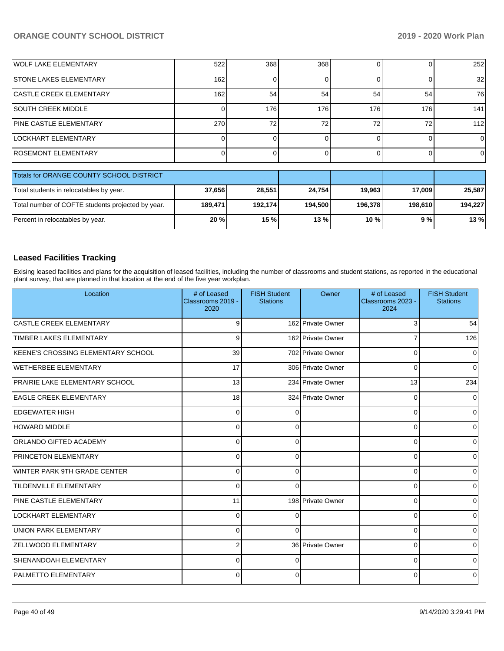| WOLF LAKE ELEMENTARY                     | 522 | 368 | 368             |     |     | 252             |
|------------------------------------------|-----|-----|-----------------|-----|-----|-----------------|
| <b>STONE LAKES ELEMENTARY</b>            | 162 |     |                 |     |     | 32 <sub>l</sub> |
| <b>CASTLE CREEK ELEMENTARY</b>           | 162 | 54  | 54              | 54  | 54  | 76              |
| <b>SOUTH CREEK MIDDLE</b>                |     | 176 | 176             | 176 | 176 | 141             |
| <b>PINE CASTLE ELEMENTARY</b>            | 270 | 72  | 72 <sub>1</sub> | 72  | 72  | 112             |
| LOCKHART ELEMENTARY                      |     |     |                 |     |     |                 |
| ROSEMONT ELEMENTARY                      |     |     |                 |     |     | O.              |
| Totals for ORANGE COUNTY SCHOOL DISTRICT |     |     |                 |     |     |                 |

| Totals for ORANGE COUNTY SCHOOL DISTRICT          |         |         |         |         |         |         |
|---------------------------------------------------|---------|---------|---------|---------|---------|---------|
| Total students in relocatables by year.           | 37,656  | 28.551  | 24.754  | 19.963  | 17,009  | 25.587  |
| Total number of COFTE students projected by year. | 189.471 | 192.174 | 194.500 | 196.378 | 198.610 | 194.227 |
| Percent in relocatables by year.                  | $20 \%$ | 15 %    | 13 %    | 10 %    | 9 % l   | 13 %    |

# **Leased Facilities Tracking**

Exising leased facilities and plans for the acquisition of leased facilities, including the number of classrooms and student stations, as reported in the educational plant survey, that are planned in that location at the end of the five year workplan.

| Location                              | # of Leased<br>Classrooms 2019 -<br>2020 | <b>FISH Student</b><br><b>Stations</b> | Owner             | # of Leased<br>Classrooms 2023 -<br>2024 | <b>FISH Student</b><br><b>Stations</b> |
|---------------------------------------|------------------------------------------|----------------------------------------|-------------------|------------------------------------------|----------------------------------------|
| <b>CASTLE CREEK ELEMENTARY</b>        | 9                                        |                                        | 162 Private Owner | 3                                        | 54                                     |
| <b>TIMBER LAKES ELEMENTARY</b>        | 9                                        |                                        | 162 Private Owner | 7                                        | 126                                    |
| KEENE'S CROSSING ELEMENTARY SCHOOL    | 39                                       |                                        | 702 Private Owner | $\Omega$                                 | $\Omega$                               |
| WETHERBEE ELEMENTARY                  | 17                                       |                                        | 306 Private Owner | $\mathbf 0$                              | $\Omega$                               |
| <b>PRAIRIE LAKE ELEMENTARY SCHOOL</b> | 13                                       |                                        | 234 Private Owner | 13                                       | 234                                    |
| <b>EAGLE CREEK ELEMENTARY</b>         | 18                                       |                                        | 324 Private Owner | $\mathbf 0$                              | 0                                      |
| <b>EDGEWATER HIGH</b>                 | $\Omega$                                 |                                        |                   | $\mathbf 0$                              | $\Omega$                               |
| <b>HOWARD MIDDLE</b>                  | $\Omega$                                 | O                                      |                   | $\Omega$                                 | $\Omega$                               |
| <b>ORLANDO GIFTED ACADEMY</b>         | $\Omega$                                 | $\Omega$                               |                   | 0                                        | $\Omega$                               |
| <b>PRINCETON ELEMENTARY</b>           | 0                                        | 0                                      |                   | 0                                        | $\Omega$                               |
| <b>WINTER PARK 9TH GRADE CENTER</b>   | $\Omega$                                 | $\Omega$                               |                   | $\mathbf 0$                              | $\Omega$                               |
| <b>TILDENVILLE ELEMENTARY</b>         | $\Omega$                                 | $\Omega$                               |                   | $\Omega$                                 | $\Omega$                               |
| <b>PINE CASTLE ELEMENTARY</b>         | 11                                       |                                        | 198 Private Owner | 0                                        | $\Omega$                               |
| LOCKHART ELEMENTARY                   | $\Omega$                                 | n                                      |                   | $\Omega$                                 | $\Omega$                               |
| <b>UNION PARK ELEMENTARY</b>          | $\Omega$                                 | n                                      |                   | $\mathbf 0$                              | $\Omega$                               |
| <b>ZELLWOOD ELEMENTARY</b>            | $\overline{2}$                           |                                        | 36 Private Owner  | $\Omega$                                 | $\Omega$                               |
| <b>SHENANDOAH ELEMENTARY</b>          | 0                                        | 0                                      |                   | $\mathbf 0$                              | $\Omega$                               |
| <b>PALMETTO ELEMENTARY</b>            | $\Omega$                                 | 0                                      |                   | 0                                        | $\Omega$                               |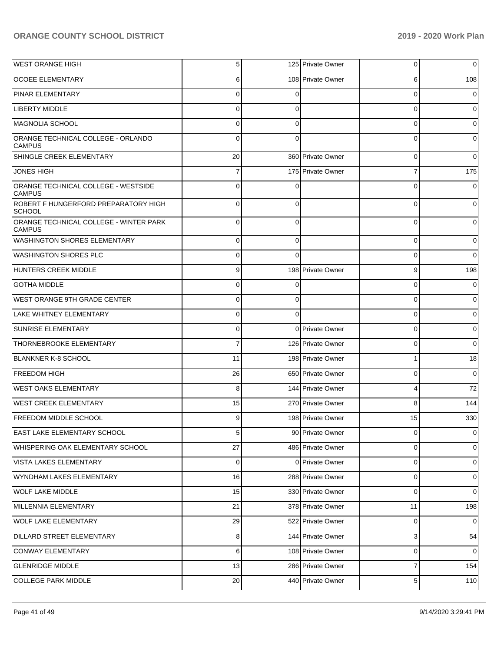| <b>WEST ORANGE HIGH</b>                                 | $\sqrt{5}$     |          | 125 Private Owner | 0              | 0           |
|---------------------------------------------------------|----------------|----------|-------------------|----------------|-------------|
| <b>OCOEE ELEMENTARY</b>                                 | 6              |          | 108 Private Owner | 6              | 108         |
| <b>PINAR ELEMENTARY</b>                                 | $\Omega$       | $\Omega$ |                   | 0              | 0           |
| <b>LIBERTY MIDDLE</b>                                   | $\mathbf 0$    | 0        |                   | 0              | 0           |
| MAGNOLIA SCHOOL                                         | $\Omega$       | 0        |                   | 0              | 0           |
| ORANGE TECHNICAL COLLEGE - ORLANDO<br><b>CAMPUS</b>     | $\Omega$       | $\Omega$ |                   | 0              | 0           |
| SHINGLE CREEK ELEMENTARY                                | 20             |          | 360 Private Owner | 0              | $\Omega$    |
| <b>JONES HIGH</b>                                       | 7              |          | 175 Private Owner | 7              | 175         |
| ORANGE TECHNICAL COLLEGE - WESTSIDE<br><b>CAMPUS</b>    | $\Omega$       |          |                   | $\Omega$       | $\Omega$    |
| ROBERT F HUNGERFORD PREPARATORY HIGH<br><b>SCHOOL</b>   | $\mathbf 0$    | $\Omega$ |                   | 0              | $\Omega$    |
| ORANGE TECHNICAL COLLEGE - WINTER PARK<br><b>CAMPUS</b> | $\Omega$       | $\Omega$ |                   | 0              | 0           |
| <b>WASHINGTON SHORES ELEMENTARY</b>                     | $\mathbf 0$    | 0        |                   | 0              | 0           |
| <b>WASHINGTON SHORES PLC</b>                            | $\mathbf 0$    | $\Omega$ |                   | 0              | $\Omega$    |
| HUNTERS CREEK MIDDLE                                    | 9              |          | 198 Private Owner | 9              | 198         |
| <b>GOTHA MIDDLE</b>                                     | $\mathbf 0$    | ∩        |                   | 0              | 0           |
| WEST ORANGE 9TH GRADE CENTER                            | $\mathbf 0$    | 0        |                   | 0              | $\Omega$    |
| LAKE WHITNEY ELEMENTARY                                 | $\mathbf 0$    | $\Omega$ |                   | 0              | 0           |
| <b>SUNRISE ELEMENTARY</b>                               | $\mathbf 0$    |          | 0 Private Owner   | 0              | 0           |
| THORNEBROOKE ELEMENTARY                                 | $\overline{7}$ |          | 126 Private Owner | 0              | 0           |
| <b>BLANKNER K-8 SCHOOL</b>                              | 11             |          | 198 Private Owner | 1              | 18          |
| <b>FREEDOM HIGH</b>                                     | 26             |          | 650 Private Owner | 0              | $\mathbf 0$ |
| <b>WEST OAKS ELEMENTARY</b>                             | 8              |          | 144 Private Owner | 4              | 72          |
| <b>WEST CREEK ELEMENTARY</b>                            | 15             |          | 270 Private Owner | 8              | 144         |
| <b>FREEDOM MIDDLE SCHOOL</b>                            | 9              |          | 198 Private Owner | 15             | 330         |
| EAST LAKE ELEMENTARY SCHOOL                             | 5 <sub>l</sub> |          | 90 Private Owner  | $\overline{0}$ | 0           |
| WHISPERING OAK ELEMENTARY SCHOOL                        | 27             |          | 486 Private Owner | 0              | 0           |
| VISTA LAKES ELEMENTARY                                  | 0              |          | 0 Private Owner   | 0              | 0           |
| WYNDHAM LAKES ELEMENTARY                                | 16             |          | 288 Private Owner | 0              | 0           |
| <b>WOLF LAKE MIDDLE</b>                                 | 15             |          | 330 Private Owner | $\mathbf 0$    | 0           |
| MILLENNIA ELEMENTARY                                    | 21             |          | 378 Private Owner | 11             | 198         |
| <b>WOLF LAKE ELEMENTARY</b>                             | 29             |          | 522 Private Owner | 0              | 0           |
| DILLARD STREET ELEMENTARY                               | 8              |          | 144 Private Owner | 3              | 54          |
| CONWAY ELEMENTARY                                       | 6              |          | 108 Private Owner | 0              | $\mathbf 0$ |
| <b>GLENRIDGE MIDDLE</b>                                 | 13             |          | 286 Private Owner | 7              | 154         |
| <b>COLLEGE PARK MIDDLE</b>                              | 20             |          | 440 Private Owner | 5              | 110         |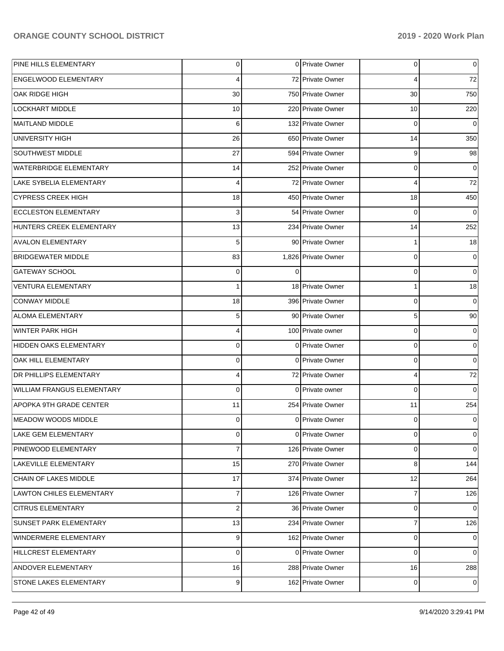| PINE HILLS ELEMENTARY             | $\overline{0}$ | 0 Private Owner     | 0              | 0           |
|-----------------------------------|----------------|---------------------|----------------|-------------|
| ENGELWOOD ELEMENTARY              | 4              | 72 Private Owner    | 4              | 72          |
| OAK RIDGE HIGH                    | 30             | 750 Private Owner   | 30             | 750         |
| <b>LOCKHART MIDDLE</b>            | 10             | 220 Private Owner   | 10             | 220         |
| MAITLAND MIDDLE                   | 6              | 132 Private Owner   | 0              | $\mathbf 0$ |
| UNIVERSITY HIGH                   | 26             | 650 Private Owner   | 14             | 350         |
| SOUTHWEST MIDDLE                  | 27             | 594 Private Owner   | 9              | 98          |
| <b>WATERBRIDGE ELEMENTARY</b>     | 14             | 252 Private Owner   | 0              | 0           |
| LAKE SYBELIA ELEMENTARY           | 4              | 72 Private Owner    | 4              | 72          |
| <b>CYPRESS CREEK HIGH</b>         | 18             | 450 Private Owner   | 18             | 450         |
| <b>ECCLESTON ELEMENTARY</b>       | 3              | 54 Private Owner    | 0              | $\Omega$    |
| HUNTERS CREEK ELEMENTARY          | 13             | 234 Private Owner   | 14             | 252         |
| <b>AVALON ELEMENTARY</b>          | 5              | 90 Private Owner    | 1              | 18          |
| <b>BRIDGEWATER MIDDLE</b>         | 83             | 1,826 Private Owner | 0              | 0           |
| <b>GATEWAY SCHOOL</b>             | $\Omega$       |                     | 0              | $\mathbf 0$ |
| <b>VENTURA ELEMENTARY</b>         | $\mathbf{1}$   | 18 Private Owner    | 1              | 18          |
| <b>CONWAY MIDDLE</b>              | 18             | 396 Private Owner   | $\Omega$       | $\mathbf 0$ |
| ALOMA ELEMENTARY                  | 5              | 90 Private Owner    | 5              | 90          |
| WINTER PARK HIGH                  | 4              | 100 Private owner   | $\Omega$       | 0           |
| HIDDEN OAKS ELEMENTARY            | $\Omega$       | 0 Private Owner     | 0              | $\pmb{0}$   |
| OAK HILL ELEMENTARY               | $\mathbf 0$    | 0 Private Owner     | $\Omega$       | $\mathbf 0$ |
| <b>DR PHILLIPS ELEMENTARY</b>     | 4              | 72 Private Owner    | 4              | 72          |
| <b>WILLIAM FRANGUS ELEMENTARY</b> | $\Omega$       | 0 Private owner     | $\Omega$       | $\Omega$    |
| APOPKA 9TH GRADE CENTER           | 11             | 254 Private Owner   | 11             | 254         |
| MEADOW WOODS MIDDLE               | $\Omega$       | 0 Private Owner     | 0              | 0           |
| LAKE GEM ELEMENTARY               | $\mathbf 0$    | 0 Private Owner     | 0              | 0           |
| PINEWOOD ELEMENTARY               | $\overline{7}$ | 126 Private Owner   | 0              | $\mathbf 0$ |
| LAKEVILLE ELEMENTARY              | 15             | 270 Private Owner   | 8              | 144         |
| CHAIN OF LAKES MIDDLE             | 17             | 374 Private Owner   | 12             | 264         |
| LAWTON CHILES ELEMENTARY          | $\overline{7}$ | 126 Private Owner   | $\overline{7}$ | 126         |
| <b>CITRUS ELEMENTARY</b>          | $\overline{2}$ | 36 Private Owner    | 0              | $\mathbf 0$ |
| SUNSET PARK ELEMENTARY            | 13             | 234 Private Owner   | $\overline{7}$ | 126         |
| WINDERMERE ELEMENTARY             | 9              | 162 Private Owner   | 0              | 0           |
| HILLCREST ELEMENTARY              | $\mathbf 0$    | 0 Private Owner     | 0              | $\mathbf 0$ |
| ANDOVER ELEMENTARY                | 16             | 288 Private Owner   | 16             | 288         |
| STONE LAKES ELEMENTARY            | $\overline{9}$ | 162 Private Owner   | 0              | $\mathbf 0$ |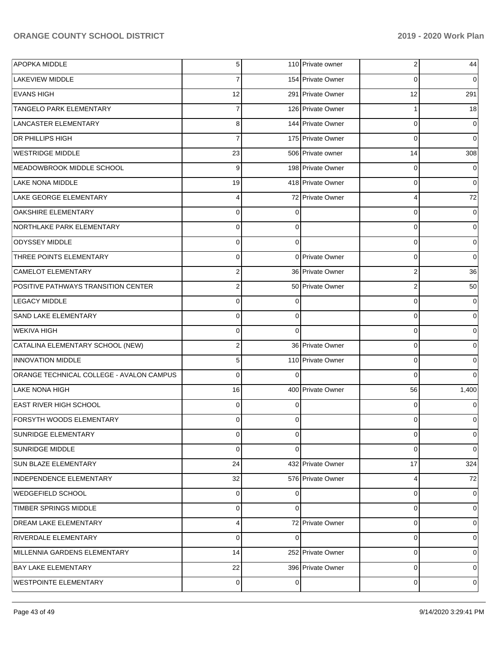| APOPKA MIDDLE                            | 5 <sub>l</sub> |          | 110 Private owner | 2        | 44       |
|------------------------------------------|----------------|----------|-------------------|----------|----------|
| <b>LAKEVIEW MIDDLE</b>                   | $\overline{7}$ |          | 154 Private Owner | 0        | $\Omega$ |
| <b>EVANS HIGH</b>                        | 12             |          | 291 Private Owner | 12       | 291      |
| <b>TANGELO PARK ELEMENTARY</b>           | $\overline{7}$ |          | 126 Private Owner |          | 18       |
| LANCASTER ELEMENTARY                     | 8              |          | 144 Private Owner | 0        | 0        |
| <b>DR PHILLIPS HIGH</b>                  | $\overline{7}$ |          | 175 Private Owner | $\Omega$ | $\Omega$ |
| <b>WESTRIDGE MIDDLE</b>                  | 23             |          | 506 Private owner | 14       | 308      |
| MEADOWBROOK MIDDLE SCHOOL                | 9              |          | 198 Private Owner | 0        | 0        |
| <b>LAKE NONA MIDDLE</b>                  | 19             |          | 418 Private Owner | $\Omega$ | $\Omega$ |
| LAKE GEORGE ELEMENTARY                   | $\overline{4}$ |          | 72 Private Owner  | 4        | $72\,$   |
| <b>OAKSHIRE ELEMENTARY</b>               | $\Omega$       |          |                   | $\Omega$ | 0        |
| NORTHLAKE PARK ELEMENTARY                | $\overline{0}$ | 0        |                   | 0        | $\Omega$ |
| ODYSSEY MIDDLE                           | $\Omega$       | $\Omega$ |                   | $\Omega$ | 0        |
| THREE POINTS ELEMENTARY                  | $\overline{0}$ |          | 0 Private Owner   | $\Omega$ | $\Omega$ |
| CAMELOT ELEMENTARY                       | $\overline{2}$ |          | 36 Private Owner  | 2        | 36       |
| POSITIVE PATHWAYS TRANSITION CENTER      | $\overline{2}$ |          | 50 Private Owner  | 2        | 50       |
| <b>LEGACY MIDDLE</b>                     | $\overline{0}$ |          |                   | $\Omega$ | 0        |
| SAND LAKE ELEMENTARY                     | $\overline{0}$ | $\Omega$ |                   | $\Omega$ | $\Omega$ |
| WEKIVA HIGH                              | $\Omega$       | $\Omega$ |                   | 0        | 0        |
| CATALINA ELEMENTARY SCHOOL (NEW)         | $\overline{2}$ |          | 36 Private Owner  | 0        | 0        |
| <b>INNOVATION MIDDLE</b>                 | 5 <sub>l</sub> |          | 110 Private Owner | $\Omega$ | $\Omega$ |
| ORANGE TECHNICAL COLLEGE - AVALON CAMPUS | $\Omega$       | $\Omega$ |                   | $\Omega$ |          |
| LAKE NONA HIGH                           | 16             |          | 400 Private Owner | 56       | 1,400    |
| <b>EAST RIVER HIGH SCHOOL</b>            | $\overline{0}$ | ∩        |                   | 0        |          |
| <b>FORSYTH WOODS ELEMENTARY</b>          | $\Omega$       |          |                   | 0        |          |
| <b>SUNRIDGE ELEMENTARY</b>               | $\overline{0}$ | 0        |                   | 0        | 0        |
| <b>SUNRIDGE MIDDLE</b>                   | $\overline{0}$ | 0        |                   | 0        | 0        |
| <b>SUN BLAZE ELEMENTARY</b>              | 24             |          | 432 Private Owner | 17       | 324      |
| INDEPENDENCE ELEMENTARY                  | 32             |          | 576 Private Owner | 4        | 72       |
| WEDGEFIELD SCHOOL                        | $\overline{0}$ | 0        |                   | 0        | 0        |
| TIMBER SPRINGS MIDDLE                    | $\overline{0}$ | 0        |                   | 0        | 0        |
| <b>DREAM LAKE ELEMENTARY</b>             | $\overline{4}$ |          | 72 Private Owner  | 0        | 0        |
| RIVERDALE ELEMENTARY                     | $\overline{0}$ | 0        |                   | 0        | 0        |
| MILLENNIA GARDENS ELEMENTARY             | 14             |          | 252 Private Owner | 0        | 0        |
| <b>BAY LAKE ELEMENTARY</b>               | 22             |          | 396 Private Owner | 0        | 0        |
| <b>WESTPOINTE ELEMENTARY</b>             | $\overline{0}$ | 0        |                   | 0        | 0        |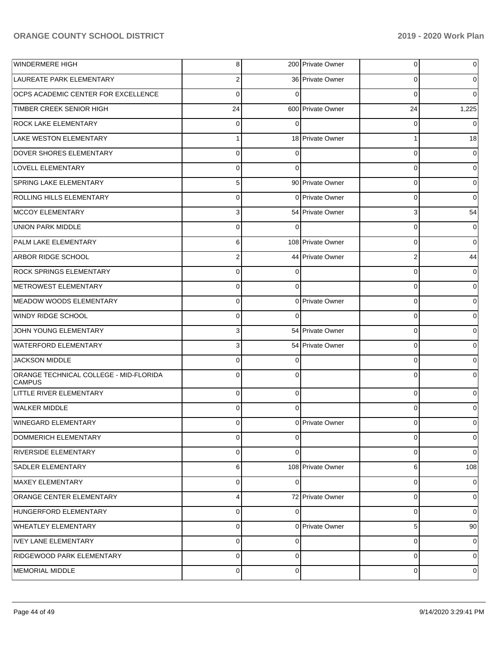| <b>WINDERMERE HIGH</b>                                  | 8              |          | 200 Private Owner | 0        | $\overline{0}$ |
|---------------------------------------------------------|----------------|----------|-------------------|----------|----------------|
| LAUREATE PARK ELEMENTARY                                | 2              |          | 36 Private Owner  | 0        | $\overline{0}$ |
| OCPS ACADEMIC CENTER FOR EXCELLENCE                     | 0              |          |                   | 0        | $\Omega$       |
| TIMBER CREEK SENIOR HIGH                                | 24             |          | 600 Private Owner | 24       | 1,225          |
| <b>ROCK LAKE ELEMENTARY</b>                             | 0              | ∩        |                   | 0        | $\Omega$       |
| LAKE WESTON ELEMENTARY                                  | 1              |          | 18 Private Owner  |          | 18             |
| DOVER SHORES ELEMENTARY                                 | 0              | C        |                   | 0        | 0              |
| LOVELL ELEMENTARY                                       | 0              | $\Omega$ |                   | 0        | $\overline{0}$ |
| SPRING LAKE ELEMENTARY                                  | 5              |          | 90 Private Owner  | 0        | $\overline{0}$ |
| ROLLING HILLS ELEMENTARY                                | 0              |          | 0 Private Owner   | 0        | $\overline{0}$ |
| <b>MCCOY ELEMENTARY</b>                                 | 3              |          | 54 Private Owner  | 3        | 54             |
| <b>UNION PARK MIDDLE</b>                                | 0              | 0        |                   | 0        | $\overline{0}$ |
| PALM LAKE ELEMENTARY                                    | 6              |          | 108 Private Owner | 0        | $\overline{0}$ |
| <b>ARBOR RIDGE SCHOOL</b>                               | $\overline{2}$ |          | 44 Private Owner  | 2        | 44             |
| <b>ROCK SPRINGS ELEMENTARY</b>                          | 0              |          |                   | 0        | 0              |
| METROWEST ELEMENTARY                                    | 0              | $\Omega$ |                   | 0        | $\overline{0}$ |
| <b>MEADOW WOODS ELEMENTARY</b>                          | 0              |          | 0 Private Owner   | 0        | 0              |
| <b>WINDY RIDGE SCHOOL</b>                               | 0              | $\Omega$ |                   | 0        | $\overline{0}$ |
| JOHN YOUNG ELEMENTARY                                   | 3              |          | 54 Private Owner  | 0        | 0              |
| <b>WATERFORD ELEMENTARY</b>                             | 3              |          | 54 Private Owner  | 0        | $\overline{0}$ |
| <b>JACKSON MIDDLE</b>                                   | 0              |          |                   | 0        | $\overline{0}$ |
| ORANGE TECHNICAL COLLEGE - MID-FLORIDA<br><b>CAMPUS</b> | $\mathbf 0$    | $\Omega$ |                   | 0        | $\overline{0}$ |
| LITTLE RIVER ELEMENTARY                                 | $\overline{0}$ | $\Omega$ |                   | $\Omega$ | $\overline{0}$ |
| WALKER MIDDLE                                           | $\overline{0}$ | $\Omega$ |                   | 0        | $\Omega$       |
| <b>WINEGARD ELEMENTARY</b>                              | $\overline{0}$ |          | 0 Private Owner   | 0        | $\overline{0}$ |
| DOMMERICH ELEMENTARY                                    | $\overline{0}$ | $\Omega$ |                   | 0        | $\overline{0}$ |
| <b>RIVERSIDE ELEMENTARY</b>                             | $\Omega$       | $\Omega$ |                   | $\Omega$ | $\overline{0}$ |
| <b>SADLER ELEMENTARY</b>                                | 6              |          | 108 Private Owner | 6        | 108            |
| MAXEY ELEMENTARY                                        | $\Omega$       | $\Omega$ |                   | $\Omega$ | 0              |
| <b>ORANGE CENTER ELEMENTARY</b>                         | $\overline{4}$ |          | 72 Private Owner  | $\Omega$ | 0              |
| HUNGERFORD ELEMENTARY                                   | $\Omega$       | $\Omega$ |                   | $\Omega$ | $\overline{0}$ |
| <b>WHEATLEY ELEMENTARY</b>                              | $\overline{0}$ |          | 0 Private Owner   | 5        | 90             |
| IVEY LANE ELEMENTARY                                    | $\overline{0}$ | $\Omega$ |                   | $\Omega$ | $\overline{0}$ |
| RIDGEWOOD PARK ELEMENTARY                               | $\overline{0}$ | $\Omega$ |                   | $\Omega$ | 0              |
| MEMORIAL MIDDLE                                         | $\overline{0}$ | 0        |                   | 0        | 0              |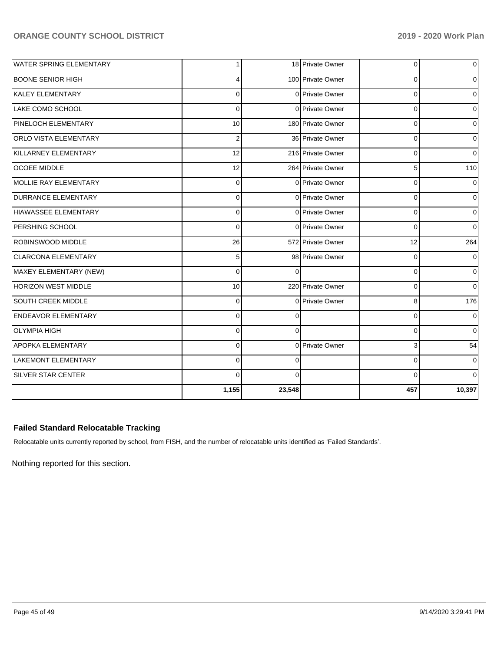| <b>WATER SPRING ELEMENTARY</b> | 1              |          | 18 Private Owner  | 0           | 0           |
|--------------------------------|----------------|----------|-------------------|-------------|-------------|
| BOONE SENIOR HIGH              | 4              |          | 100 Private Owner | 0           | 0           |
| KALEY ELEMENTARY               | $\mathbf 0$    |          | 0 Private Owner   | 0           | $\mathbf 0$ |
| LAKE COMO SCHOOL               | $\Omega$       |          | 0 Private Owner   | $\mathbf 0$ | 0           |
| PINELOCH ELEMENTARY            | 10             |          | 180 Private Owner | 0           | 0           |
| <b>ORLO VISTA ELEMENTARY</b>   | $\overline{2}$ |          | 36 Private Owner  | 0           | $\Omega$    |
| KILLARNEY ELEMENTARY           | 12             |          | 216 Private Owner | $\Omega$    | $\Omega$    |
| <b>OCOEE MIDDLE</b>            | 12             |          | 264 Private Owner | 5           | 110         |
| <b>MOLLIE RAY ELEMENTARY</b>   | $\Omega$       |          | 0 Private Owner   | 0           | $\Omega$    |
| DURRANCE ELEMENTARY            | $\overline{0}$ |          | 0 Private Owner   | $\mathbf 0$ | $\Omega$    |
| HIAWASSEE ELEMENTARY           | $\overline{0}$ |          | 0 Private Owner   | $\mathbf 0$ | 0           |
| <b>PERSHING SCHOOL</b>         | $\Omega$       |          | 0 Private Owner   | $\mathbf 0$ | $\Omega$    |
| <b>ROBINSWOOD MIDDLE</b>       | 26             |          | 572 Private Owner | 12          | 264         |
| <b>CLARCONA ELEMENTARY</b>     | 5              |          | 98 Private Owner  | 0           | $\Omega$    |
| MAXEY ELEMENTARY (NEW)         | $\Omega$       | $\Omega$ |                   | $\mathbf 0$ | $\mathbf 0$ |
| <b>HORIZON WEST MIDDLE</b>     | 10             |          | 220 Private Owner | 0           | $\mathbf 0$ |
| SOUTH CREEK MIDDLE             | $\mathbf 0$    |          | 0 Private Owner   | 8           | 176         |
| <b>ENDEAVOR ELEMENTARY</b>     | $\overline{0}$ | 0        |                   | 0           | 0           |
| <b>OLYMPIA HIGH</b>            | $\mathbf 0$    | $\Omega$ |                   | $\Omega$    | $\mathbf 0$ |
| <b>APOPKA ELEMENTARY</b>       | $\mathbf 0$    |          | 0 Private Owner   | 3           | 54          |
| <b>LAKEMONT ELEMENTARY</b>     | $\mathbf 0$    | $\Omega$ |                   | 0           | 0           |
| <b>SILVER STAR CENTER</b>      | $\Omega$       | $\Omega$ |                   | $\Omega$    | $\Omega$    |
|                                | 1,155          | 23,548   |                   | 457         | 10,397      |

# **Failed Standard Relocatable Tracking**

Relocatable units currently reported by school, from FISH, and the number of relocatable units identified as 'Failed Standards'.

Nothing reported for this section.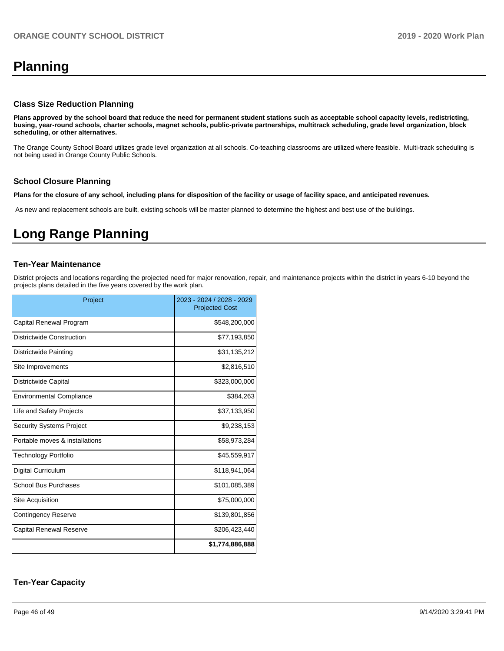# **Planning**

#### **Class Size Reduction Planning**

**Plans approved by the school board that reduce the need for permanent student stations such as acceptable school capacity levels, redistricting, busing, year-round schools, charter schools, magnet schools, public-private partnerships, multitrack scheduling, grade level organization, block scheduling, or other alternatives.**

The Orange County School Board utilizes grade level organization at all schools. Co-teaching classrooms are utilized where feasible. Multi-track scheduling is not being used in Orange County Public Schools.

### **School Closure Planning**

**Plans for the closure of any school, including plans for disposition of the facility or usage of facility space, and anticipated revenues.** 

As new and replacement schools are built, existing schools will be master planned to determine the highest and best use of the buildings.

# **Long Range Planning**

#### **Ten-Year Maintenance**

District projects and locations regarding the projected need for major renovation, repair, and maintenance projects within the district in years 6-10 beyond the projects plans detailed in the five years covered by the work plan.

| Project                         | 2023 - 2024 / 2028 - 2029<br><b>Projected Cost</b> |
|---------------------------------|----------------------------------------------------|
| Capital Renewal Program         | \$548,200,000                                      |
| Districtwide Construction       | \$77,193,850                                       |
| Districtwide Painting           | \$31,135,212                                       |
| Site Improvements               | \$2,816,510                                        |
| Districtwide Capital            | \$323,000,000                                      |
| <b>Environmental Compliance</b> | \$384,263                                          |
| Life and Safety Projects        | \$37,133,950                                       |
| <b>Security Systems Project</b> | \$9,238,153                                        |
| Portable moves & installations  | \$58,973,284                                       |
| <b>Technology Portfolio</b>     | \$45,559,917                                       |
| <b>Digital Curriculum</b>       | \$118,941,064                                      |
| <b>School Bus Purchases</b>     | \$101,085,389                                      |
| Site Acquisition                | \$75,000,000                                       |
| <b>Contingency Reserve</b>      | \$139,801,856                                      |
| <b>Capital Renewal Reserve</b>  | \$206,423,440                                      |
|                                 | \$1,774,886,888                                    |

## **Ten-Year Capacity**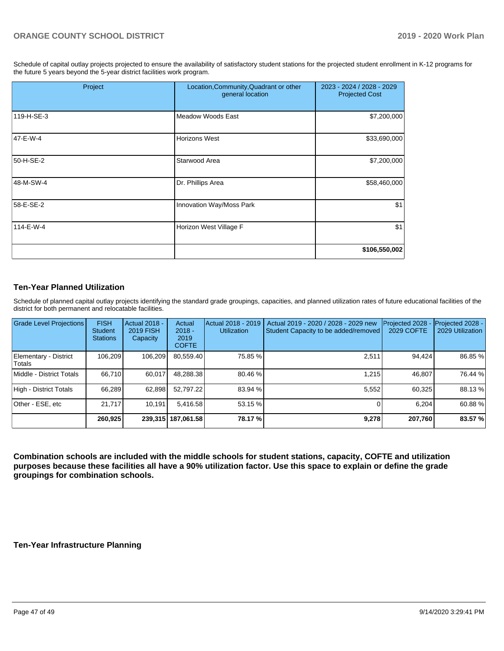Schedule of capital outlay projects projected to ensure the availability of satisfactory student stations for the projected student enrollment in K-12 programs for the future 5 years beyond the 5-year district facilities work program.

| Project    | Location, Community, Quadrant or other<br>general location | 2023 - 2024 / 2028 - 2029<br><b>Projected Cost</b> |
|------------|------------------------------------------------------------|----------------------------------------------------|
| 119-H-SE-3 | Meadow Woods East                                          | \$7,200,000                                        |
| 47-E-W-4   | Horizons West                                              | \$33,690,000                                       |
| 50-H-SE-2  | Starwood Area                                              | \$7,200,000                                        |
| 48-M-SW-4  | Dr. Phillips Area                                          | \$58,460,000                                       |
| 58-E-SE-2  | Innovation Way/Moss Park                                   | \$1                                                |
| 114-E-W-4  | Horizon West Village F                                     | \$1                                                |
|            |                                                            | \$106,550,002                                      |

## **Ten-Year Planned Utilization**

Schedule of planned capital outlay projects identifying the standard grade groupings, capacities, and planned utilization rates of future educational facilities of the district for both permanent and relocatable facilities.

| Grade Level Projections         | <b>FISH</b><br><b>Student</b><br><b>Stations</b> | <b>Actual 2018 -</b><br><b>2019 FISH</b><br>Capacity | Actual<br>$2018 -$<br>2019<br><b>COFTE</b> | Actual 2018 - 2019<br><b>Utilization</b> | Actual 2019 - 2020 / 2028 - 2029 new<br>Student Capacity to be added/removed | Projected 2028<br>2029 COFTE | Projected 2028 -<br>2029 Utilization |
|---------------------------------|--------------------------------------------------|------------------------------------------------------|--------------------------------------------|------------------------------------------|------------------------------------------------------------------------------|------------------------------|--------------------------------------|
| Elementary - District<br>Totals | 106.209                                          | 106,209                                              | 80,559.40                                  | 75.85 %                                  | 2,511                                                                        | 94,424                       | 86.85 %                              |
| Middle - District Totals        | 66.710                                           | 60.017                                               | 48.288.38                                  | 80.46 %                                  | 1.215                                                                        | 46.807                       | 76.44 %                              |
| High - District Totals          | 66.289                                           | 62,898                                               | 52.797.22                                  | 83.94 %                                  | 5.552                                                                        | 60.325                       | 88.13 %                              |
| Other - ESE, etc                | 21.717                                           | 10.191                                               | 5,416.58                                   | 53.15 %                                  |                                                                              | 6.204                        | 60.88%                               |
|                                 | 260,925                                          |                                                      | 239,315   187,061.58                       | 78.17 %                                  | 9,278                                                                        | 207,760                      | 83.57 %                              |

**Combination schools are included with the middle schools for student stations, capacity, COFTE and utilization purposes because these facilities all have a 90% utilization factor. Use this space to explain or define the grade groupings for combination schools.** 

### **Ten-Year Infrastructure Planning**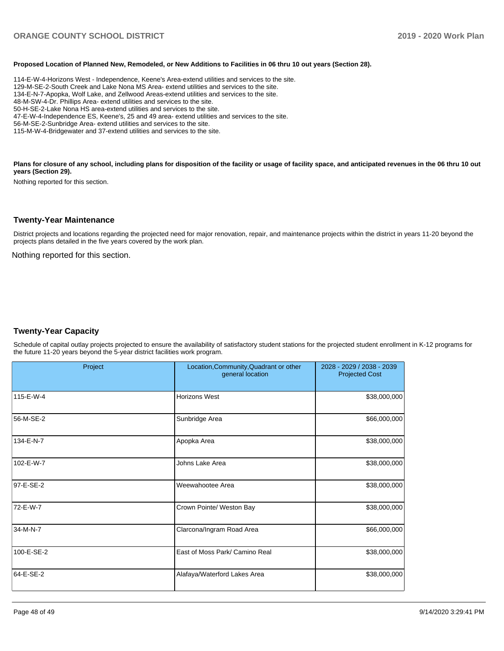#### **Proposed Location of Planned New, Remodeled, or New Additions to Facilities in 06 thru 10 out years (Section 28).**

114-E-W-4-Horizons West - Independence, Keene's Area-extend utilities and services to the site. 129-M-SE-2-South Creek and Lake Nona MS Area- extend utilities and services to the site. 134-E-N-7-Apopka, Wolf Lake, and Zellwood Areas-extend utilities and services to the site. 48-M-SW-4-Dr. Phillips Area- extend utilities and services to the site. 50-H-SE-2-Lake Nona HS area-extend utilities and services to the site. 47-E-W-4-Independence ES, Keene's, 25 and 49 area- extend utilities and services to the site. 56-M-SE-2-Sunbridge Area- extend utilities and services to the site. 115-M-W-4-Bridgewater and 37-extend utilities and services to the site.

Plans for closure of any school, including plans for disposition of the facility or usage of facility space, and anticipated revenues in the 06 thru 10 out **years (Section 29).**

Nothing reported for this section.

#### **Twenty-Year Maintenance**

District projects and locations regarding the projected need for major renovation, repair, and maintenance projects within the district in years 11-20 beyond the projects plans detailed in the five years covered by the work plan.

Nothing reported for this section.

### **Twenty-Year Capacity**

Schedule of capital outlay projects projected to ensure the availability of satisfactory student stations for the projected student enrollment in K-12 programs for the future 11-20 years beyond the 5-year district facilities work program.

| Project    | Location, Community, Quadrant or other<br>general location | 2028 - 2029 / 2038 - 2039<br><b>Projected Cost</b> |
|------------|------------------------------------------------------------|----------------------------------------------------|
| 115-E-W-4  | Horizons West                                              | \$38,000,000                                       |
| 56-M-SE-2  | Sunbridge Area                                             | \$66,000,000                                       |
| 134-E-N-7  | Apopka Area                                                | \$38,000,000                                       |
| 102-E-W-7  | Johns Lake Area                                            | \$38,000,000                                       |
| 97-E-SE-2  | Weewahootee Area                                           | \$38,000,000                                       |
| 72-E-W-7   | Crown Pointe/ Weston Bay                                   | \$38,000,000                                       |
| 34-M-N-7   | Clarcona/Ingram Road Area                                  | \$66,000,000                                       |
| 100-E-SE-2 | East of Moss Park/ Camino Real                             | \$38,000,000                                       |
| 64-E-SE-2  | Alafaya/Waterford Lakes Area                               | \$38,000,000                                       |